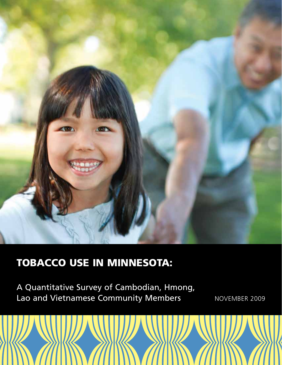

# Tobacco use in Minnesota:

A Quantitative Survey of Cambodian, Hmong, Lao and Vietnamese Community Members Manusch Rovember 2009

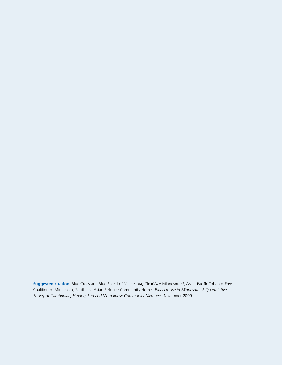Suggested citation: Blue Cross and Blue Shield of Minnesota, ClearWay Minnesota<sup>SM</sup>, Asian Pacific Tobacco-Free Coalition of Minnesota, Southeast Asian Refugee Community Home. Tobacco Use in Minnesota: A Quantitative Survey of Cambodian, Hmong, Lao and Vietnamese Community Members. November 2009.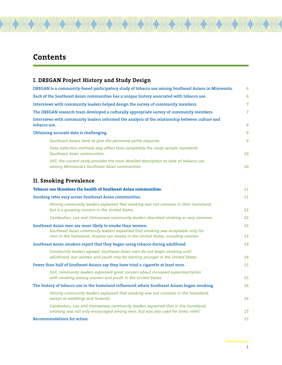# **Contents**

| DREGAN is a community-based participatory study of tobacco use among Southeast Asians in Minnesota.                                                                                                                          | 6        |
|------------------------------------------------------------------------------------------------------------------------------------------------------------------------------------------------------------------------------|----------|
| Each of the Southeast Asian communities has a unique history associated with tobacco use.                                                                                                                                    | 6        |
| Interviews with community leaders helped design the survey of community members.                                                                                                                                             | 7        |
| The DREGAN research team developed a culturally appropriate survey of community members.                                                                                                                                     | 7        |
| Interviews with community leaders informed the analysis of the relationship between culture and<br>tobacco use.                                                                                                              | 9        |
| Obtaining accurate data is challenging.                                                                                                                                                                                      | 9        |
| Southeast Asians tend to give the perceived polite response.                                                                                                                                                                 | 9        |
| Data collection methods may affect how completely the study sample represents<br>Southeast Asian communities.                                                                                                                | 10       |
| Still, the current study provides the most detailed description to date of tobacco use<br>among Minnesota's Southeast Asian communities.                                                                                     | 10       |
| <b>II. Smoking Prevalence</b>                                                                                                                                                                                                |          |
| Tobacco use threatens the health of Southeast Asian communities.                                                                                                                                                             | 11       |
| Smoking rates vary across Southeast Asian communities.                                                                                                                                                                       | 11       |
| Hmong community leaders explained that smoking was not common in their homeland,<br>but is a growing concern in the United States.                                                                                           | 12       |
| Cambodian, Lao and Vietnamese community leaders described smoking as very common.                                                                                                                                            | 12       |
| Southeast Asian men are more likely to smoke than women.<br>Southeast Asian community leaders explained that smoking was acceptable only for<br>men in the homeland. Anyone can smoke in the United States, including women. | 12<br>13 |
| Southeast Asian smokers report that they began using tobacco during adulthood.                                                                                                                                               | 14       |
| Community leaders agreed: Southeast Asian men do not begin smoking until<br>adulthood, but women and youth may be starting younger in the United States.                                                                     | 14       |
| Fewer than half of Southeast Asians say they have tried a cigarette at least once.                                                                                                                                           | 15       |
| Still, community leaders expressed great concern about increased experimentation<br>with smoking among women and youth in the United States.                                                                                 | 15       |
| The history of tobacco use in the homeland influenced where Southeast Asians began smoking.                                                                                                                                  | 16       |
| Hmong community leaders explained that smoking was not common in the homeland,<br>except at weddings and funerals.                                                                                                           | 16       |
| Cambodian, Lao and Vietnamese community leaders explained that in the homeland,<br>smoking was not only encouraged among men, but was also used for stress relief.                                                           | 17       |
| <b>Recommendations for action</b>                                                                                                                                                                                            | 17       |

ANDIA ANDIA ANDIA ANDIA ANDIA ANDIA ANDIA ANDIA ANDIA ANDIA ANDIA ANDIA ANDIA ANDIA ANDIA ANDIA ANDIA ANDIA AN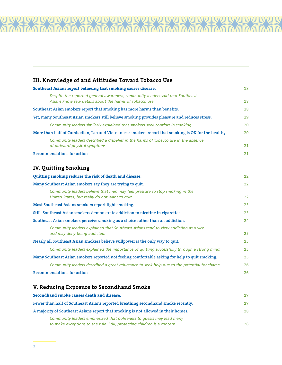# **III. Knowledge of and Attitudes Toward Tobacco Use Southeast Asians report believing that smoking causes disease.** 18 *Despite the reported general awareness, community leaders said that Southeast Asians know few details about the harms of tobacco use.*  18 **Southeast Asian smokers report that smoking has more harms than benefits.** 18 **Yet, many Southeast Asian smokers still believe smoking provides pleasure and reduces stress.** 19  *Community leaders similarly explained that smokers seek comfort in smoking.*  20 **More than half of Cambodian, Lao and Vietnamese smokers report that smoking is OK for the healthy.** 20  *Community leaders described a disbelief in the harms of tobacco use in the absence of outward physical symptoms.* 21 **Recommendations for action** 21 **IV. Quitting Smoking Quitting smoking reduces the risk of death and disease.** 22 **Many Southeast Asian smokers say they are trying to quit.** 22 *Community leaders believe that men may feel pressure to stop smoking in the United States, but really do not want to quit.*  22 **Most Southeast Asians smokers report light smoking.** 23 **Still, Southeast Asian smokers demonstrate addiction to nicotine in cigarettes.** 23 **Southeast Asian smokers perceive smoking as a choice rather than an addiction.** 24 *Community leaders explained that Southeast Asians tend to view addiction as a vice and may deny being addicted.* 25 **Nearly all Southeast Asian smokers believe willpower is the only way to quit.** 25  *Community leaders explained the importance of quitting successfully through a strong mind.*  25 **Many Southeast Asian smokers reported not feeling comfortable asking for help to quit smoking.** 25  *Community leaders described a great reluctance to seek help due to the potential for shame.* 26 **Recommendations for action** 26 **V. Reducing Exposure to Secondhand Smoke Secondhand smoke causes death and disease.** 27

| DCCOMMINIUM BINONC CUMBCB MCULII UMM MIBCUBC.                                                                                                    | - - - - |
|--------------------------------------------------------------------------------------------------------------------------------------------------|---------|
| Fewer than half of Southeast Asians reported breathing secondhand smoke recently.                                                                | 27      |
| A majority of Southeast Asians report that smoking is not allowed in their homes.                                                                | 28      |
| Community leaders emphasized that politeness to guests may lead many<br>to make exceptions to the rule. Still, protecting children is a concern. | 28      |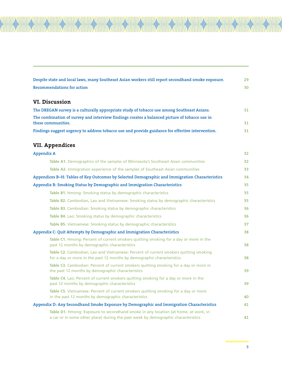| Despite state and local laws, many Southeast Asian workers still report secondhand smoke exposure. | 29 |
|----------------------------------------------------------------------------------------------------|----|
| <b>Recommendations for action</b>                                                                  | 30 |

# **VI. Discussion**

AAN

*MIND* 

| The DREGAN survey is a culturally appropriate study of tobacco use among Southeast Asians.       | 31  |
|--------------------------------------------------------------------------------------------------|-----|
| The combination of survey and interview findings creates a balanced picture of tobacco use in    |     |
| these communities.                                                                               | 31  |
| Findings suggest urgency to address tobacco use and provide guidance for effective intervention. | 31. |

# **VII. Appendices**

| <b>Appendix A</b>                                                                                                                                                        | 32 |
|--------------------------------------------------------------------------------------------------------------------------------------------------------------------------|----|
| Table A1. Demographics of the samples of Minnesota's Southeast Asian communities                                                                                         | 32 |
| Table A2. Immigration experience of the samples of Southeast Asian communities                                                                                           | 33 |
| Appendices B-H: Tables of Key Outcomes by Selected Demographic and Immigration Characteristics                                                                           | 34 |
| Appendix B: Smoking Status by Demographic and Immigration Characteristics                                                                                                | 35 |
| Table B1. Hmong: Smoking status by demographic characteristics                                                                                                           | 35 |
| Table B2. Cambodian, Lao and Vietnamese: Smoking status by demographic characteristics                                                                                   | 35 |
| Table B3. Cambodian: Smoking status by demographic characteristics                                                                                                       | 36 |
| Table B4. Lao: Smoking status by demographic characteristics                                                                                                             | 36 |
| Table B5. Vietnamese: Smoking status by demographic characteristics                                                                                                      | 37 |
| Appendix C: Quit Attempts by Demographic and Immigration Characteristics                                                                                                 | 38 |
| Table C1. Hmong: Percent of current smokers quitting smoking for a day or more in the<br>past 12 months by demographic characteristics                                   | 38 |
| Table C2. Cambodian, Lao and Vietnamese: Percent of current smokers quitting smoking<br>for a day or more in the past 12 months by demographic characteristics           | 38 |
| Table C3. Cambodian: Percent of current smokers quitting smoking for a day or more in<br>the past 12 months by demographic characteristics                               | 39 |
| Table C4. Lao: Percent of current smokers quitting smoking for a day or more in the<br>past 12 months by demographic characteristics                                     | 39 |
| Table C5. Vietnamese: Percent of current smokers quitting smoking for a day or more<br>in the past 12 months by demographic characteristics                              | 40 |
| Appendix D: Any Secondhand Smoke Exposure by Demographic and Immigration Characteristics                                                                                 | 41 |
| Table D1. Hmong: Exposure to secondhand smoke in any location (at home, at work, in<br>a car or in some other place) during the past week by demographic characteristics | 41 |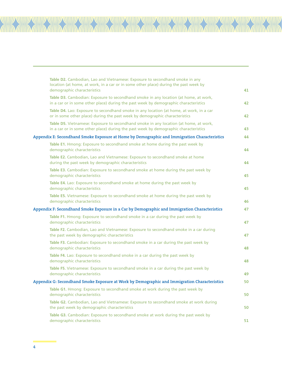| Table D2. Cambodian, Lao and Vietnamese: Exposure to secondhand smoke in any<br>location (at home, at work, in a car or in some other place) during the past week by<br>demographic characteristics | 41 |
|-----------------------------------------------------------------------------------------------------------------------------------------------------------------------------------------------------|----|
| Table D3. Cambodian: Exposure to secondhand smoke in any location (at home, at work,<br>in a car or in some other place) during the past week by demographic characteristics                        | 42 |
| Table D4. Lao: Exposure to secondhand smoke in any location (at home, at work, in a car<br>or in some other place) during the past week by demographic characteristics                              | 42 |
| Table D5. Vietnamese: Exposure to secondhand smoke in any location (at home, at work,<br>in a car or in some other place) during the past week by demographic characteristics                       | 43 |
| Appendix E: Secondhand Smoke Exposure at Home by Demographic and Immigration Characteristics                                                                                                        | 44 |
| Table E1. Hmong: Exposure to secondhand smoke at home during the past week by<br>demographic characteristics                                                                                        | 44 |
| Table E2. Cambodian, Lao and Vietnamese: Exposure to secondhand smoke at home<br>during the past week by demographic characteristics                                                                | 44 |
| Table E3. Cambodian: Exposure to secondhand smoke at home during the past week by<br>demographic characteristics                                                                                    | 45 |
| Table E4. Lao: Exposure to secondhand smoke at home during the past week by<br>demographic characteristics                                                                                          | 45 |
| Table E5. Vietnamese: Exposure to secondhand smoke at home during the past week by<br>demographic characteristics                                                                                   | 46 |
| Appendix F: Secondhand Smoke Exposure in a Car by Demographic and Immigration Characteristics                                                                                                       | 47 |
| Table F1. Hmong: Exposure to secondhand smoke in a car during the past week by<br>demographic characteristics                                                                                       | 47 |
| Table F2. Cambodian, Lao and Vietnamese: Exposure to secondhand smoke in a car during<br>the past week by demographic characteristics                                                               | 47 |
| Table F3. Cambodian: Exposure to secondhand smoke in a car during the past week by<br>demographic characteristics                                                                                   | 48 |
| Table F4. Lao: Exposure to secondhand smoke in a car during the past week by<br>demographic characteristics                                                                                         | 48 |
| Table F5. Vietnamese: Exposure to secondhand smoke in a car during the past week by<br>demographic characteristics                                                                                  | 49 |
| Appendix G: Secondhand Smoke Exposure at Work by Demographic and Immigration Characteristics                                                                                                        | 50 |
| Table G1. Hmong: Exposure to secondhand smoke at work during the past week by<br>demographic characteristics                                                                                        | 50 |
| Table G2. Cambodian, Lao and Vietnamese: Exposure to secondhand smoke at work during<br>the past week by demographic characteristics                                                                | 50 |
| Table G3. Cambodian: Exposure to secondhand smoke at work during the past week by<br>demographic characteristics                                                                                    | 51 |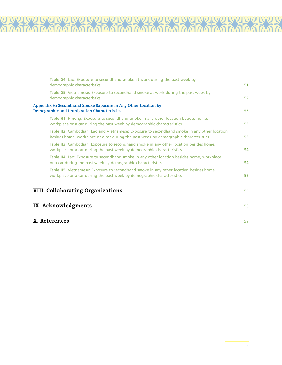|               | Table G4. Lao: Exposure to secondhand smoke at work during the past week by                                                                                                         |    |
|---------------|-------------------------------------------------------------------------------------------------------------------------------------------------------------------------------------|----|
|               | demographic characteristics                                                                                                                                                         | 51 |
|               | Table G5. Vietnamese: Exposure to secondhand smoke at work during the past week by<br>demographic characteristics                                                                   | 52 |
|               | Appendix H: Secondhand Smoke Exposure in Any Other Location by<br>Demographic and Immigration Characteristics                                                                       | 53 |
|               | Table H1. Hmong: Exposure to secondhand smoke in any other location besides home,<br>workplace or a car during the past week by demographic characteristics                         | 53 |
|               | Table H2. Cambodian, Lao and Vietnamese: Exposure to secondhand smoke in any other location<br>besides home, workplace or a car during the past week by demographic characteristics | 53 |
|               | Table H3. Cambodian: Exposure to secondhand smoke in any other location besides home,<br>workplace or a car during the past week by demographic characteristics                     | 54 |
|               | Table H4. Lao: Exposure to secondhand smoke in any other location besides home, workplace<br>or a car during the past week by demographic characteristics                           | 54 |
|               | Table H5. Vietnamese: Exposure to secondhand smoke in any other location besides home,<br>workplace or a car during the past week by demographic characteristics                    | 55 |
|               | <b>VIII. Collaborating Organizations</b>                                                                                                                                            | 56 |
|               | IX. Acknowledgments                                                                                                                                                                 | 58 |
| X. References |                                                                                                                                                                                     | 59 |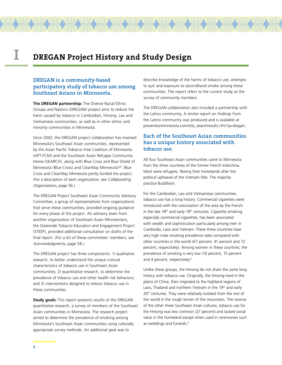# **I DREGAN Project History and Study Design**

# **DREGAN is a community-based participatory study of tobacco use among Southeast Asians in Minnesota.**

**The DREGAN partnership:** The Diverse Racial Ethnic Groups and Nations (DREGAN) project aims to reduce the harm caused by tobacco in Cambodian, Hmong, Lao and Vietnamese communities, as well as in other ethnic and minority communities in Minnesota.

Since 2002, the DREGAN project collaboration has involved Minnesota's Southeast Asian communities, represented by the Asian Pacific Tobacco-Free Coalition of Minnesota (APT-FCM) and the Southeast Asian Refugee Community Home (SEARCH), along with Blue Cross and Blue Shield of Minnesota (Blue Cross) and ClearWay Minnesota<sup>SM</sup>. Blue Cross and ClearWay Minnesota jointly funded the project. (For a description of each organization, see Collaborating Organizations, page 56.)

The DREGAN Project Southeast Asian Community Advisory Committee, a group of representatives from organizations that serve these communities, provided ongoing guidance for every phase of the project. An advisory team from another organization of Southeast Asian Minnesotans, the Statewide Tobacco Education and Engagement Project (STEEP), provided additional consultation on drafts of the final report. (For a list of these committees' members, see Acknowledgments, page 58.)

The DREGAN project has three components: 1) qualitative research, to better understand the unique cultural characteristics of tobacco use in Southeast Asian communities; 2) quantitative research, to determine the prevalence of tobacco use and other health risk behaviors; and 3) interventions designed to reduce tobacco use in these communities.

**Study goals:** This report presents results of the DREGAN quantitative research, a survey of members of the Southeast Asian communities in Minnesota. The research project aimed to determine the prevalence of smoking among Minnesota's Southeast Asian communities using culturally appropriate survey methods. An additional goal was to

describe knowledge of the harms of tobacco use, attempts to quit and exposure to secondhand smoke among these communities. The report refers to the current study as the survey of community members.

The DREGAN collaboration also included a partnership with the Latino community. A similar report on findings from the Latino community was produced and is available at preventionminnesota.com/site\_searchresults.cfm?q=dregan.

# **Each of the Southeast Asian communities has a unique history associated with tobacco use.**

All four Southeast Asian communities came to Minnesota from the three countries of the former French Indochina. Most were refugees, fleeing their homelands after the political upheaval of the Vietnam War. The majority practice Buddhism.

For the Cambodian, Lao and Vietnamese communities, tobacco use has a long history. Commercial cigarettes were introduced with the colonization of the area by the French in the late  $18<sup>th</sup>$  and early  $19<sup>th</sup>$  centuries. Cigarette smoking, especially commercial cigarettes, has been associated with wealth and sophistication particularly among men in Cambodia, Laos and Vietnam. These three countries have very high male smoking prevalence rates compared with other countries in the world (67 percent, 41 percent and 72 percent, respectively). Among women in these countries, the prevalence of smoking is very low (10 percent, 15 percent and 4 percent, respectively).<sup>1</sup>

Unlike these groups, the Hmong do not share the same long history with tobacco use. Originally, the Hmong lived in the plains of China, then migrated to the highland regions of Laos, Thailand and northern Vietnam in the 19<sup>th</sup> and early 20<sup>th</sup> centuries. They were relatively isolated from the rest of the world in the rough terrain of the mountains. The reverse of the other three Southeast Asian cultures, tobacco use for the Hmong was less common (27 percent) and lacked social value in the homeland except when used in ceremonies such as weddings and funerals.<sup>2</sup>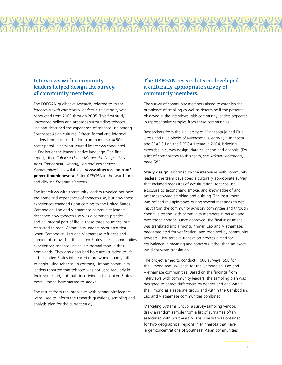# **Interviews with community leaders helped design the survey of community members.**

The DREGAN qualitative research, referred to as the interviews with community leaders in this report, was conducted from 2003 through 2005. This first study uncovered beliefs and attitudes surrounding tobacco use and described the experience of tobacco use among Southeast Asian cultures. Fifteen formal and informal leaders from each of the four communities (n=60) participated in semi-structured interviews conducted in English or the leader's native language. The final report, titled Tobacco Use in Minnesota: Perspectives from Cambodian, Hmong, Lao and Vietnamese Communities<sup>3</sup>, is available at **www.bluecrossmn.com/ preventionminnesota**. Enter DREGAN in the search box and click on Program elements.

The interviews with community leaders revealed not only the homeland experiences of tobacco use, but how those experiences changed upon coming to the United States. Cambodian, Lao and Vietnamese community leaders described how tobacco use was a common practice and an integral part of life in these three countries, but restricted to men. Community leaders recounted that when Cambodian, Lao and Vietnamese refugees and immigrants moved to the United States, these communities experienced tobacco use as less normal than in their homelands. They also described how acculturation to life in the United States influenced more women and youth to begin using tobacco. In contrast, Hmong community leaders reported that tobacco was not used regularly in their homeland, but that since living in the United States, more Hmong have started to smoke.

The results from the interviews with community leaders were used to inform the research questions, sampling and analysis plan for the current study.

# **The DREGAN research team developed a culturally appropriate survey of community members.**

The survey of community members aimed to establish the prevalence of smoking as well as determine if the patterns observed in the interviews with community leaders appeared in representative samples from these communities.

Researchers from the University of Minnesota joined Blue Cross and Blue Shield of Minnesota, ClearWay Minnesota and SEARCH on the DREGAN team in 2004, bringing expertise in survey design, data collection and analysis. (For a list of contributors to this team, see Acknowledgments, page 58.)

**Study design:** Informed by the interviews with community leaders, the team developed a culturally appropriate survey that included measures of acculturation, tobacco use, exposure to secondhand smoke, and knowledge of and attitudes toward smoking and quitting. The instrument was refined multiple times during several meetings to get input from the community advisory committee and through cognitive testing with community members in person and over the telephone. Once approved, the final instrument was translated into Hmong, Khmer, Lao and Vietnamese, back-translated for verification, and reviewed by community advisers. This iterative translation process aimed for equivalence in meaning and concepts rather than an exact word-for-word translation.

The project aimed to conduct 1,600 surveys: 550 for the Hmong and 350 each for the Cambodian, Lao and Vietnamese communities. Based on the findings from interviews with community leaders, the sampling plan was designed to detect differences by gender and age within the Hmong as a separate group and within the Cambodian, Lao and Vietnamese communities combined.

Marketing Systems Group, a survey-sampling vendor, drew a random sample from a list of surnames often associated with Southeast Asians. The list was obtained for two geographical regions in Minnesota that have larger concentrations of Southeast Asian communities: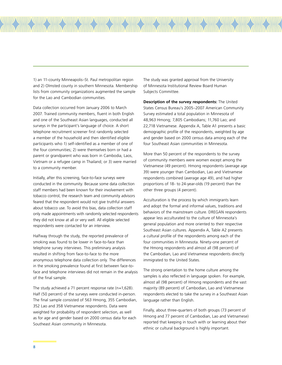1) an 11-county Minneapolis–St. Paul metropolitan region and 2) Olmsted county in southern Minnesota. Membership lists from community organizations augmented the sample for the Lao and Cambodian communities.

Data collection occurred from January 2006 to March 2007. Trained community members, fluent in both English and one of the Southeast Asian languages, conducted all surveys in the participant's language of choice. A short telephone recruitment screener first randomly selected a member of the household and then identified eligible participants who 1) self-identified as a member of one of the four communities; 2) were themselves born or had a parent or grandparent who was born in Cambodia, Laos, Vietnam or a refugee camp in Thailand; or 3) were married to a community member.

Initially, after this screening, face-to-face surveys were conducted in the community. Because some data collection staff members had been known for their involvement with tobacco control, the research team and community advisors feared that the respondent would not give truthful answers about tobacco use. To avoid this bias, data collection staff only made appointments with randomly selected respondents they did not know at all or very well. All eligible selected respondents were contacted for an interview.

Halfway through the study, the reported prevalence of smoking was found to be lower in face-to-face than telephone survey interviews. This preliminary analysis resulted in shifting from face-to-face to the more anonymous telephone data collection only. The differences in the smoking prevalence found at first between face-toface and telephone interviews did not remain in the analysis of the final sample.

The study achieved a 71 percent response rate (n=1,628). Half (50 percent) of the surveys were conducted in-person. The final sample consisted of 563 Hmong, 355 Cambodian, 352 Lao and 358 Vietnamese respondents. Data were weighted for probability of respondent selection, as well as for age and gender based on 2000 census data for each Southeast Asian community in Minnesota.

The study was granted approval from the University of Minnesota Institutional Review Board Human Subjects Committee.

**Description of the survey respondents:** The United States Census Bureau's 2005–2007 American Community Survey estimated a total population in Minnesota of 48,963 Hmong; 7,805 Cambodians; 11,760 Lao; and 22,718 Vietnamese. Appendix A, Table A1 presents a basic demographic profile of the respondents, weighted by age and gender based on 2000 census data among each of the four Southeast Asian communities in Minnesota.

More than 50 percent of the respondents to the survey of community members were women except among the Vietnamese (49 percent). Hmong respondents (average age 39) were younger than Cambodian, Lao and Vietnamese respondents combined (average age 49), and had higher proportions of 18- to 24-year-olds (19 percent) than the other three groups (4 percent).

Acculturation is the process by which immigrants learn and adopt the formal and informal values, traditions and behaviors of the mainstream culture. DREGAN respondents appear less acculturated to the culture of Minnesota's general population and more oriented to their respective Southeast Asian cultures. Appendix A, Table A2 presents a cultural profile of the respondents among each of the four communities in Minnesota. Ninety-one percent of the Hmong respondents and almost all (98 percent) of the Cambodian, Lao and Vietnamese respondents directly immigrated to the United States.

The strong orientation to the home culture among the samples is also reflected in language spoken. For example, almost all (98 percent) of Hmong respondents and the vast majority (89 percent) of Cambodian, Lao and Vietnamese respondents elected to take the survey in a Southeast Asian language rather than English.

Finally, about three-quarters of both groups (73 percent of Hmong and 77 percent of Cambodian, Lao and Vietnamese) reported that keeping in touch with or learning about their ethnic or cultural background is highly important.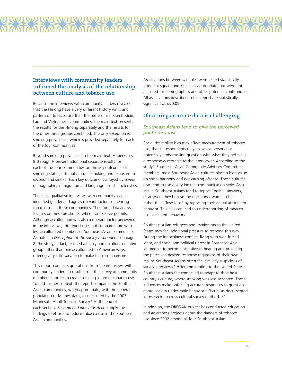# **Interviews with community leaders informed the analysis of the relationship between culture and tobacco use.**

Because the interviews with community leaders revealed that the Hmong have a very different history with, and pattern of, tobacco use than the more similar Cambodian, Lao and Vietnamese communities, the main text presents the results for the Hmong separately and the results for the other three groups combined. The only exception is smoking prevalence, which is provided separately for each of the four communities.

Beyond smoking prevalence in the main text, Appendices B through H present additional separate results for each of the four communities on the key outcomes of smoking status, attempts to quit smoking and exposure to secondhand smoke. Each key outcome is arrayed by several demographic, immigration and language use characteristics.

The initial qualitative interviews with community leaders identified gender and age as relevant factors influencing tobacco use in these communities. Therefore, data analysis focuses on these breakouts, where sample size permits. Although acculturation was also a relevant factor uncovered in the interviews, this report does not compare more with less acculturated members of Southeast Asian communities. As noted in Description of the survey respondents on page 8, the study, in fact, reached a highly home-culture-oriented group rather than one acculturated to American ways, offering very little variation to make these comparisons.

This report connects quotations from the interviews with community leaders to results from the survey of community members in order to create a fuller picture of tobacco use. To add further context, the report compares the Southeast Asian communities, when appropriate, with the general population of Minnesotans, as measured by the 2007 Minnesota Adult Tobacco Survey.<sup>4</sup> At the end of each section, Recommendations for Action apply the findings to efforts to reduce tobacco use in the Southeast Asian communities.

Associations between variables were tested statistically using chi-square and t-tests as appropriate, but were not adjusted for demographics and other potential confounders. All associations described in this report are statistically significant at  $p<0.05$ .

# **Obtaining accurate data is challenging.**

# *Southeast Asians tend to give the perceived polite response.*

Social desirability bias may affect measurement of tobacco use; that is, respondents may answer a personal or potentially embarrassing question with what they believe is a response acceptable to the interviewer. According to the study's Southeast Asian Community Advisory Committee members, most Southeast Asian cultures place a high value on social harmony and not causing offense. These cultures also tend to use a very indirect communication style. As a result, Southeast Asians tend to report "polite" answers, or answers they believe the questioner wants to hear, rather than "lose face" by reporting their actual attitude or behavior. This bias can lead to underreporting of tobacco use or related behaviors.

Southeast Asian refugees and immigrants to the United States may feel additional pressure to respond this way. During the Indochinese conflict, living with war, forced labor, and social and political unrest in Southeast Asia led people to become attentive to hearing and providing the perceived desired response regardless of their own reality. Southeast Asians often feel similarly suspicious of survey interviews.<sup>5</sup> After immigration to the United States, Southeast Asians felt compelled to adapt to their host country's culture, where smoking was less accepted. These influences make obtaining accurate responses to questions about socially undesirable behavior difficult, as documented in research on cross-cultural survey methods.<sup>6,7</sup>

In addition, the DREGAN project has conducted education and awareness projects about the dangers of tobacco use since 2002 among all four Southeast Asian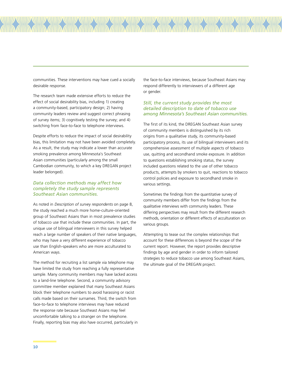communities. These interventions may have cued a socially desirable response.

The research team made extensive efforts to reduce the effect of social desirability bias, including 1) creating a community-based, participatory design; 2) having community leaders review and suggest correct phrasing of survey items; 3) cognitively testing the survey; and 4) switching from face-to-face to telephone interviews.

Despite efforts to reduce the impact of social desirability bias, this limitation may not have been avoided completely. As a result, the study may indicate a lower than accurate smoking prevalence among Minnesota's Southeast Asian communities (particularly among the small Cambodian community, to which a key DREGAN project leader belonged).

## *Data collection methods may affect how completely the study sample represents Southeast Asian communities.*

As noted in Description of survey respondents on page 8, the study reached a much more home-culture-oriented group of Southeast Asians than in most prevalence studies of tobacco use that include these communities. In part, the unique use of bilingual interviewers in this survey helped reach a large number of speakers of their native languages, who may have a very different experience of tobacco use than English-speakers who are more acculturated to American ways.

The method for recruiting a list sample via telephone may have limited the study from reaching a fully representative sample. Many community members may have lacked access to a land-line telephone. Second, a community advisory committee member explained that many Southeast Asians block their telephone numbers to avoid harassing or racist calls made based on their surnames. Third, the switch from face-to-face to telephone interviews may have reduced the response rate because Southeast Asians may feel uncomfortable talking to a stranger on the telephone. Finally, reporting bias may also have occurred, particularly in

the face-to-face interviews, because Southeast Asians may respond differently to interviewers of a different age or gender.

#### *Still, the current study provides the most detailed description to date of tobacco use among Minnesota's Southeast Asian communities.*

The first of its kind, the DREGAN Southeast Asian survey of community members is distinguished by its rich origins from a qualitative study, its community-based participatory process, its use of bilingual interviewers and its comprehensive assessment of multiple aspects of tobacco use, quitting and secondhand smoke exposure. In addition to questions establishing smoking status, the survey included questions related to the use of other tobacco products, attempts by smokers to quit, reactions to tobacco control policies and exposure to secondhand smoke in various settings.

Sometimes the findings from the quantitative survey of community members differ from the findings from the qualitative interviews with community leaders. These differing perspectives may result from the different research methods, orientation or different effects of acculturation on various groups.

Attempting to tease out the complex relationships that account for these differences is beyond the scope of the current report. However, the report provides descriptive findings by age and gender in order to inform tailored strategies to reduce tobacco use among Southeast Asians, the ultimate goal of the DREGAN project.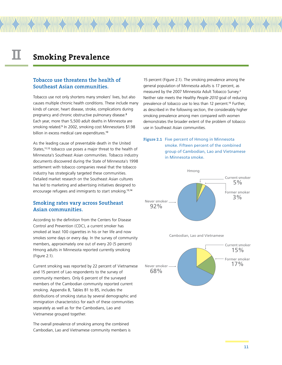# **II Smoking Prevalence**

# **Tobacco use threatens the health of Southeast Asian communities.**

Tobacco use not only shortens many smokers' lives, but also causes multiple chronic health conditions. These include many kinds of cancer, heart disease, stroke, complications during pregnancy and chronic obstructive pulmonary disease.<sup>8</sup> Each year, more than 5,500 adult deaths in Minnesota are smoking related.<sup>9</sup> In 2002, smoking cost Minnesotans \$1.98 billion in excess medical care expenditures.<sup>10</sup>

As the leading cause of preventable death in the United States,<sup>11,12</sup> tobacco use poses a major threat to the health of Minnesota's Southeast Asian communities. Tobacco industry documents discovered during the State of Minnesota's 1998 settlement with tobacco companies reveal that the tobacco industry has strategically targeted these communities. Detailed market research on the Southeast Asian cultures has led to marketing and advertising initiatives designed to encourage refugees and immigrants to start smoking.13,14

# **Smoking rates vary across Southeast Asian communities.**

According to the definition from the Centers for Disease Control and Prevention (CDC), a current smoker has smoked at least 100 cigarettes in his or her life and now smokes some days or every day. In the survey of community members, approximately one out of every 20 (5 percent) Hmong adults in Minnesota reported currently smoking (Figure 2.1).

Current smoking was reported by 22 percent of Vietnamese and 15 percent of Lao respondents to the survey of community members. Only 6 percent of the surveyed members of the Cambodian community reported current smoking. Appendix B, Tables B1 to B5, includes the distributions of smoking status by several demographic and immigration characteristics for each of these communities separately as well as for the Cambodians, Lao and Vietnamese grouped together.

The overall prevalence of smoking among the combined Cambodian, Lao and Vietnamese community members is

15 percent (Figure 2.1). The smoking prevalence among the general population of Minnesota adults is 17 percent, as measured by the 2007 Minnesota Adult Tobacco Survey.4 Neither rate meets the Healthy People 2010 goal of reducing prevalence of tobacco use to less than 12 percent.<sup>15</sup> Further, as described in the following section, the considerably higher smoking prevalence among men compared with women demonstrates the broader extent of the problem of tobacco use in Southeast Asian communities.





Cambodian, Lao and Vietnamese

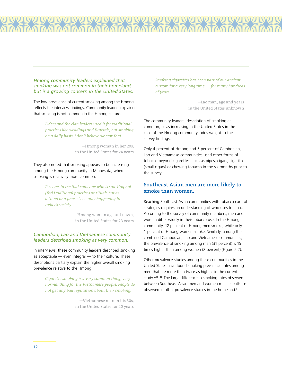#### *Hmong community leaders explained that smoking was not common in their homeland, but is a growing concern in the United States.*

The low prevalence of current smoking among the Hmong reflects the interview findings. Community leaders explained that smoking is not common in the Hmong culture.

> *Elders and the clan leaders used it for traditional practices like weddings and funerals, but smoking on a daily basis, I don't believe we saw that.*

> > —Hmong woman in her 20s, in the United States for 24 years

They also noted that smoking appears to be increasing among the Hmong community in Minnesota, where smoking is relatively more common.

> *It seems to me that someone who is smoking not [for] traditional practices or rituals but as a trend or a phase is . . . only happening in today's society.*

> > —Hmong woman age unknown, in the United States for 23 years

#### *Cambodian, Lao and Vietnamese community leaders described smoking as very common.*

In interviews, these community leaders described smoking as acceptable — even integral — to their culture. These descriptions partially explain the higher overall smoking prevalence relative to the Hmong.

> *Cigarette smoking is a very common thing, very normal thing for the Vietnamese people. People do not get any bad reputation about their smoking.*

> > —Vietnamese man in his 30s, in the United States for 20 years

*Smoking cigarettes has been part of our ancient custom for a very long time . . . for many hundreds of years.*

> —Lao man, age and years in the United States unknown

The community leaders' description of smoking as common, or as increasing in the United States in the case of the Hmong community, adds weight to the survey findings.

Only 4 percent of Hmong and 5 percent of Cambodian, Lao and Vietnamese communities used other forms of tobacco beyond cigarettes, such as pipes, cigars, cigarillos (small cigars) or chewing tobacco in the six months prior to the survey.

# **Southeast Asian men are more likely to smoke than women.**

Reaching Southeast Asian communities with tobacco control strategies requires an understanding of who uses tobacco. According to the survey of community members, men and women differ widely in their tobacco use. In the Hmong community, 12 percent of Hmong men smoke, while only 1 percent of Hmong women smoke. Similarly, among the combined Cambodian, Lao and Vietnamese communities, the prevalence of smoking among men (31 percent) is 15 times higher than among women (2 percent) (Figure 2.2).

Other prevalence studies among these communities in the United States have found smoking prevalence rates among men that are more than twice as high as in the current study.<sup>2,16-18</sup> The large difference in smoking rates observed between Southeast Asian men and women reflects patterns observed in other prevalence studies in the homeland.<sup>1</sup>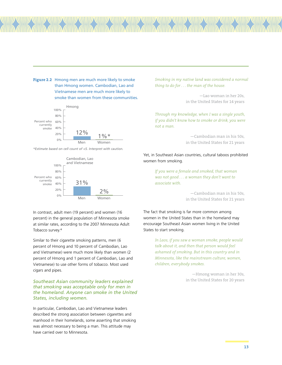**Figure 2.2** Hmong men are much more likely to smoke than Hmong women. Cambodian, Lao and Vietnamese men are much more likely to smoke than women from these communities.



*\*Estimate based on cell count of <5. Interpret with caution.*



In contrast, adult men (19 percent) and women (16 percent) in the general population of Minnesota smoke at similar rates, according to the 2007 Minnesota Adult Tobacco survey.<sup>4</sup>

Similar to their cigarette smoking patterns, men (6 percent of Hmong and 10 percent of Cambodian, Lao and Vietnamese) were much more likely than women (2 percent of Hmong and 1 percent of Cambodian, Lao and Vietnamese) to use other forms of tobacco. Most used cigars and pipes.

### *Southeast Asian community leaders explained that smoking was acceptable only for men in the homeland. Anyone can smoke in the United States, including women.*

In particular, Cambodian, Lao and Vietnamese leaders described the strong association between cigarettes and manhood in their homelands, some asserting that smoking was almost necessary to being a man. This attitude may have carried over to Minnesota.

*Smoking in my native land was considered a normal thing to do for . . . the man of the house.*

> —Lao woman in her 20s, in the United States for 14 years

*Through my knowledge, when I was a single youth, if you didn't know how to smoke or drink, you were not a man.*

> —Cambodian man in his 50s, in the United States for 21 years

Yet, in Southeast Asian countries, cultural taboos prohibited women from smoking.

> *If you were a female and smoked, that woman was not good . . . a woman they don't want to associate with.*

> > —Cambodian man in his 50s, in the United States for 21 years

The fact that smoking is far more common among women in the United States than in the homeland may encourage Southeast Asian women living in the United States to start smoking.

> *In Laos, if you saw a woman smoke, people would talk about it, and then that person would feel ashamed of smoking. But in this country and in Minnesota, like the mainstream culture, women, children, everybody smokes.*

> > —Hmong woman in her 30s, in the United States for 20 years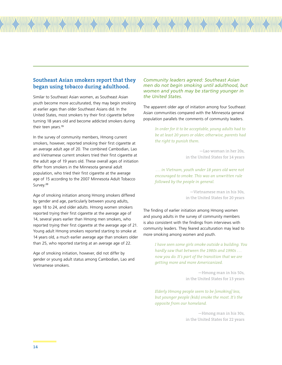# **Southeast Asian smokers report that they began using tobacco during adulthood.**

Similar to Southeast Asian women, as Southeast Asian youth become more acculturated, they may begin smoking at earlier ages than older Southeast Asians did. In the United States, most smokers try their first cigarette before turning 18 years old and become addicted smokers during their teen years.<sup>19</sup>

In the survey of community members, Hmong current smokers, however, reported smoking their first cigarette at an average adult age of 20. The combined Cambodian, Lao and Vietnamese current smokers tried their first cigarette at the adult age of 19 years old. These overall ages of initiation differ from smokers in the Minnesota general adult population, who tried their first cigarette at the average age of 15 according to the 2007 Minnesota Adult Tobacco Survey.<sup>20</sup>

Age of smoking initiation among Hmong smokers differed by gender and age, particularly between young adults, ages 18 to 24, and older adults. Hmong women smokers reported trying their first cigarette at the average age of 14, several years earlier than Hmong men smokers, who reported trying their first cigarette at the average age of 21. Young adult Hmong smokers reported starting to smoke at 14 years old, a much earlier average age than smokers older than 25, who reported starting at an average age of 22.

Age of smoking initiation, however, did not differ by gender or young adult status among Cambodian, Lao and Vietnamese smokers.

#### *Community leaders agreed: Southeast Asian men do not begin smoking until adulthood, but women and youth may be starting younger in the United States.*

The apparent older age of initiation among four Southeast Asian communities compared with the Minnesota general population parallels the comments of community leaders.

> *In order for it to be acceptable, young adults had to be at least 20 years or older; otherwise, parents had the right to punish them.*

> > —Lao woman in her 20s, in the United States for 14 years

 *. . . in Vietnam, youth under 18 years old were not encouraged to smoke. This was an unwritten rule followed by the people in general.* 

> —Vietnamese man in his 30s, in the United States for 20 years

The finding of earlier initiation among Hmong women and young adults in the survey of community members is also consistent with the findings from interviews with community leaders. They feared acculturation may lead to more smoking among women and youth.

> *I have seen some girls smoke outside a building. You hardly saw that between the 1980s and 1990s . . . now you do. It's part of the transition that we are getting more and more Americanized.*

> > —Hmong man in his 50s, in the United States for 13 years

*Elderly Hmong people seem to be [smoking] less, but younger people (kids) smoke the most. It's the opposite from our homeland.*

> —Hmong man in his 30s, in the United States for 22 years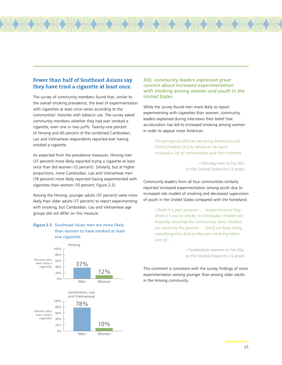# **Fewer than half of Southeast Asians say they have tried a cigarette at least once.**

The survey of community members found that, similar to the overall smoking prevalence, the level of experimentation with cigarettes at least once varies according to the communities' histories with tobacco use. The survey asked community members whether they had ever smoked a cigarette, even one or two puffs. Twenty-one percent of Hmong and 40 percent of the combined Cambodian, Lao and Vietnamese respondents reported ever having smoked a cigarette.

As expected from the prevalence measures, Hmong men (37 percent) more likely reported trying a cigarette at least once than did women (12 percent). Similarly, but at higher proportions, more Cambodian, Lao and Vietnamese men (78 percent) more likely reported having experimented with cigarettes than women (10 percent; Figure 2.3).

Among the Hmong, younger adults (37 percent) were more likely than older adults (17 percent) to report experimenting with smoking, but Cambodian, Lao and Vietnamese age groups did not differ on this measure.

# **Figure 2.3** Southeast Asian men are more likely than women to have smoked at least one cigarette.



#### *Still, community leaders expressed great concern about increased experimentation with smoking among women and youth in the United States.*

While the survey found men more likely to report experimenting with cigarettes than women, community leaders explained during interviews their belief that acculturation has led to increased smoking among women in order to appear more American.

> *The perception that we are being American and [have] freedom [to] do whatever we want . . . misleads a lot of communities and their interests.*

> > —Hmong man in his 50s, in the United States for 13 years

Community leaders from all four communities similarly reported increased experimentation among youth due to increased role models of smoking and decreased supervision of youth in the United States compared with the homeland.

> *I think it is peer pressure . . . maybe because they think it's cool to smoke. In Cambodia, children are basically raised by the community. Here, children are raised by the parents . . . [who] are busy doing something else. And so they are not being taken care of . . .*

> > —Cambodian women in her 30s, in the United States for 21 years

This comment is consistent with the survey findings of more experimentation among younger than among older adults in the Hmong community.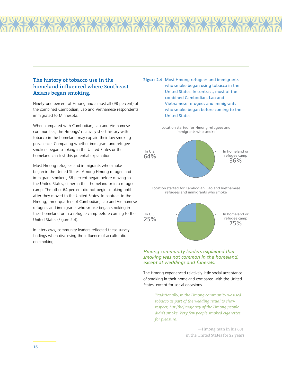# **The history of tobacco use in the homeland influenced where Southeast Asians began smoking.**

Ninety-one percent of Hmong and almost all (98 percent) of the combined Cambodian, Lao and Vietnamese respondents immigrated to Minnesota.

When compared with Cambodian, Lao and Vietnamese communities, the Hmongs' relatively short history with tobacco in the homeland may explain their low smoking prevalence. Comparing whether immigrant and refugee smokers began smoking in the United States or the homeland can test this potential explanation.

Most Hmong refugees and immigrants who smoke began in the United States. Among Hmong refugee and immigrant smokers, 36 percent began before moving to the United States, either in their homeland or in a refugee camp. The other 64 percent did not begin smoking until after they moved to the United States. In contrast to the Hmong, three-quarters of Cambodian, Lao and Vietnamese refugees and immigrants who smoke began smoking in their homeland or in a refugee camp before coming to the United States (Figure 2.4).

In interviews, community leaders reflected these survey findings when discussing the influence of acculturation on smoking.

**Figure 2.4** Most Hmong refugees and immigrants who smoke began using tobacco in the United States. In contrast, most of the combined Cambodian, Lao and Vietnamese refugees and immigrants who smoke began before coming to the United States.





Location started for Cambodian, Lao and Vietnamese refugees and immigrants who smoke



### *Hmong community leaders explained that smoking was not common in the homeland, except at weddings and funerals.*

The Hmong experienced relatively little social acceptance of smoking in their homeland compared with the United States, except for social occasions.

> *Traditionally, in the Hmong community we used tobacco as part of the wedding ritual to show respect, but [the] majority of the Hmong people didn't smoke. Very few people smoked cigarettes for pleasure.*

> > —Hmong man in his 60s, in the United States for 22 years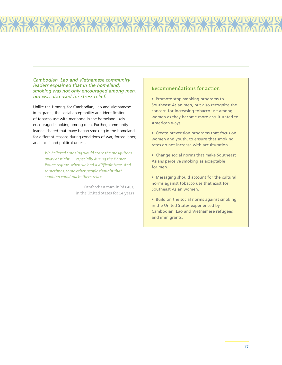*Cambodian, Lao and Vietnamese community leaders explained that in the homeland, smoking was not only encouraged among men, but was also used for stress relief.*

Unlike the Hmong, for Cambodian, Lao and Vietnamese immigrants, the social acceptability and identification of tobacco use with manhood in the homeland likely encouraged smoking among men. Further, community leaders shared that many began smoking in the homeland for different reasons during conditions of war, forced labor, and social and political unrest.

> *We believed smoking would scare the mosquitoes away at night . . . especially during the Khmer Rouge regime, when we had a difficult time. And sometimes, some other people thought that smoking could make them relax.*

> > —Cambodian man in his 40s, in the United States for 14 years

# **Recommendations for action**

• Promote stop-smoking programs to Southeast Asian men, but also recognize the concern for increasing tobacco use among women as they become more acculturated to American ways.

- Create prevention programs that focus on women and youth, to ensure that smoking rates do not increase with acculturation.
- Change social norms that make Southeast Asians perceive smoking as acceptable for men.
- Messaging should account for the cultural norms against tobacco use that exist for Southeast Asian women.
- Build on the social norms against smoking in the United States experienced by Cambodian, Lao and Vietnamese refugees and immigrants.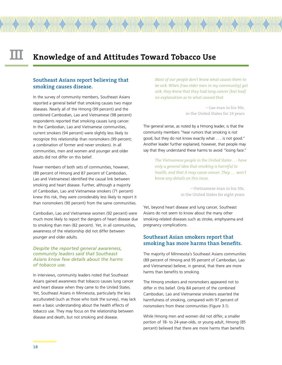# **III Knowledge of and Attitudes Toward Tobacco Use**

# **Southeast Asians report believing that smoking causes disease.**

In the survey of community members, Southeast Asians reported a general belief that smoking causes two major diseases. Nearly all of the Hmong (99 percent) and the combined Cambodian, Lao and Vietnamese (98 percent) respondents reported that smoking causes lung cancer. In the Cambodian, Lao and Vietnamese communities, current smokers (94 percent) were slightly less likely to recognize this relationship than nonsmokers (99 percent; a combination of former and never smokers). In all communities, men and women and younger and older adults did not differ on this belief.

Fewer members of both sets of communities, however, (89 percent of Hmong and 87 percent of Cambodian, Lao and Vietnamese) identified the causal link between smoking and heart disease. Further, although a majority of Cambodian, Lao and Vietnamese smokers (71 percent) knew this risk, they were considerably less likely to report it than nonsmokers (90 percent) from the same communities.

Cambodian, Lao and Vietnamese women (92 percent) were much more likely to report the dangers of heart disease due to smoking than men (82 percent). Yet, in all communities, awareness of the relationship did not differ between younger and older adults.

## *Despite the reported general awareness, community leaders said that Southeast Asians know few details about the harms of tobacco use.*

In interviews, community leaders noted that Southeast Asians gained awareness that tobacco causes lung cancer and heart disease when they came to the United States. Yet, Southeast Asians in Minnesota, particularly the less acculturated (such as those who took the survey), may lack even a basic understanding about the health effects of tobacco use. They may focus on the relationship between disease and death, but not smoking and disease.

*Most of our people don't know what causes them to be sick. When [two older men in my community] got sick, they knew that they had lung cancer [but had] no explanation as to what caused that.*

> —Lao man in his 30s, in the United States for 19 years

The general sense, as noted by a Hmong leader, is that the community members "hear rumors that smoking is not good, but they do not know exactly what . . . is not good." Another leader further explained, however, that people may say that they understand these harms to avoid "losing face."

> *The Vietnamese people in the United States . . . have only a general idea that smoking is harmful to health, and that it may cause cancer. They . . . won't know any details on this issue.*

> > —Vietnamese man in his 50s, in the United States for eight years

Yet, beyond heart disease and lung cancer, Southeast Asians do not seem to know about the many other smoking-related diseases such as stroke, emphysema and pregnancy complications.

# **Southeast Asian smokers report that smoking has more harms than benefits.**

The majority of Minnesota's Southeast Asians communities (89 percent of Hmong and 95 percent of Cambodian, Lao and Vietnamese) believe, in general, that there are more harms than benefits to smoking.

The Hmong smokers and nonsmokers appeared not to differ in this belief. Only 84 percent of the combined Cambodian, Lao and Vietnamese smokers asserted the harmfulness of smoking, compared with 97 percent of nonsmokers from these communities (Figure 3.1).

While Hmong men and women did not differ, a smaller portion of 18- to 24-year-olds, or young adult, Hmong (85 percent) believed that there are more harms than benefits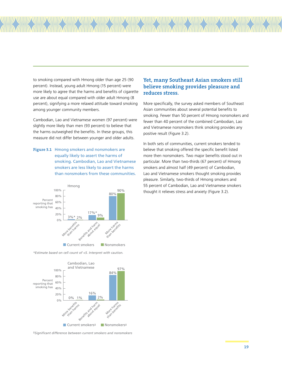to smoking compared with Hmong older than age 25 (90 percent). Instead, young adult Hmong (15 percent) were more likely to agree that the harms and benefits of cigarette use are about equal compared with older adult Hmong (8 percent), signifying a more relaxed attitude toward smoking among younger community members.

Cambodian, Lao and Vietnamese women (97 percent) were slightly more likely than men (93 percent) to believe that the harms outweighed the benefits. In these groups, this measure did not differ between younger and older adults.

**Figure 3.1** Hmong smokers and nonsmokers are equally likely to assert the harms of smoking. Cambodian, Lao and Vietnamese smokers are less likely to assert the harms than nonsmokers from these communities.



*\*Estimate based on cell count of <5. Interpret with caution.*



‡*Significant difference between current smokers and nonsmokers*

# **Yet, many Southeast Asian smokers still believe smoking provides pleasure and reduces stress.**

More specifically, the survey asked members of Southeast Asian communities about several potential benefits to smoking. Fewer than 50 percent of Hmong nonsmokers and fewer than 40 percent of the combined Cambodian, Lao and Vietnamese nonsmokers think smoking provides any positive result (Figure 3.2).

In both sets of communities, current smokers tended to believe that smoking offered the specific benefit listed more then nonsmokers. Two major benefits stood out in particular. More than two-thirds (67 percent) of Hmong smokers and almost half (49 percent) of Cambodian, Lao and Vietnamese smokers thought smoking provides pleasure. Similarly, two-thirds of Hmong smokers and 55 percent of Cambodian, Lao and Vietnamese smokers thought it relieves stress and anxiety (Figure 3.2).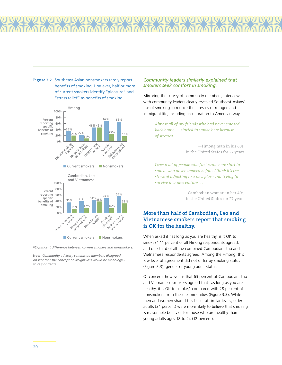

**Figure 3.2** Southeast Asian nonsmokers rarely report

benefits of smoking. However, half or more

#### **Current smokers** Nonsmokers

‡*Significant difference between current smokers and nonsmokers.*

**Note:** *Community advisory committee members disagreed on whether the concept of weight loss would be meaningful to respondents.*

#### *Community leaders similarly explained that smokers seek comfort in smoking.*

Mirroring the survey of community members, interviews with community leaders clearly revealed Southeast Asians' use of smoking to reduce the stresses of refugee and immigrant life, including acculturation to American ways.

> *Almost all of my friends who had never smoked back home . . . started to smoke here because of stresses.*

> > —Hmong man in his 60s, in the United States for 22 years

*I saw a lot of people who first came here start to smoke who never smoked before. I think it's the stress of adjusting to a new place and trying to survive in a new culture . . .* 

> —Cambodian woman in her 40s, in the United States for 27 years

# **More than half of Cambodian, Lao and Vietnamese smokers report that smoking is OK for the healthy.**

When asked if "as long as you are healthy, is it OK to smoke?" 11 percent of all Hmong respondents agreed, and one-third of all the combined Cambodian, Lao and Vietnamese respondents agreed. Among the Hmong, this low level of agreement did not differ by smoking status (Figure 3.3), gender or young adult status.

Of concern, however, is that 63 percent of Cambodian, Lao and Vietnamese smokers agreed that "as long as you are healthy, it is OK to smoke," compared with 28 percent of nonsmokers from these communities (Figure 3.3). While men and women shared this belief at similar levels, older adults (34 percent) were more likely to believe that smoking is reasonable behavior for those who are healthy than young adults ages 18 to 24 (12 percent).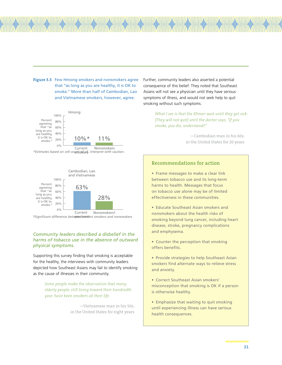**Figure 3.3** Few Hmong smokers and nonsmokers agree that "as long as you are healthy, it is OK to smoke." More than half of Cambodian, Lao and Vietnamese smokers, however, agree.



*\*Estimates based on cell count of <5. Interpret with caution.* smokers



‡*Significant difference between current smokers and nonsmokers* smokers‡

## *Community leaders described a disbelief in the harms of tobacco use in the absence of outward physical symptoms.*

Supporting this survey finding that smoking is acceptable for the healthy, the interviews with community leaders depicted how Southeast Asians may fail to identify smoking as the cause of illnesses in their community.

> *Some people make the observation that many elderly people, still living toward their hundredth year, have been smokers all their life.*

> > —Vietnamese man in his 50s, in the United States for eight years

Further, community leaders also asserted a potential consequence of this belief. They noted that Southeast Asians will not see a physician until they have serious symptoms of illness, and would not seek help to quit smoking without such symptoms.

> *What I see is that the Khmer wait until they get sick. [They will not quit] until the doctor says, "If you smoke, you die, understand?"*

> > —Cambodian man in his 60s, in the United States for 20 years

# **Recommendations for action**

• Frame messages to make a clear link between tobacco use and its long-term harms to health. Messages that focus on tobacco use alone may be of limited effectiveness in these communities.

• Educate Southeast Asian smokers and nonsmokers about the health risks of smoking beyond lung cancer, including heart disease, stroke, pregnancy complications and emphysema.

• Counter the perception that smoking offers benefits.

• Provide strategies to help Southeast Asian smokers find alternate ways to relieve stress and anxiety.

• Correct Southeast Asian smokers' misconception that smoking is OK if a person is otherwise healthy.

• Emphasize that waiting to quit smoking until experiencing illness can have serious health consequences.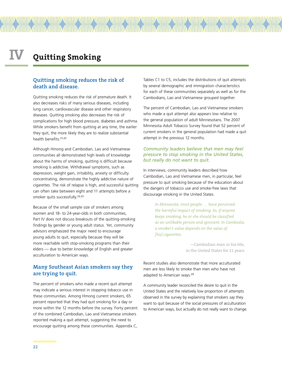# **Quitting smoking reduces the risk of death and disease.**

Quitting smoking reduces the risk of premature death. It also decreases risks of many serious diseases, including lung cancer, cardiovascular disease and other respiratory diseases. Quitting smoking also decreases the risk of complications for high blood pressure, diabetes and asthma. While smokers benefit from quitting at any time, the earlier they quit, the more likely they are to realize substantial health benefits.21,22

Although Hmong and Cambodian, Lao and Vietnamese communities all demonstrated high levels of knowledge about the harms of smoking, quitting is difficult because smoking is addictive. Withdrawal symptoms, such as depression, weight gain, irritability, anxiety or difficulty concentrating, demonstrate the highly addictive nature of cigarettes. The risk of relapse is high, and successful quitting can often take between eight and 11 attempts before a smoker quits successfully.<sup>22,23</sup>

Because of the small sample size of smokers among women and 18- to 24-year-olds in both communities, Part IV does not discuss breakouts of the quitting-smoking findings by gender or young adult status. Yet, community advisors emphasized the major need to encourage young adults to quit, especially because they will be more reachable with stop-smoking programs than their elders — due to better knowledge of English and greater acculturation to American ways.

# **Many Southeast Asian smokers say they are trying to quit.**

The percent of smokers who made a recent quit attempt may indicate a serious interest in stopping tobacco use in these communities. Among Hmong current smokers, 65 percent reported that they had quit smoking for a day or more within the 12 months before the survey. Forty percent of the combined Cambodian, Lao and Vietnamese smokers reported making a quit attempt, suggesting the need to encourage quitting among these communities. Appendix C,

Tables C1 to C5, includes the distributions of quit attempts by several demographic and immigration characteristics for each of these communities separately as well as for the Cambodians, Lao and Vietnamese grouped together.

The percent of Cambodian, Lao and Vietnamese smokers who made a quit attempt also appears low relative to the general population of adult Minnesotans. The 2007 Minnesota Adult Tobacco Survey found that 52 percent of current smokers in the general population had made a quit attempt in the previous 12 months.

#### *Community leaders believe that men may feel pressure to stop smoking in the United States, but really do not want to quit.*

In interviews, community leaders described how Cambodian, Lao and Vietnamese men, in particular, feel pressure to quit smoking because of the education about the dangers of tobacco use and smoke-free laws that discourage smoking in the United States.

> *In Minnesota, most people . . . have perceived the harmful impact of smoking. So, if anyone keeps smoking, he or she should be classified as an unlikable person and ignorant. In Cambodia, a smoker's value depends on the value of [his] cigarettes.*

> > —Cambodian man in his 60s, in the United States for 21 years

Recent studies also demonstrate that more acculturated men are less likely to smoke than men who have not adapted to American ways.<sup>24</sup>

A community leader reconciled the desire to quit in the United States and the relatively low proportion of attempts observed in the survey by explaining that smokers say they want to quit because of the social pressures of acculturation to American ways, but actually do not really want to change.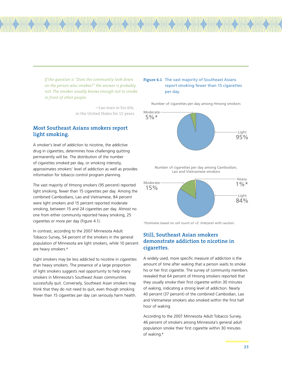*If the question is "Does the community look down on the person who smokes?" the answer is probably not. The smoker usually knows enough not to smoke in front of other people.* 

> —Lao man in his 60s, in the United States for 12 years

# **Most Southeast Asians smokers report light smoking.**

A smoker's level of addiction to nicotine, the addictive drug in cigarettes, determines how challenging quitting permanently will be. The distribution of the number of cigarettes smoked per day, or smoking intensity, approximates smokers' level of addiction as well as provides information for tobacco control program planning.

The vast majority of Hmong smokers (95 percent) reported light smoking, fewer than 15 cigarettes per day. Among the combined Cambodians, Lao and Vietnamese, 84 percent were light smokers and 15 percent reported moderate smoking, between 15 and 24 cigarettes per day. Almost no one from either community reported heavy smoking, 25 cigarettes or more per day (Figure 4.1).

In contrast, according to the 2007 Minnesota Adult Tobacco Survey, 54 percent of the smokers in the general population of Minnesota are light smokers, while 10 percent are heavy smokers.<sup>4</sup>

Light smokers may be less addicted to nicotine in cigarettes than heavy smokers. The presence of a large proportion of light smokers suggests real opportunity to help many smokers in Minnesota's Southeast Asian communities successfully quit. Conversely, Southeast Asian smokers may think that they do not need to quit, even though smoking fewer than 15 cigarettes per day can seriously harm health.

### **Figure 4.1** The vast majority of Southeast Asians report smoking fewer than 15 cigarettes per day.

Number of cigarettes per day among Hmong smokers



Number of cigarettes per day among Cambodian, Lao and Vietnamese smokers



*\*Estimates based on cell count of <5. Interpret with caution.*

# **Still, Southeast Asian smokers demonstrate addiction to nicotine in cigarettes.**

A widely used, more specific measure of addiction is the amount of time after waking that a person waits to smoke his or her first cigarette. The survey of community members revealed that 64 percent of Hmong smokers reported that they usually smoke their first cigarette within 30 minutes of waking, indicating a strong level of addiction. Nearly 40 percent (37 percent) of the combined Cambodian, Lao and Vietnamese smokers also smoked within the first half hour of waking.

According to the 2007 Minnesota Adult Tobacco Survey, 46 percent of smokers among Minnesota's general adult population smoke their first cigarette within 30 minutes of waking.<sup>4</sup>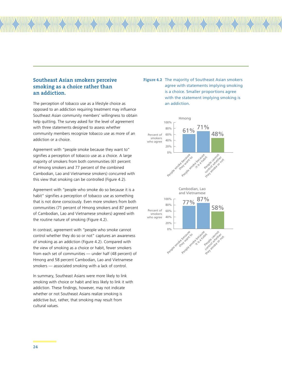# **Southeast Asian smokers perceive smoking as a choice rather than an addiction.**

The perception of tobacco use as a lifestyle choice as opposed to an addiction requiring treatment may influence Southeast Asian community members' willingness to obtain help quitting. The survey asked for the level of agreement with three statements designed to assess whether community members recognize tobacco use as more of an addiction or a choice.

Agreement with "people smoke because they want to" signifies a perception of tobacco use as a choice. A large majority of smokers from both communities (61 percent of Hmong smokers and 77 percent of the combined Cambodian, Lao and Vietnamese smokers) concurred with this view that smoking can be controlled (Figure 4.2).

Agreement with "people who smoke do so because it is a habit" signifies a perception of tobacco use as something that is not done consciously. Even more smokers from both communities (71 percent of Hmong smokers and 87 percent of Cambodian, Lao and Vietnamese smokers) agreed with the routine nature of smoking (Figure 4.2).

In contrast, agreement with "people who smoke cannot control whether they do so or not" captures an awareness of smoking as an addiction (Figure 4.2). Compared with the view of smoking as a choice or habit, fewer smokers from each set of communities — under half (48 percent) of Hmong and 58 percent Cambodian, Lao and Vietnamese smokers — associated smoking with a lack of control.

In summary, Southeast Asians were more likely to link smoking with choice or habit and less likely to link it with addiction. These findings, however, may not indicate whether or not Southeast Asians realize smoking is addictive but, rather, that smoking may result from cultural values.

# **Figure 4.2** The majority of Southeast Asian smokers agree with statements implying smoking is a choice. Smaller proportions agree with the statement implying smoking is an addiction.

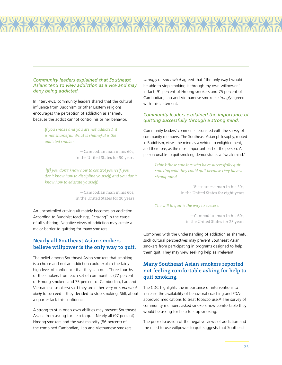#### *Community leaders explained that Southeast Asians tend to view addiction as a vice and may deny being addicted.*

In interviews, community leaders shared that the cultural influence from Buddhism or other Eastern religions encourages the perception of addiction as shameful because the addict cannot control his or her behavior.

# *If you smoke and you are not addicted, it is not shameful. What is shameful is the addicted smoker.*

—Cambodian man in his 60s, in the United States for 30 years

 *[If] you don't know how to control yourself, you don't know how to discipline yourself, and you don't know how to educate yourself.*

> —Cambodian man in his 60s, in the United States for 20 years

An uncontrolled craving ultimately becomes an addiction. According to Buddhist teachings, "craving" is the cause of all suffering. Negative views of addiction may create a major barrier to quitting for many smokers.

# **Nearly all Southeast Asian smokers believe willpower is the only way to quit.**

The belief among Southeast Asian smokers that smoking is a choice and not an addiction could explain the fairly high level of confidence that they can quit. Three-fourths of the smokers from each set of communities (77 percent of Hmong smokers and 75 percent of Cambodian, Lao and Vietnamese smokers) said they are either very or somewhat likely to succeed if they decided to stop smoking. Still, about a quarter lack this confidence.

A strong trust in one's own abilities may prevent Southeast Asians from asking for help to quit. Nearly all (97 percent) Hmong smokers and the vast majority (86 percent) of the combined Cambodian, Lao and Vietnamese smokers

strongly or somewhat agreed that "the only way I would be able to stop smoking is through my own willpower." In fact, 91 percent of Hmong smokers and 75 percent of Cambodian, Lao and Vietnamese smokers strongly agreed with this statement.

### *Community leaders explained the importance of quitting successfully through a strong mind.*

Community leaders' comments resonated with the survey of community members. The Southeast Asian philosophy, rooted in Buddhism, views the mind as a vehicle to enlightenment, and therefore, as the most important part of the person. A person unable to quit smoking demonstrates a "weak mind."

> *I think those smokers who have successfully quit smoking said they could quit because they have a strong mind.*

> > —Vietnamese man in his 50s, in the United States for eight years

#### *The will to quit is the way to success.*

—Cambodian man in his 60s, in the United States for 28 years

Combined with the understanding of addiction as shameful, such cultural perspectives may prevent Southeast Asian smokers from participating in programs designed to help them quit. They may view seeking help as irrelevant.

# **Many Southeast Asian smokers reported not feeling comfortable asking for help to quit smoking.**

The CDC highlights the importance of interventions to increase the availability of behavioral coaching and FDAapproved medications to treat tobacco use.<sup>25</sup> The survey of community members asked smokers how comfortable they would be asking for help to stop smoking.

The prior discussion of the negative views of addiction and the need to use willpower to quit suggests that Southeast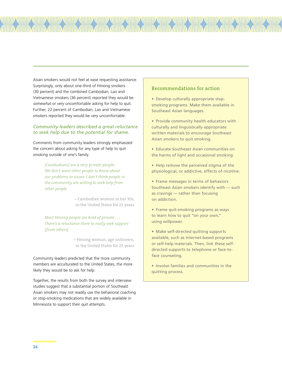Asian smokers would not feel at ease requesting assistance. Surprisingly, only about one-third of Hmong smokers (30 percent) and the combined Cambodian, Lao and Vietnamese smokers (36 percent) reported they would be somewhat or very uncomfortable asking for help to quit. Further, 22 percent of Cambodian, Lao and Vietnamese smokers reported they would be very uncomfortable.

## *Community leaders described a great reluctance to seek help due to the potential for shame.*

Comments from community leaders strongly emphasized the concern about asking for any type of help to quit smoking outside of one's family.

> *[Cambodians] are a very private people. We don't want other people to know about our problems or issues. I don't think people in the community are willing to seek help from other people.*

> > —Cambodian woman in her 30s, in the United States for 21 years

*Most Hmong people are kind of private . . . There's a reluctance there to really seek support [from others].* 

> —Hmong woman, age unknown, in the United States for 23 years

Community leaders predicted that the more community members are acculturated to the United States, the more likely they would be to ask for help.

Together, the results from both the survey and interview studies suggest that a substantial portion of Southeast Asian smokers may not readily use the behavioral coaching or stop-smoking medications that are widely available in Minnesota to support their quit attempts.

# **Recommendations for action**

• Develop culturally appropriate stopsmoking programs. Make them available in Southeast Asian languages.

- Provide community health educators with culturally and linguistically appropriate written materials to encourage Southeast Asian smokers to quit smoking.
- Educate Southeast Asian communities on the harms of light and occasional smoking.
- Help remove the perceived stigma of the physiological, or addictive, effects of nicotine.
- Frame messages in terms of behaviors Southeast Asian smokers identify with — such as cravings — rather than focusing on addiction.
- Frame quit-smoking programs as ways to learn how to quit "on your own," using willpower.
- Make self-directed quitting supports available, such as Internet-based programs or self-help materials. Then, link these selfdirected supports to telephone or face-toface counseling.
- Involve families and communities in the quitting process.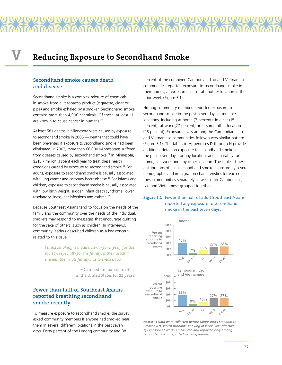# **V Reducing Exposure to Secondhand Smoke**

# **Secondhand smoke causes death and disease.**

Secondhand smoke is a complex mixture of chemicals in smoke from a lit tobacco product (cigarette, cigar or pipe) and smoke exhaled by a smoker. Secondhand smoke contains more than 4,000 chemicals. Of these, at least 11 are known to cause cancer in humans.26

At least 581 deaths in Minnesota were caused by exposure to secondhand smoke in 2005 — deaths that could have been prevented if exposure to secondhand smoke had been eliminated. In 2003, more than 66,000 Minnesotans suffered from diseases caused by secondhand smoke.<sup>27</sup> In Minnesota, \$215.7 million is spent each year to treat these health conditions caused by exposure to secondhand smoke.27 For adults, exposure to secondhand smoke is causally associated with lung cancer and coronary heart disease.<sup>28</sup> For infants and children, exposure to secondhand smoke is causally associated with low birth weight, sudden infant death syndrome, lower respiratory illness, ear infections and asthma.28

Because Southeast Asians tend to focus on the needs of the family and the community over the needs of the individual, smokers may respond to messages that encourage quitting for the sake of others, such as children. In interviews, community leaders described children as a key concern related to this issue.

> *I think smoking is a bad activity for myself, for the society, especially for the family. If the husband smokes, the whole family has to smoke, too.*

> > —Cambodian man in his 50s, in the United States for 21 years

# **Fewer than half of Southeast Asians reported breathing secondhand smoke recently.**

To measure exposure to secondhand smoke, the survey asked community members if anyone had smoked near them in several different locations in the past seven days. Forty percent of the Hmong community and 38

percent of the combined Cambodian, Lao and Vietnamese communities reported exposure to secondhand smoke in their homes, at work, in a car or at another location in the prior week (Figure 5.1).

Hmong community members reported exposure to secondhand smoke in the past seven days in multiple locations, including at home (7 percent), in a car (15 percent), at work (27 percent) or at some other location (28 percent). Exposure levels among the Cambodian, Lao and Vietnamese communities follow a very similar pattern (Figure 5.1). The tables in Appendices D through H provide additional detail on exposure to secondhand smoke in the past seven days for any location, and separately for home, car, work and any other location. The tables show distributions of each secondhand smoke exposure by several demographic and immigration characteristics for each of these communities separately as well as for Cambodians, Lao and Vietnamese grouped together.

## **Figure 5.1** Fewer than half of adult Southeast Asians reported any exposure to secondhand smoke in the past seven days.



**Notes: 1)** *Data were collected before Minnesota's Freedom to Breathe Act, which prohibits smoking at work, was effective.* **2)** *Exposure at work is measured and reported only among respondents who reported working indoors.*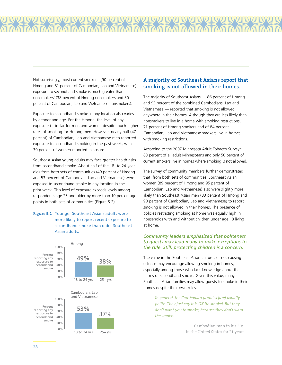Not surprisingly, most current smokers' (90 percent of Hmong and 81 percent of Cambodian, Lao and Vietnamese) exposure to secondhand smoke is much greater than nonsmokers' (38 percent of Hmong nonsmokers and 30 percent of Cambodian, Lao and Vietnamese nonsmokers).

Exposure to secondhand smoke in any location also varies by gender and age. For the Hmong, the level of any exposure is similar for men and women despite much higher rates of smoking for Hmong men. However, nearly half (47 percent) of Cambodian, Lao and Vietnamese men reported exposure to secondhand smoking in the past week, while 30 percent of women reported exposure.

Southeast Asian young adults may face greater health risks from secondhand smoke. About half of the 18- to 24-yearolds from both sets of communities (49 percent of Hmong and 53 percent of Cambodian, Lao and Vietnamese) were exposed to secondhand smoke in any location in the prior week. This level of exposure exceeds levels among respondents age 25 and older by more than 10 percentage points in both sets of communities (Figure 5.2).

# **Figure 5.2** Younger Southeast Asians adults were more likely to report recent exposure to secondhand smoke than older Southeast Asian adults.



# **A majority of Southeast Asians report that smoking is not allowed in their homes.**

The majority of Southeast Asians — 86 percent of Hmong and 93 percent of the combined Cambodians, Lao and Vietnamese — reported that smoking is not allowed anywhere in their homes. Although they are less likely than nonsmokers to live in a home with smoking restrictions, 71 percent of Hmong smokers and of 84 percent Cambodian, Lao and Vietnamese smokers live in homes with smoking restrictions.

According to the 2007 Minnesota Adult Tobacco Survey 4, 83 percent of all adult Minnesotans and only 50 percent of current smokers live in homes where smoking is not allowed.

The survey of community members further demonstrated that, from both sets of communities, Southeast Asian women (89 percent of Hmong and 95 percent of Cambodian, Lao and Vietnamese) also were slightly more likely than Southeast Asian men (83 percent of Hmong and 90 percent of Cambodian, Lao and Vietnamese) to report smoking is not allowed in their homes. The presence of policies restricting smoking at home was equally high in households with and without children under age 18 living at home.

### *Community leaders emphasized that politeness to guests may lead many to make exceptions to the rule. Still, protecting children is a concern.*

The value in the Southeast Asian cultures of not causing offense may encourage allowing smoking in homes, especially among those who lack knowledge about the harms of secondhand smoke. Given this value, many Southeast Asian families may allow guests to smoke in their homes despite their own rules.

> *In general, the Cambodian families [are] usually polite. They just say it is OK [to smoke]. But they don't want you to smoke, because they don't want the smoke.*

> > —Cambodian man in his 50s, in the United States for 21 years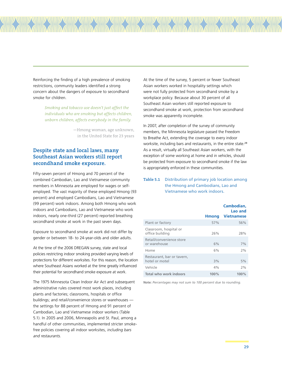Reinforcing the finding of a high prevalence of smoking restrictions, community leaders identified a strong concern about the dangers of exposure to secondhand smoke for children.

> *Smoking and tobacco use doesn't just affect the individuals who are smoking but affects children, unborn children, affects everybody in the family.*

> > —Hmong woman, age unknown, in the United State for 23 years

# **Despite state and local laws, many Southeast Asian workers still report secondhand smoke exposure.**

Fifty-seven percent of Hmong and 70 percent of the combined Cambodian, Lao and Vietnamese community members in Minnesota are employed for wages or selfemployed. The vast majority of these employed Hmong (93 percent) and employed Cambodians, Lao and Vietnamese (99 percent) work indoors. Among both Hmong who work indoors and Cambodians, Lao and Vietnamese who work indoors, nearly one-third (27 percent) reported breathing secondhand smoke at work in the past seven days.

Exposure to secondhand smoke at work did not differ by gender or between 18- to 24-year-olds and older adults.

At the time of the 2006 DREGAN survey, state and local policies restricting indoor smoking provided varying levels of protections for different worksites. For this reason, the location where Southeast Asians worked at the time greatly influenced their potential for secondhand smoke exposure at work.

The 1975 Minnesota Clean Indoor Air Act and subsequent administrative rules covered most work places, including plants and factories; classrooms, hospitals or office buildings; and retail/convenience stores or warehouses the settings for 88 percent of Hmong and 91 percent of Cambodian, Lao and Vietnamese indoor workers (Table 5.1). In 2005 and 2006, Minneapolis and St. Paul, among a handful of other communities, implemented stricter smokefree policies covering all indoor worksites, including bars and restaurants.

At the time of the survey, 5 percent or fewer Southeast Asian workers worked in hospitality settings which were not fully protected from secondhand smoke by a workplace policy. Because about 30 percent of all Southeast Asian workers still reported exposure to secondhand smoke at work, protection from secondhand smoke was apparently incomplete.

In 2007, after completion of the survey of community members, the Minnesota legislature passed the Freedom to Breathe Act, extending the coverage to every indoor worksite, including bars and restaurants, in the entire state.<sup>29</sup> As a result, virtually all Southeast Asian workers, with the exception of some working at home and in vehicles, should be protected from exposure to secondhand smoke if the law is appropriately enforced in these communities.

# **Table 5.1** Distribution of primary job location among the Hmong and Cambodians, Lao and Vietnamese who work indoors.

|                                              | <b>Hmong</b> | Cambodian.<br>Lao and<br><b>Vietnamese</b> |
|----------------------------------------------|--------------|--------------------------------------------|
| Plant or factory                             | 57%          | 56%                                        |
| Classroom, hospital or<br>office building    | 26%          | 28%                                        |
| Retail/convenience store<br>or warehouse     | 6%           | 7%                                         |
| Home                                         | 6%           | 2%                                         |
| Restaurant, bar or tavern,<br>hotel or motel | 3%           | 5%                                         |
| Vehicle                                      | 4%           | 2%                                         |
| <b>Total who work indoors</b>                | 100%         | 100%                                       |

**Note:** *Percentages may not sum to 100 percent due to rounding.*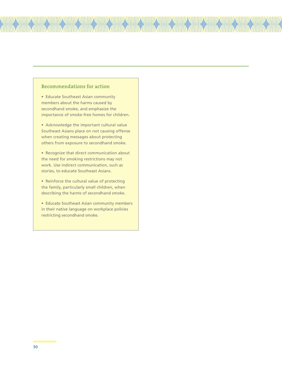# **Recommendations for action**

• Educate Southeast Asian community members about the harms caused by secondhand smoke, and emphasize the importance of smoke-free homes for children.

77711111111

• Acknowledge the important cultural value Southeast Asians place on not causing offense when creating messages about protecting others from exposure to secondhand smoke.

• Recognize that direct communication about the need for smoking restrictions may not work. Use indirect communication, such as stories, to educate Southeast Asians.

• Reinforce the cultural value of protecting the family, particularly small children, when describing the harms of secondhand smoke.

• Educate Southeast Asian community members in their native language on workplace policies restricting secondhand smoke.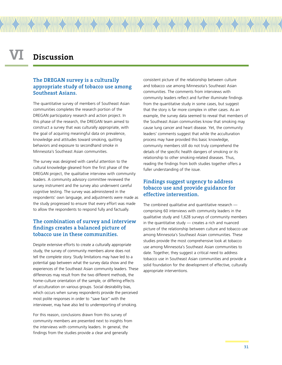# **VI Discussion**

# **The DREGAN survey is a culturally appropriate study of tobacco use among Southeast Asians.**

The quantitative survey of members of Southeast Asian communities completes the research portion of the DREGAN participatory research and action project. In this phase of the research, the DREGAN team aimed to construct a survey that was culturally appropriate, with the goal of acquiring meaningful data on prevalence, knowledge and attitudes toward smoking, quitting behaviors and exposure to secondhand smoke in Minnesota's Southeast Asian communities.

The survey was designed with careful attention to the cultural knowledge gleaned from the first phase of the DREGAN project, the qualitative interview with community leaders. A community advisory committee reviewed the survey instrument and the survey also underwent careful cognitive testing. The survey was administered in the respondents' own language, and adjustments were made as the study progressed to ensure that every effort was made to allow the respondents to respond fully and factually.

# **The combination of survey and interview findings creates a balanced picture of tobacco use in these communities.**

Despite extensive efforts to create a culturally appropriate study, the survey of community members alone does not tell the complete story. Study limitations may have led to a potential gap between what the survey data show and the experiences of the Southeast Asian community leaders. These differences may result from the two different methods, the home-culture orientation of the sample, or differing effects of acculturation on various groups. Social desirability bias, which occurs when survey respondents provide the perceived most polite responses in order to "save face" with the interviewer, may have also led to underreporting of smoking.

For this reason, conclusions drawn from this survey of community members are presented next to insights from the interviews with community leaders. In general, the findings from the studies provide a clear and generally

consistent picture of the relationship between culture and tobacco use among Minnesota's Southeast Asian communities. The comments from interviews with community leaders reflect and further illuminate findings from the quantitative study in some cases, but suggest that the story is far more complex in other cases. As an example, the survey data seemed to reveal that members of the Southeast Asian communities know that smoking may cause lung cancer and heart disease. Yet, the community leaders' comments suggest that while the acculturation process may have provided this basic knowledge, community members still do not truly comprehend the details of the specific health dangers of smoking or its relationship to other smoking-related diseases. Thus, reading the findings from both studies together offers a fuller understanding of the issue.

# **Findings suggest urgency to address tobacco use and provide guidance for effective intervention.**

The combined qualitative and quantitative research comprising 60 interviews with community leaders in the qualitative study and 1,628 surveys of community members in the quantitative study — creates a rich and nuanced picture of the relationship between culture and tobacco use among Minnesota's Southeast Asian communities. These studies provide the most comprehensive look at tobacco use among Minnesota's Southeast Asian communities to date. Together, they suggest a critical need to address tobacco use in Southeast Asian communities and provide a solid foundation for the development of effective, culturally appropriate interventions.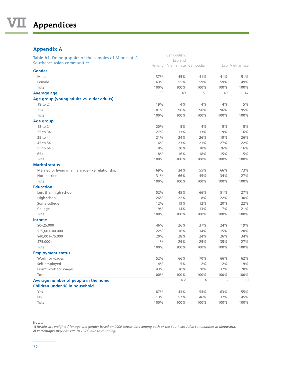# **Appendix A**

| $11$ $P$ $P$ $C$ $I$ $M$ $I$ $I$ $I$                 |        |                                 |       |       |                |
|------------------------------------------------------|--------|---------------------------------|-------|-------|----------------|
| Table A1. Demographics of the samples of Minnesota's |        | Cambodian,                      |       |       |                |
| Southeast Asian communities                          | Hmong  | Lao and<br>Vietnamese Cambodian |       |       | Lao Vietnamese |
| Gender                                               |        |                                 |       |       |                |
| Male                                                 | 37%    | 45%                             | 41%   | 41%   | 51%            |
| Female                                               | 63%    | 55%                             | 59%   | 59%   | 49%            |
| Total                                                | 100%   | 100%                            | 100%  | 100%  | 100%           |
| <b>Average age</b>                                   | 39     | 49                              | 51    | 49    | 47             |
| Age group (young adults vs. older adults)            |        |                                 |       |       |                |
| 18 to 24                                             | 19%    | 4%                              | 4%    | 4%    | 5%             |
| $25+$                                                | 81%    | 96%                             | 96%   | 96%   | 95%            |
| Total                                                | 100%   | 100%                            | 100%  | 100%  | 100%           |
| <b>Age group</b>                                     |        |                                 |       |       |                |
| 18 to 24                                             | 20%    | 5%                              | 4%    | 5%    | 5%             |
| 25 to 34                                             | 27%    | 13%                             | 13%   | 9%    | 16%            |
| 35 to 44                                             | 21%    | 24%                             | 26%   | 19%   | 26%            |
| 45 to 54                                             | 16%    | 23%                             | 21%   | 27%   | 22%            |
| 55 to 64                                             | $8\%$  | 20%                             | 18%   | 26%   | 16%            |
| $65+$                                                | 8%     | 16%                             | 18%   | 15%   | 15%            |
| Total                                                | 100%   | 100%                            | 100%  | 100%  | 100%           |
| <b>Marital status</b>                                |        |                                 |       |       |                |
| Married or living in a marriage-like relationship    | 69%    | 34%                             | 55%   | 66%   | 73%            |
| Not married                                          | 31%    | 66%                             | 45%   | 34%   | 27%            |
| Total                                                | 100%   | 100%                            | 100%  | 100%  | 100%           |
| <b>Education</b>                                     |        |                                 |       |       |                |
| Less than high school                                | 52%    | 45%                             | 66%   | 51%   | 27%            |
| High school                                          | 26%    | 22%                             | 8%    | 22%   | 30%            |
| Some college                                         | 12%    | 19%                             | 12%   | 20%   | 22%            |
| College                                              | 9%     | 14%                             | 13%   | 7%    | 21%            |
| Total                                                | 100%   | 100%                            | 100%  | 100%  | 100%           |
| <b>Income</b>                                        |        |                                 |       |       |                |
| $$0 - 25,000$                                        | 46%    | 26%                             | 37%   | 24%   | 19%            |
| \$25,001-40,000                                      | 22%    | 16%                             | 14%   | 15%   | 20%            |
| \$40,001-75,000                                      | 20%    | 28%                             | 24%   | 26%   | 34%            |
| $$75,000+$                                           | 11%    | 29%                             | 25%   | 35%   | 27%            |
| Total                                                | 100%   | 100%                            | 100%  | 100%  | 100%           |
| <b>Employment status</b>                             |        |                                 |       |       |                |
| Work for wages                                       | $52\%$ | 66%                             | 70%   | 66%   | 62%            |
| Self-employed                                        | 4%     | $5\%$                           | $2\%$ | $2\%$ | $9\%$          |
| Don't work for wages                                 | 43%    | 30%                             | 28%   | 32%   | 28%            |
| Total                                                | 100%   | 100%                            | 100%  | 100%  | 100%           |
| Average number of people in the home                 | 6      | 4.2                             | 4     | 5     | 3.9            |
| Children under 18 in household                       |        |                                 |       |       |                |
| Yes                                                  | 87%    | 43%                             | 54%   | 63%   | 55%            |
| No                                                   | 13%    | 57%                             | 46%   | 37%   | 45%            |
| Total                                                | 100%   | 100%                            | 100%  | 100%  | 100%           |

**Notes:** 

1) Results are weighted for age and gender based on 2000 census data among each of the Southeast Asian communities in Minnesota. **2)** *Percentages may not sum to 100% due to rounding.*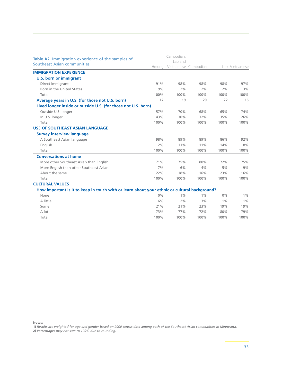| Table A2. Immigration experience of the samples of                                           |       | Cambodian.<br>Lao and |       |       |                |
|----------------------------------------------------------------------------------------------|-------|-----------------------|-------|-------|----------------|
| Southeast Asian communities                                                                  | Hmong | Vietnamese Cambodian  |       |       | Lao Vietnamese |
| <b>IMMIGRATION EXPERIENCE</b>                                                                |       |                       |       |       |                |
| <b>U.S. born or immigrant</b>                                                                |       |                       |       |       |                |
| Direct immigrant                                                                             | 91%   | 98%                   | 98%   | 98%   | 97%            |
| Born in the United States                                                                    | 9%    | 2%                    | 2%    | 2%    | 3%             |
| Total                                                                                        | 100%  | 100%                  | 100%  | 100%  | 100%           |
| Average years in U.S. (for those not U.S. born)                                              | 17    | 19                    | 20    | 22    | 16             |
| Lived longer inside or outside U.S. (for those not U.S. born)                                |       |                       |       |       |                |
| Outside U.S. longer                                                                          | 57%   | 70%                   | 68%   | 65%   | 74%            |
| In U.S. longer                                                                               | 43%   | 30%                   | 32%   | 35%   | 26%            |
| Total                                                                                        | 100%  | 100%                  | 100%  | 100%  | 100%           |
| <b>USE OF SOUTHEAST ASIAN LANGUAGE</b>                                                       |       |                       |       |       |                |
| <b>Survey interview language</b>                                                             |       |                       |       |       |                |
| A Southeast Asian language                                                                   | 98%   | 89%                   | 89%   | 86%   | 92%            |
| English                                                                                      | 2%    | 11%                   | 11%   | 14%   | 8%             |
| Total                                                                                        | 100%  | 100%                  | 100%  | 100%  | 100%           |
| <b>Conversations at home</b>                                                                 |       |                       |       |       |                |
| More other Southeast Asian than English                                                      | 71%   | 75%                   | 80%   | 72%   | 75%            |
| More English than other Southeast Asian                                                      | 7%    | 6%                    | 4%    | 5%    | 9%             |
| About the same                                                                               | 22%   | 18%                   | 16%   | 23%   | 16%            |
| Total                                                                                        | 100%  | 100%                  | 100%  | 100%  | 100%           |
| <b>CULTURAL VALUES</b>                                                                       |       |                       |       |       |                |
| How important is it to keep in touch with or learn about your ethnic or cultural background? |       |                       |       |       |                |
| None                                                                                         | $0\%$ | $1\%$                 | $1\%$ | $0\%$ | $1\%$          |
| A little                                                                                     | 6%    | 2%                    | 3%    | $1\%$ | 1%             |
| Some                                                                                         | 21%   | 21%                   | 23%   | 19%   | 19%            |
| A lot                                                                                        | 73%   | 77%                   | 72%   | 80%   | 79%            |
| Total                                                                                        | 100%  | 100%                  | 100%  | 100%  | 100%           |

**Notes:**

1) Results are weighted for age and gender based on 2000 census data among each of the Southeast Asian communities in Minnesota.

**2)** *Percentages may not sum to 100% due to rounding.*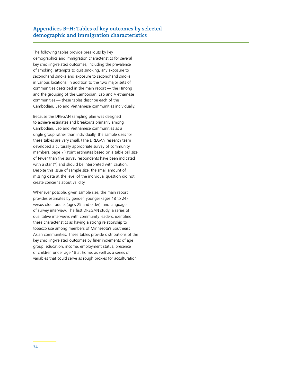# **Appendices B–H: Tables of key outcomes by selected demographic and immigration characteristics**

The following tables provide breakouts by key demographics and immigration characteristics for several key smoking-related outcomes, including the prevalence of smoking, attempts to quit smoking, any exposure to secondhand smoke and exposure to secondhand smoke in various locations. In addition to the two major sets of communities described in the main report — the Hmong and the grouping of the Cambodian, Lao and Vietnamese communities — these tables describe each of the Cambodian, Lao and Vietnamese communities individually.

Because the DREGAN sampling plan was designed to achieve estimates and breakouts primarily among Cambodian, Lao and Vietnamese communities as a single group rather than individually, the sample sizes for these tables are very small. (The DREGAN research team developed a culturally appropriate survey of community members, page 7.) Point estimates based on a table cell size of fewer than five survey respondents have been indicated with a star (\*) and should be interpreted with caution. Despite this issue of sample size, the small amount of missing data at the level of the individual question did not create concerns about validity.

Whenever possible, given sample size, the main report provides estimates by gender, younger (ages 18 to 24) versus older adults (ages 25 and older), and language of survey interview. The first DREGAN study, a series of qualitative interviews with community leaders, identified these characteristics as having a strong relationship to tobacco use among members of Minnesota's Southeast Asian communities. These tables provide distributions of the key smoking-related outcomes by finer increments of age group, education, income, employment status, presence of children under age 18 at home, as well as a series of variables that could serve as rough proxies for acculturation.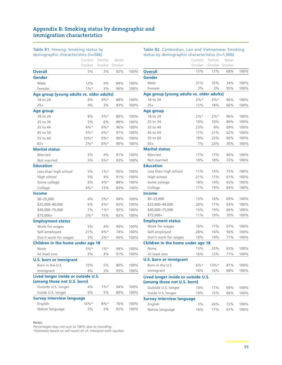#### demographic characteristics (n=586) Current Former Smoker Smoker Smoker Never **Overall** 5% 3% 92% 100% **Gender** Male 12% 4% 84% 100% Female 1%\* 3% 96% 100% **Age group (young adults vs. older adults)** 18 to 24 8% 8% 8% 88% 100% 25+ 4% 3% 93% 100% **Age group** 18 to 24 8% 3%\* 89% 100% 25 to 34 5% 6% 89% 100% 35 to 44  $4\%$  \* 0% \* 96% 100% 45 to 54 3%\* 0%\* 97% 100% 55 to 64 10%\* 0%\* 90% 100% 65+ 2%\* 8%\* 90% 100% **Marital status** Married 5% 4% 91% 100% Not married 5% 3%\* 93% 100% **Education** Less than high school 5% 1%\* 95% 100% High school 5% 4% 91% 100% Some college 8% 4%\* 88% 100% College  $4\%*$  13% 83% 100% **Income** \$0–25,000 4% 2%\* 94% 100% \$25,000–40,000 6% 3%\* 92% 100% \$40,000–75,000 7% 1%\* 92% 100%

**Table B1.** Hmong: Smoking status by

### Work for wages 5% 4% 90% 100% Self-employed 21% 4%\* 74% 100% Don't work for wages 3% 2%\* 95% 100% **Children in the home under age 18** None 5%\* 1%\* 94% 100% At least one 5% 4% 91% 100% **U.S. born or immigrant** Born in the U.S. 15% 5% 80% 100% Immigrant 4% 3% 93% 100% **Lived longer inside or outside U.S. (among those not U.S. born)** Outside U.S. longer 4% 1%\* 94% 100% Inside U.S. longer 6% 5% 89% 100% **Survey interview language** English 16%\* 8%\* 76% 100%

Native language 5% 3% 92% 100%

\$75,000+ 2%\* 15% 83% 100%

#### **Notes:**

**Employment status**

*Percentages may not sum to 100% due to rounding.* 

*\*Estimates based on cell count of <5. Interpret with caution.*

#### **Table B2.** Cambodian, Lao and Vietnamese: Smoking status by demographic characteristics (n=1,006)

| status by demographic characteristics $(1 - 1,000)$ |         |        |        |      |
|-----------------------------------------------------|---------|--------|--------|------|
|                                                     | Current | Former | Never  |      |
|                                                     | Smoker  | Smoker | Smoker |      |
| <b>Overall</b>                                      | 15%     | 17%    | 68%    | 100% |
| Gender                                              |         |        |        |      |
| Male                                                | 31%     | 35%    | 34%    | 100% |
| Female                                              | 2%      | 3%     | 95%    | 100% |
| Age group (young adults vs. older adults)           |         |        |        |      |
| 18 to 24                                            | $2\%*$  | $2\%*$ | 96%    | 100% |
| $25+$                                               | 15%     | 18%    | 66%    | 100% |
| Age group                                           |         |        |        |      |
| 18 to 24                                            | 2%      | $2\%*$ | 96%    | 100% |
| 25 to 34                                            | 10%     | 10%    | 80%    | 100% |
| 35 to 44                                            | 23%     | 8%     | 69%    | 100% |
| 45 to 54                                            | 17%     | 21%    | 62%    | 100% |
| 55 to 64                                            | 18%     | 22%    | 60%    | 100% |
| $65+$                                               | 7%      | 23%    | 70%    | 100% |
| <b>Marital status</b>                               |         |        |        |      |
| Married                                             | 17%     | 17%    | 66%    | 100% |
| Not married                                         | 10%     | 18%    | 72%    | 100% |
| <b>Education</b>                                    |         |        |        |      |
| Less than high school                               | 11%     | 14%    | 75%    | 100% |
| High school                                         | 21%     | 17%    | 61%    | 100% |
| Some college                                        | 18%     | 19%    | 63%    | 100% |
| College                                             | 17%     | 19%    | 64%    | 100% |
| <b>Income</b>                                       |         |        |        |      |
| $$0 - 25,000$                                       | 15%     | 16%    | 69%    | 100% |
| \$25,000-40,000                                     | 20%     | 17%    | 63%    | 100% |
| \$40,000-75,000                                     | 15%     | 19%    | 66%    | 100% |
| \$75,000+                                           | 11%     | 19%    | 70%    | 100% |
| <b>Employment status</b>                            |         |        |        |      |
| Work for wages                                      | 16%     | 17%    | 67%    | 100% |
| Self-employed                                       | 28%     | 16%    | 56%    | 100% |
| Don't work for wages                                | 10%     | 19%    | 71%    | 100% |
| Children in the home under age 18                   |         |        |        |      |
| None                                                | 13%     | 23%    | 63%    | 100% |
| At least one                                        | 16%     | 13%    | 71%    | 100% |
| <b>U.S. born or immigrant</b>                       |         |        |        |      |
| Born in the U.S.                                    | $6\%*$  | 13%    | 81%    | 100% |
| Immigrant                                           | 16%     | 16%    | 68%    | 100% |
| Lived longer inside or outside U.S.                 |         |        |        |      |
| (among those not U.S. born)                         |         |        |        |      |
| Outside U.S. longer                                 | 14%     | 17%    | 69%    | 100% |
| Inside U.S. longer                                  | 19%     | 15%    | 66%    | 100% |
| <b>Survey interview language</b>                    |         |        |        |      |
| English                                             | 3%      | 24%    | 72%    | 100% |
| Native language                                     | 16%     | 17%    | 67%    | 100% |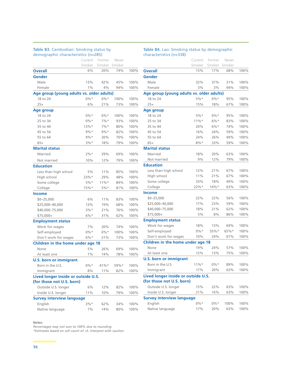#### **Table B3.** Cambodian: Smoking status by demographic characteristics (n=285)

|                                           | Current | Former  | Never  |      |
|-------------------------------------------|---------|---------|--------|------|
|                                           | Smoker  | Smoker  | Smoker |      |
| <b>Overall</b>                            | 6%      | 20%     | 74%    | 100% |
| <b>Gender</b>                             |         |         |        |      |
| Male                                      | 13%     | 42%     | 45%    | 100% |
| Female                                    | $1\%$   | 4%      | 94%    | 100% |
| Age group (young adults vs. older adults) |         |         |        |      |
| 18 to 24                                  | $0\%*$  | $0\%*$  | 100%   | 100% |
| $25+$                                     | 6%      | 21%     | 73%    | 100% |
| Age group                                 |         |         |        |      |
| 18 to 24                                  | $0\%*$  | $0\%*$  | 100%   | 100% |
| 25 to 34                                  | $0\%*$  | $7\%*$  | 93%    | 100% |
| 35 to 44                                  | $13%$ * | $7\%*$  | 80%    | 100% |
| 45 to 54                                  | $9%$ *  | $9\%*$  | 82%    | 100% |
| 55 to 64                                  | $9%$ *  | 20%     | 70%    | 100% |
| $65+$                                     | 3%*     | 18%     | 79%    | 100% |
| <b>Marital status</b>                     |         |         |        |      |
| Married                                   | 2%*     | 29%     | 69%    | 100% |
| Not married                               | 10%     | 12%     | 79%    | 100% |
| <b>Education</b>                          |         |         |        |      |
| Less than high school                     | 5%      | 11%     | 85%    | 100% |
| High school                               | 23%*    | 29%     | 48%    | 100% |
| Some college                              | $5%$ *  | $11\%*$ | 84%    | 100% |
| College                                   | $15%$ * | 5%*     | 81%    | 100% |
| <b>Income</b>                             |         |         |        |      |
| $$0 - 25,000$                             | 6%      | 11%     | 83%    | 100% |
| \$25,000-40,000                           | 13%     | 19%     | 68%    | 100% |
| \$40,000-75,000                           | $3%$ *  | 21%     | 76%    | 100% |
| $$75,000+$                                | $6\%*$  | 31%     | 62%    | 100% |
| <b>Employment status</b>                  |         |         |        |      |
| Work for wages                            | 7%      | 20%     | 74%    | 100% |
| Self-employed                             | $0\% *$ | $0\% *$ | 100%   | 100% |
| Don't work for wages                      | $6\%*$  | 21%     | 73%    | 100% |
| Children in the home under age 18         |         |         |        |      |
| None                                      | 5%      | 26%     | 69%    | 100% |
| At least one                              | 7%      | 14%     | 78%    | 100% |
| <b>U.S. born or immigrant</b>             |         |         |        |      |
| Born in the U.S.                          | 0%*     | $41\%*$ | 59%*   | 100% |
| Immigrant                                 | 8%      | 11%     | 82%    | 100% |
| Lived longer inside or outside U.S.       |         |         |        |      |
| (for those not U.S. born)                 |         |         |        |      |
| Outside U.S. longer                       | 6%      | 12%     | 82%    | 100% |
| Inside U.S. longer                        | 11%     | 10%     | 79%    | 100% |
| <b>Survey interview language</b>          |         |         |        |      |
| English                                   | $3%$ *  | 62%     | 34%    | 100% |
| Native language                           | 7%      | 14%     | 80%    | 100% |

#### **Table B4.** Lao: Smoking status by demographic characteristics (n=338)

|                                           | Current  | Former  | Never  |      |
|-------------------------------------------|----------|---------|--------|------|
|                                           | Smoker   | Smoker  | Smoker |      |
| <b>Overall</b>                            | 15%      | 17%     | 68%    | 100% |
| <b>Gender</b>                             |          |         |        |      |
| Male                                      | 32%      | 37%     | 31%    | 100% |
| Female                                    | 3%       | $3\%$   | 94%    | 100% |
| Age group (young adults vs. older adults) |          |         |        |      |
| 18 to 24                                  | $5%$ *   | $0\%*$  | 95%    | 100% |
| $25+$                                     | 15%      | 18%     | 67%    | 100% |
| <b>Age group</b>                          |          |         |        |      |
| 18 to 24                                  | $5%$ *   | $0\%*$  | 95%    | 100% |
| 25 to 34                                  | $11\%*$  | $6\%*$  | 83%    | 100% |
| 35 to 44                                  | 20%      | $6\%*$  | 74%    | 100% |
| 45 to 54                                  | 16%      | 24%     | 59%    | 100% |
| 55 to 64                                  | 24%      | 26%     | 49%    | 100% |
| $65+$                                     | $8\%*$   | 33%     | 59%    | 100% |
| <b>Marital status</b>                     |          |         |        |      |
| Married                                   | 18%      | 20%     | 63%    | 100% |
| Not married                               | 9%       | 12%     | 79%    | 100% |
| <b>Education</b>                          |          |         |        |      |
| Less than high school                     | 12%      | 21%     | 67%    | 100% |
| High school                               | 11%      | 21%     | 67%    | 100% |
| Some college                              | 33%      | 18%     | 49%    | 100% |
| College                                   | 22%      | $14%$ * | 63%    | 100% |
| <b>Income</b>                             |          |         |        |      |
| $$0 - 25,000$                             | 22%      | 22%     | 56%    | 100% |
| \$25,000-40,000                           | 17%      | 23%     | 59%    | 100% |
| \$40,000-75,000                           | 18%      | 21%     | 62%    | 100% |
| \$75,000+                                 | $5\%$    | 8%      | 86%    | 100% |
| <b>Employment status</b>                  |          |         |        |      |
| Work for wages                            | 18%      | 13%     | 69%    | 100% |
| Self-employed                             | $0\%*$   | 35%*    | 65%*   | 100% |
| Don't work for wages                      | 10%      | 24%     | 67%    | 100% |
| Children in the home under age 18         |          |         |        |      |
| None                                      | 19%      | 24%     | 57%    | 100% |
| At least one                              | 12%      | 13%     | 75%    | 100% |
| <b>U.S. born or immigrant</b>             |          |         |        |      |
| Born in the U.S.                          | $11\%$ * | $0\%*$  | 89%    | 100% |
| Immigrant                                 | 17%      | 20%     | 63%    | 100% |
| Lived longer inside or outside U.S.       |          |         |        |      |
| (for those not U.S. born)                 |          |         |        |      |
| Outside U.S. longer                       | 15%      | 22%     | 63%    | 100% |
| Inside U.S. longer                        | 21%      | 16%     | 63%    | 100% |
| <b>Survey interview language</b>          |          |         |        |      |
| English                                   | $0\%*$   | $0\%*$  | 100%   | 100% |
| Native language                           | 17%      | 20%     | 63%    | 100% |

#### **Notes:**

*Percentages may not sum to 100% due to rounding.*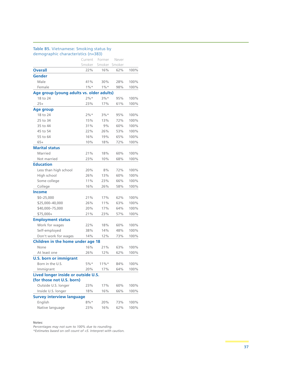#### **Table B5.** Vietnamese: Smoking status by demographic characteristics (n=383)

|                                           | Current | Former   | Never  |      |
|-------------------------------------------|---------|----------|--------|------|
|                                           | Smoker  | Smoker   | Smoker |      |
| <b>Overall</b>                            | 22%     | 16%      | 62%    | 100% |
| Gender                                    |         |          |        |      |
| Male                                      | 41%     | 30%      | 28%    | 100% |
| Female                                    | $1\%$ * | $1\% *$  | 98%    | 100% |
| Age group (young adults vs. older adults) |         |          |        |      |
| 18 to 24                                  | $2%$ *  | $3%$ *   | 95%    | 100% |
| $25+$                                     | 23%     | 17%      | 61%    | 100% |
| <b>Age group</b>                          |         |          |        |      |
| 18 to 24                                  | $2%$ *  | $3%$ *   | 95%    | 100% |
| 25 to 34                                  | 15%     | 13%      | 72%    | 100% |
| 35 to 44                                  | 31%     | 9%       | 60%    | 100% |
| 45 to 54                                  | 22%     | 26%      | 53%    | 100% |
| 55 to 64                                  | 16%     | 19%      | 65%    | 100% |
| $65+$                                     | 10%     | 18%      | 72%    | 100% |
| <b>Marital status</b>                     |         |          |        |      |
| Married                                   | 21%     | 18%      | 60%    | 100% |
| Not married                               | 23%     | 10%      | 68%    | 100% |
| <b>Education</b>                          |         |          |        |      |
| Less than high school                     | 20%     | 8%       | 72%    | 100% |
| High school                               | 26%     | 13%      | 60%    | 100% |
| Some college                              | 11%     | 23%      | 66%    | 100% |
| College                                   | 16%     | 26%      | 58%    | 100% |
| <b>Income</b>                             |         |          |        |      |
| $$0 - 25,000$                             | 21%     | 17%      | 62%    | 100% |
| \$25,000-40,000                           | 26%     | 11%      | 63%    | 100% |
| \$40,000-75,000                           | 20%     | 17%      | 64%    | 100% |
| \$75,000+                                 | 21%     | 23%      | 57%    | 100% |
| <b>Employment status</b>                  |         |          |        |      |
| Work for wages                            | 22%     | 18%      | 60%    | 100% |
| Self-employed                             | 38%     | 14%      | 48%    | 100% |
| Don't work for wages                      | 14%     | 12%      | 73%    | 100% |
| Children in the home under age 18         |         |          |        |      |
| None                                      | 16%     | 21%      | 63%    | 100% |
| At least one                              | 26%     | 12%      | 62%    | 100% |
| <b>U.S. born or immigrant</b>             |         |          |        |      |
| Born in the U.S.                          | 5%*     | $11\%$ * | 84%    | 100% |
| Immigrant                                 | 20%     | 17%      | 64%    | 100% |
| Lived longer inside or outside U.S.       |         |          |        |      |
| (for those not U.S. born)                 |         |          |        |      |
| Outside U.S. longer                       | 23%     | 17%      | 60%    | 100% |
| Inside U.S. longer                        | 18%     | 16%      | 66%    | 100% |
| <b>Survey interview language</b>          |         |          |        |      |
| English                                   | $8\%*$  | 20%      | 73%    | 100% |
| Native language                           | 23%     | 16%      | 62%    | 100% |

#### **Notes:**

*Percentages may not sum to 100% due to rounding.*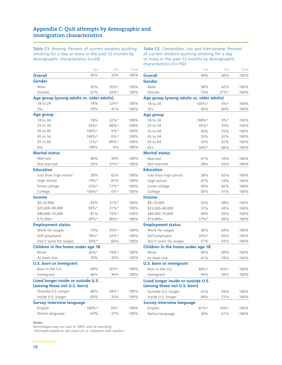# **Appendix C: Quit attempts by demographic and immigration characteristics**

**Table C1.** Hmong: Percent of current smokers quitting smoking for a day or more in the past 12 months by demographic characteristics (n=29)

**Table C2.** Cambodian, Lao and Vietnamese: Percent of current smokers quitting smoking for a day or more in the past 12 months by demographic characteristics (n=150)

Yes No Total

|                                                                    | Yes      | No      | Total |
|--------------------------------------------------------------------|----------|---------|-------|
| <b>Overall</b>                                                     | 65%      | 35%     | 100%  |
| <b>Gender</b>                                                      |          |         |       |
| Male                                                               | 65%      | $35%$ * | 100%  |
| Female                                                             | 67%      | 33%*    | 100%  |
| Age group (young adults vs. older adults)                          |          |         |       |
| 18 to 24                                                           | 78%      | $22%$ * | 100%  |
| $25+$                                                              | 59%      | 41%     | 100%  |
| Age group                                                          |          |         |       |
| 18 to 24                                                           | 78%      | 22%     | 100%  |
| 25 to 34                                                           | 52%*     | 48%*    | 100%  |
| 35 to 44                                                           | 100%*    | $0\%*$  | 100%  |
| 45 to 54                                                           | 100%*    | $0\%*$  | 100%  |
| 55 to 64                                                           | $11\%$ * | 89%*    | 100%  |
| $65+$                                                              | 100%     | $0\%$   | 100%  |
| <b>Marital status</b>                                              |          |         |       |
| Married                                                            | 66%      | 34%     | 100%  |
| Not married                                                        | 63%      | 37%*    | 100%  |
| <b>Education</b>                                                   |          |         |       |
| Less than high school                                              | 38%      | 62%     | 100%  |
| High school                                                        | $19%$ *  | 81%     | 100%  |
| Some college                                                       | 23%*     | 77%     | 100%  |
| College                                                            | 100%*    | $0\% *$ | 100%  |
| <b>Income</b>                                                      |          |         |       |
| $$0 - 25,000$                                                      | 63%      | $37%$ * | 100%  |
| \$25,000-40,000                                                    | 69%*     | $31\%*$ | 100%  |
| \$40,000-75,000                                                    | 81%      | $19%$ * | 100%  |
| $$75,000+$                                                         | $20\%*$  | $80\%*$ | 100%  |
| <b>Employment status</b>                                           |          |         |       |
| Work for wages                                                     | 75%      | 25%     | 100%  |
| Self-employed                                                      | 78%*     | 22%*    | 100%  |
| Don't work for wages                                               | $34\%*$  | 66%     | 100%  |
| Children in the home under age 18                                  |          |         |       |
| None                                                               | 26%*     | 74%*    | 100%  |
| At least one                                                       | 70%      | 30%     | 100%  |
| <b>U.S. born or immigrant</b>                                      |          |         |       |
| Born in the U.S.                                                   | 64%      | 36%*    | 100%  |
| Immigrant                                                          | 66%      | 34%     | 100%  |
| Lived longer inside or outside U.S.<br>(among those not U.S. born) |          |         |       |
| Outside U.S. longer                                                | 66%      | $34%$ * | 100%  |
| Inside U.S. longer                                                 | 65%      | 35%     | 100%  |
| <b>Survey interview language</b>                                   |          |         |       |
| English                                                            | $100\%*$ | $0\%*$  | 100%  |
| Native language                                                    | 63%      | 37%     | 100%  |
|                                                                    |          |         |       |

**Notes:** 

*Percentages may not sum to 100% due to rounding.* 

| Overall                                   | 40%     | 60%     | 100% |
|-------------------------------------------|---------|---------|------|
| Gender                                    |         |         |      |
| Male                                      | 38%     | 62%     | 100% |
| Female                                    | 73%     | $27%$ * | 100% |
| Age group (young adults vs. older adults) |         |         |      |
| 18 to 24                                  | 100%*   | $0\%*$  | 100% |
| $25+$                                     | 40%     | 60%     | 100% |
| Age group                                 |         |         |      |
| 18 to 24                                  | 100%*   | $0\%*$  | 100% |
| 25 to 34                                  | 45%*    | 55%     | 100% |
| 35 to 44                                  | 45%     | 55%     | 100% |
| 45 to 54                                  | 53%     | 47%     | 100% |
| 55 to 64                                  | 33%     | 67%     | 100% |
| $65+$                                     | 34%*    | 66%     | 100% |
| <b>Marital status</b>                     |         |         |      |
| Married                                   | 41%     | 59%     | 100% |
| Not married                               | 38%     | 62%     | 100% |
| <b>Education</b>                          |         |         |      |
| Less than high school                     | 38%     | 62%     | 100% |
| High school                               | 47%     | 53%     | 100% |
| Some college                              | 40%     | 60%     | 100% |
| College                                   | 59%     | 41%     | 100% |
| <b>Income</b>                             |         |         |      |
| $$0 - 25,000$                             | 52%     | 48%     | 100% |
| \$25,000-40,000                           | 31%     | 69%     | 100% |
| \$40,000-75,000                           | 44%     | 56%     | 100% |
| \$75,000+                                 | 17%     | 83%     | 100% |
| <b>Employment status</b>                  |         |         |      |
| Work for wages                            | 36%     | 64%     | 100% |
| Self-employed                             | 35%*    | 65%     | 100% |
| Don't work for wages                      | 57%     | 43%     | 100% |
| Children in the home under age 18         |         |         |      |
| None                                      | 40%     | 60%     | 100% |
| At least one                              | 41%     | 59%     | 100% |
| <b>U.S. born or immigrant</b>             |         |         |      |
| Born in the U.S.                          | 84%*    | $16\%*$ | 100% |
| Immigrant                                 | 44%     | 56%     | 100% |
| Lived longer inside or outside U.S.       |         |         |      |
| (among those not U.S. born)               |         |         |      |
| Outside U.S. longer                       | 41%     | 59%     | 100% |
| Inside U.S. longer                        | 49%     | 51%     | 100% |
| <b>Survey interview language</b>          |         |         |      |
| English                                   | $81\%*$ | $19%$ * | 100% |
| Native language                           | 39%     | 61%     | 100% |
|                                           |         |         |      |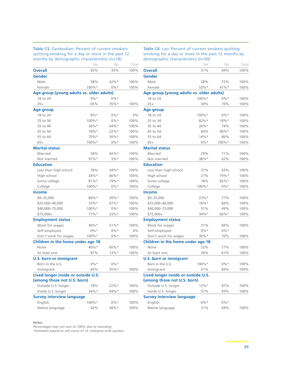**Table C3.** Cambodian: Percent of current smokers quitting smoking for a day or more in the past 12 months by demographic characteristics (n=18)

| Table C4. Lao: Percent of current smokers quitting |
|----------------------------------------------------|
| smoking for a day or more in the past 12 months by |
| demographic characteristics (n=50)                 |

| months by demographic characteristics (n=16) |          |         |       |
|----------------------------------------------|----------|---------|-------|
|                                              | Yes      | No      | Total |
| <b>Overall</b>                               | 65%      | 35%     | 100%  |
| Gender                                       |          |         |       |
| Male                                         | 58%      | 42%     | 100%  |
| Female                                       | 100%*    | $0\%*$  | 100%  |
| Age group (young adults vs. older adults)    |          |         |       |
| 18 to 24                                     | $0\%*$   | $0\%*$  |       |
| $25+$                                        | 65%      | $35%$ * | 100%  |
| Age group                                    |          |         |       |
| 18 to 24                                     | $0\%*$   | $0\%*$  | $0\%$ |
| 25 to 34                                     | 100%*    | $0\%*$  | 100%  |
| 35 to 44                                     | 36%*     | 64%*    | 100%  |
| 45 to 54                                     | 78%*     | $22%$ * | 100%  |
| 55 to 64                                     | 70%*     | 30%*    | 100%  |
| $65+$                                        | $100\%*$ | $0\%*$  | 100%  |
| <b>Marital status</b>                        |          |         |       |
| Married                                      | 58%      | 42%     | 100%  |
| Not married                                  | $97%$ *  | $3%$ *  | 100%  |
| <b>Education</b>                             |          |         |       |
| Less than high school                        | 76%      | $24%$ * | 100%  |
| High school                                  | $34\%*$  | 66%*    | 100%  |
| Some college                                 | $81\%*$  | $19%$ * | 100%  |
| College                                      | $100\%*$ | $0\%*$  | 100%  |
| <b>Income</b>                                |          |         |       |
| \$0-25,000                                   | $80\%*$  | $20\%*$ | 100%  |
| \$25,000-40,000                              | $33%$ *  | $67%$ * | 100%  |
| \$40,000-75,000                              | 100%*    | $0\%*$  | 100%  |
| \$75,000+                                    | 77%*     | $23%$ * | 100%  |
| <b>Employment status</b>                     |          |         |       |
| Work for wages                               | 49%*     | $51\%*$ | 100%  |
| Self-employed                                | $0\% *$  | $0\%*$  | $0\%$ |
| Don't work for wages                         | $100\%*$ | $0\%*$  | 100%  |
| Children in the home under age 18            |          |         |       |
| None                                         | 40%*     | $60\%*$ | 100%  |
| At least one                                 | 87%      | $13%$ * | 100%  |
| <b>U.S. born or immigrant</b>                |          |         |       |
| Born in the U.S.                             | $0\%*$   | $0\%*$  |       |
| Immigrant                                    | 65%      | $35\%*$ | 100%  |
| Lived longer inside or outside U.S.          |          |         |       |
| (among those not U.S. born)                  |          |         |       |
| Outside U.S. longer                          | 78%      | $22\%*$ | 100%  |
| Inside U.S. longer                           | $36\%*$  | 64%*    | 100%  |
| <b>Survey interview language</b>             |          |         |       |
| English                                      | $100\%*$ | $0\%*$  | 100%  |
| Native language                              | 62%      | 38%*    | 100%  |
|                                              |          |         |       |

#### **Notes:**

*Percentages may not sum to 100% due to rounding.*

|                                           | Yes       | Νo      | Total |
|-------------------------------------------|-----------|---------|-------|
| <b>Overall</b>                            | 31%       | 69%     | 100%  |
| Gender                                    |           |         |       |
| Male                                      | 28%       | 72%     | 100%  |
| Female                                    | 53%*      | $47%$ * | 100%  |
| Age group (young adults vs. older adults) |           |         |       |
| 18 to 24                                  | $100\%$ * | $0\%*$  | 100%  |
| $25+$                                     | 30%       | 70%     | 100%  |
| Age group                                 |           |         |       |
| 18 to 24                                  | 100%*     | $0\%*$  | 100%  |
| 25 to 34                                  | $82\%*$   | $18%$ * | 100%  |
| 35 to 44                                  | $26\%*$   | 74%     | 100%  |
| 45 to 54                                  | 60%       | $40\%*$ | 100%  |
| 55 to 64                                  | $14%$ *   | 86%     | 100%  |
| $65+$                                     | $0\%*$    | 100%*   | 100%  |
| <b>Marital status</b>                     |           |         |       |
| Married                                   | 29%       | 71%     | 100%  |
| Not married                               | 38%*      | 62%     | 100%  |
| <b>Education</b>                          |           |         |       |
| Less than high school                     | 37%       | 63%     | 100%  |
| High school                               | 21%       | 79%*    | 100%  |
| Some college                              | 18%       | 82%*    | 100%  |
| College                                   | 100%*     | $0\%*$  | 100%  |
| <b>Income</b>                             |           |         |       |
| $$0 - 25,000$                             | 23%*      | 77%     | 100%  |
| \$25,000-40,000                           | $16\%*$   | 84%     | 100%  |
| \$40,000-75,000                           | 51%       | 49%     | 100%  |
| \$75,000+                                 | 34%*      | 66%*    | 100%  |
| <b>Employment status</b>                  |           |         |       |
| Work for wages                            | 31%       | 69%     | 100%  |
| Self-employed                             | $0\%*$    | $0\% *$ |       |
| Don't work for wages                      | 30%*      | 70%     | 100%  |
| Children in the home under age 18         |           |         |       |
| None                                      | 23%       | 77%     | 100%  |
| At least one                              | 39%       | 61%     | 100%  |
| <b>U.S. born or immigrant</b>             |           |         |       |
| Born in the U.S.                          | 100%*     | $0\%*$  | 100%  |
| Immigrant                                 | $31\%$    | 69%     | 100%  |
| Lived longer inside or outside U.S.       |           |         |       |
| (among those not U.S. born)               |           |         |       |
| Outside U.S. longer                       | $13%$ *   | 87%     | 100%  |
| Inside U.S. longer                        | 57%       | 43%     | 100%  |
| <b>Survey interview language</b>          |           |         |       |
| English                                   | $0\%*$    | $0\%*$  |       |
| Native language                           | 31%       | 69%     | 100%  |
|                                           |           |         |       |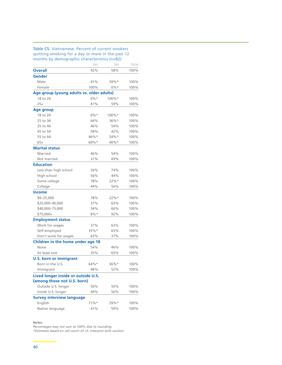#### **Table C5.** Vietnamese: Percent of current smokers quitting smoking for a day or more in the past 12 months by demographic characteristics (n=82)

|                                                                    | Yes      | No       | Total |
|--------------------------------------------------------------------|----------|----------|-------|
| <b>Overall</b>                                                     | 42%      | 58%      | 100%  |
| <b>Gender</b>                                                      |          |          |       |
| Male                                                               | 41%      | 59%*     | 100%  |
| Female                                                             | 100%     | $0\%*$   | 100%  |
| Age group (young adults vs. older adults)                          |          |          |       |
| 18 to 24                                                           | $0\%*$   | 100%*    | 100%  |
| $25+$                                                              | 41%      | 59%      | 100%  |
| Age group                                                          |          |          |       |
| 18 to 24                                                           | $0\%*$   | $100\%*$ | 100%  |
| 25 to 34                                                           | 64%      | 36%*     | 100%  |
| 35 to 44                                                           | 46%      | 54%      | 100%  |
| 45 to 54                                                           | 58%      | 42%      | 100%  |
| 55 to 64                                                           | 46%*     | 54%*     | 100%  |
| $65+$                                                              | $60\%*$  | 40%*     | 100%  |
| <b>Marital status</b>                                              |          |          |       |
| Married                                                            | 46%      | 54%      | 100%  |
| Not married                                                        | 31%      | 69%      | 100%  |
| <b>Education</b>                                                   |          |          |       |
| Less than high school                                              | 26%      | 74%      | 100%  |
| High school                                                        | 56%      | 44%      | 100%  |
| Some college                                                       | 78%      | 22%      | 100%  |
| College                                                            | 44%      | 56%      | 100%  |
| <b>Income</b>                                                      |          |          |       |
| $$0 - 25,000$                                                      | 78%      | 22%      | 100%  |
| \$25,000-40,000                                                    | 37%      | 63%      | 100%  |
| \$40,000-75,000                                                    | 34%      | 66%      | 100%  |
| $$75,000+$                                                         | $8\%*$   | 92%      | 100%  |
| <b>Employment status</b>                                           |          |          |       |
| Work for wages                                                     | 37%      | 63%      | 100%  |
| Self-employed                                                      | $35\%$ * | 65%      | 100%  |
| Don't work for wages                                               | 63%      | 37%      | 100%  |
| Children in the home under age 18                                  |          |          |       |
| None                                                               | 54%      | 46%      | 100%  |
| At least one                                                       | 35%      | 65%      | 100%  |
| <b>U.S. born or immigrant</b>                                      |          |          |       |
| Born in the U.S.                                                   | 64%*     | $36\%*$  | 100%  |
| Immigrant                                                          | 48%      | 52%      | 100%  |
| Lived longer inside or outside U.S.<br>(among those not U.S. born) |          |          |       |
| Outside U.S. longer                                                | 50%      | 50%      | 100%  |
| Inside U.S. longer                                                 | 44%      | 56%      | 100%  |
| <b>Survey interview language</b>                                   |          |          |       |
| English                                                            | 71%      | 29%*     | 100%  |
| Native language                                                    | 41%      | 59%      | 100%  |

**Notes:** 

*Percentages may not sum to 100% due to rounding.*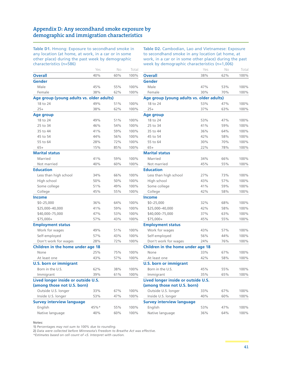# **Appendix D: Any secondhand smoke exposure by demographic and immigration characteristics**

**Table D1.** Hmong: Exposure to secondhand smoke in any location (at home, at work, in a car or in some other place) during the past week by demographic characteristics (n=586)

**Table D2.** Cambodian, Lao and Vietnamese: Exposure to secondhand smoke in any location (at home, at work, in a car or in some other place) during the past week by demographic characteristics (n=1,006)

| נווסו סכנכו ואנוכא (וו–טטט                |      |     |       |
|-------------------------------------------|------|-----|-------|
|                                           | Yes  | No  | Total |
| <b>Overall</b>                            | 40%  | 60% | 100%  |
| Gender                                    |      |     |       |
| Male                                      | 45%  | 55% | 100%  |
| Female                                    | 38%  | 62% | 100%  |
| Age group (young adults vs. older adults) |      |     |       |
| 18 to 24                                  | 49%  | 51% | 100%  |
| $25+$                                     | 38%  | 62% | 100%  |
| <b>Age group</b>                          |      |     |       |
| 18 to 24                                  | 49%  | 51% | 100%  |
| 25 to 34                                  | 46%  | 54% | 100%  |
| 35 to 44                                  | 41%  | 59% | 100%  |
| 45 to 54                                  | 44%  | 56% | 100%  |
| 55 to 64                                  | 28%  | 72% | 100%  |
| $65+$                                     | 15%  | 85% | 100%  |
| <b>Marital status</b>                     |      |     |       |
| Married                                   | 41%  | 59% | 100%  |
| Not married                               | 40%  | 60% | 100%  |
| <b>Education</b>                          |      |     |       |
| Less than high school                     | 34%  | 66% | 100%  |
| High school                               | 50%  | 50% | 100%  |
| Some college                              | 51%  | 49% | 100%  |
| College                                   | 45%  | 55% | 100%  |
| <b>Income</b>                             |      |     |       |
| $$0 - 25,000$                             | 36%  | 64% | 100%  |
| \$25,000-40,000                           | 41%  | 59% | 100%  |
| \$40,000-75,000                           | 47%  | 53% | 100%  |
| \$75,000+                                 | 57%  | 43% | 100%  |
| <b>Employment status</b>                  |      |     |       |
| Work for wages                            | 49%  | 51% | 100%  |
| Self-employed                             | 57%  | 43% | 100%  |
| Don't work for wages                      | 28%  | 72% | 100%  |
| Children in the home under age 18         |      |     |       |
| None                                      | 25%  | 75% | 100%  |
| At least one                              | 43%  | 57% | 100%  |
| <b>U.S. born or immigrant</b>             |      |     |       |
| Born in the U.S.                          | 62%  | 38% | 100%  |
| Immigrant                                 | 39%  | 61% | 100%  |
| Lived longer inside or outside U.S.       |      |     |       |
| (among those not U.S. born)               |      |     |       |
| Outside U.S. longer                       | 33%  | 67% | 100%  |
| Inside U.S. longer                        | 53%  | 47% | 100%  |
| <b>Survey interview language</b>          |      |     |       |
| English                                   | 45%* | 55% | 100%  |
| Native language                           | 40%  | 60% | 100%  |

|                                           | Yes | No  | Total |
|-------------------------------------------|-----|-----|-------|
| <b>Overall</b>                            | 38% | 62% | 100%  |
| Gender                                    |     |     |       |
| Male                                      | 47% | 53% | 100%  |
| Female                                    | 30% | 70% | 100%  |
| Age group (young adults vs. older adults) |     |     |       |
| 18 to 24                                  | 53% | 47% | 100%  |
| $25+$                                     | 37% | 63% | 100%  |
| Age group                                 |     |     |       |
| 18 to 24                                  | 53% | 47% | 100%  |
| 25 to 34                                  | 41% | 59% | 100%  |
| 35 to 44                                  | 36% | 64% | 100%  |
| 45 to 54                                  | 42% | 58% | 100%  |
| 55 to 64                                  | 30% | 70% | 100%  |
| $65+$                                     | 22% | 78% | 100%  |
| <b>Marital status</b>                     |     |     |       |
| Married                                   | 34% | 66% | 100%  |
| Not married                               | 45% | 55% | 100%  |
| Education                                 |     |     |       |
| Less than high school                     | 27% | 73% | 100%  |
| High school                               | 43% | 57% | 100%  |
| Some college                              | 41% | 59% | 100%  |
| College                                   | 42% | 58% | 100%  |
| Income                                    |     |     |       |
| $$0 - 25,000$                             | 32% | 68% | 100%  |
| \$25,000-40,000                           | 42% | 58% | 100%  |
| \$40,000-75,000                           | 37% | 63% | 100%  |
| \$75,000+                                 | 45% | 55% | 100%  |
| <b>Employment status</b>                  |     |     |       |
| Work for wages                            | 43% | 57% | 100%  |
| Self-employed                             | 56% | 44% | 100%  |
| Don't work for wages                      | 24% | 76% | 100%  |
| Children in the home under age 18         |     |     |       |
| None                                      | 33% | 67% | 100%  |
| At least one                              | 42% | 58% | 100%  |
| <b>U.S. born or immigrant</b>             |     |     |       |
| Born in the U.S.                          | 45% | 55% | 100%  |
| Immigrant                                 | 35% | 65% | 100%  |
| Lived longer inside or outside U.S.       |     |     |       |
| (among those not U.S. born)               |     |     |       |
| Outside U.S. longer                       | 33% | 67% | 100%  |
| Inside U.S. longer                        | 40% | 60% | 100%  |
| <b>Survey interview language</b>          |     |     |       |
| English                                   | 53% | 47% | 100%  |
| Native language                           | 36% | 64% | 100%  |
|                                           |     |     |       |

**Notes:** 

**1)** *Percentages may not sum to 100% due to rounding.*

**2)** *Data were collected before Minnesota's Freedom to Breathe Act was effective.*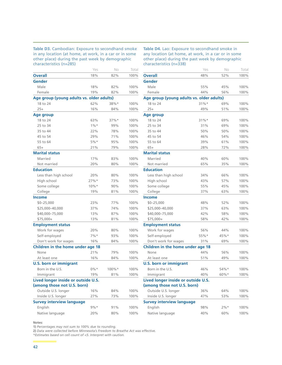**Table D3.** Cambodian: Exposure to secondhand smoke in any location (at home, at work, in a car or in some other place) during the past week by demographic characteristics (n=285)

**Table D4.** Lao: Exposure to secondhand smoke in any location (at home, at work, in a car or in some other place) during the past week by demographic characteristics (n=338)

| נוסו מכנכו ואנוכאן (וו–20 ג               |         |       |       |
|-------------------------------------------|---------|-------|-------|
|                                           | Yes     | No    | Total |
| <b>Overall</b>                            | 18%     | 82%   | 100%  |
| Gender                                    |         |       |       |
| Male                                      | 18%     | 82%   | 100%  |
| Female                                    | 19%     | 82%   | 100%  |
| Age group (young adults vs. older adults) |         |       |       |
| 18 to 24                                  | 62%     | 38%*  | 100%  |
| $25+$                                     | 16%     | 84%   | 100%  |
| <b>Age group</b>                          |         |       |       |
| 18 to 24                                  | 63%     | 37%*  | 100%  |
| 25 to 34                                  | $1\%$ * | 99%   | 100%  |
| 35 to 44                                  | 22%     | 78%   | 100%  |
| 45 to 54                                  | 29%     | 71%   | 100%  |
| 55 to 64                                  | $5%$ *  | 95%   | 100%  |
| $65+$                                     | 21%     | 79%   | 100%  |
| <b>Marital status</b>                     |         |       |       |
| Married                                   | 17%     | 83%   | 100%  |
| Not married                               | 20%     | 80%   | 100%  |
| <b>Education</b>                          |         |       |       |
| Less than high school                     | 20%     | 80%   | 100%  |
| High school                               | 27%     | 73%   | 100%  |
| Some college                              | $10\%*$ | 90%   | 100%  |
| College                                   | 19%     | 81%   | 100%  |
| <b>Income</b>                             |         |       |       |
| $$0 - 25,000$                             | 23%     | 77%   | 100%  |
| \$25,000-40,000                           | 37%     | 74%   | 100%  |
| \$40,000-75,000                           | 13%     | 87%   | 100%  |
| \$75,000+                                 | 13%     | 81%   | 100%  |
| <b>Employment status</b>                  |         |       |       |
| Work for wages                            | 20%     | 80%   | 100%  |
| Self-employed                             | $7%$ *  | 93%   | 100%  |
| Don't work for wages                      | 16%     | 84%   | 100%  |
| Children in the home under age 18         |         |       |       |
| None                                      | 21%     | 79%   | 100%  |
| At least one                              | 16%     | 84%   | 100%  |
| <b>U.S. born or immigrant</b>             |         |       |       |
| Born in the U.S.                          | $0\%*$  | 100%* | 100%  |
| Immigrant                                 | 19%     | 81%   | 100%  |
| Lived longer inside or outside U.S.       |         |       |       |
| (among those not U.S. born)               |         |       |       |
| Outside U.S. longer                       | 16%     | 84%   | 100%  |
| Inside U.S. longer                        | 27%     | 73%   | 100%  |
| <b>Survey interview language</b>          |         |       |       |
| English                                   | $9%$ *  | 91%   | 100%  |
| Native language                           | 20%     | 80%   | 100%  |

|                                           | Yes      | No     | Total |
|-------------------------------------------|----------|--------|-------|
| <b>Overall</b>                            | 48%      | 52%    | 100%  |
| Gender                                    |          |        |       |
| Male                                      | 55%      | 45%    | 100%  |
| Female                                    | 44%      | 56%    | 100%  |
| Age group (young adults vs. older adults) |          |        |       |
| 18 to 24                                  | $31\%$ * | 69%    | 100%  |
| $25+$                                     | 49%      | 51%    | 100%  |
| Age group                                 |          |        |       |
| 18 to 24                                  | $31\%*$  | 69%    | 100%  |
| 25 to 34                                  | 31%      | 69%    | 100%  |
| 35 to 44                                  | 50%      | 50%    | 100%  |
| 45 to 54                                  | 46%      | 54%    | 100%  |
| 55 to 64                                  | 39%      | 61%    | 100%  |
| $65+$                                     | 28%      | 72%    | 100%  |
| <b>Marital status</b>                     |          |        |       |
| Married                                   | 40%      | 60%    | 100%  |
| Not married                               | 65%      | 35%    | 100%  |
| Education                                 |          |        |       |
| Less than high school                     | 34%      | 66%    | 100%  |
| High school                               | 43%      | 57%    | 100%  |
| Some college                              | 55%      | 45%    | 100%  |
| College                                   | 37%      | 63%    | 100%  |
| Income                                    |          |        |       |
| $$0 - 25,000$                             | 48%      | 52%    | 100%  |
| \$25,000-40,000                           | 37%      | 63%    | 100%  |
| \$40,000-75,000                           | 42%      | 58%    | 100%  |
| \$75,000+                                 | 58%      | 42%    | 100%  |
| <b>Employment status</b>                  |          |        |       |
| Work for wages                            | 56%      | 44%    | 100%  |
| Self-employed                             | 55%*     | 45%*   | 100%  |
| Don't work for wages                      | 31%      | 69%    | 100%  |
| Children in the home under age 18         |          |        |       |
| None                                      | 44%      | 56%    | 100%  |
| At least one                              | 51%      | 49%    | 100%  |
| <b>U.S. born or immigrant</b>             |          |        |       |
| Born in the U.S.                          | 46%      | 54%*   | 100%  |
| Immigrant                                 | 40%      | 60%*   | 100%  |
| Lived longer inside or outside U.S.       |          |        |       |
| (among those not U.S. born)               |          |        |       |
| Outside U.S. longer                       | 36%      | 64%    | 100%  |
| Inside U.S. longer                        | 47%      | 53%    | 100%  |
| <b>Survey interview language</b>          |          |        |       |
| English                                   | 98%      | $2\%*$ | 100%  |
| Native language                           | 40%      | 60%    | 100%  |
|                                           |          |        |       |

**Notes:** 

**1)** *Percentages may not sum to 100% due to rounding.*

**2)** *Data were collected before Minnesota's Freedom to Breathe Act was effective.*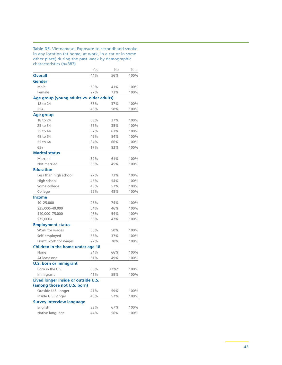**Table D5.** Vietnamese: Exposure to secondhand smoke in any location (at home, at work, in a car or in some other place) during the past week by demographic characteristics (n=383)

|                                           | Yes | No      | Total |
|-------------------------------------------|-----|---------|-------|
| <b>Overall</b>                            | 44% | 56%     | 100%  |
| Gender                                    |     |         |       |
| Male                                      | 59% | 41%     | 100%  |
| Female                                    | 27% | 73%     | 100%  |
| Age group (young adults vs. older adults) |     |         |       |
| 18 to 24                                  | 63% | 37%     | 100%  |
| $25+$                                     | 43% | 58%     | 100%  |
| <b>Age group</b>                          |     |         |       |
| 18 to 24                                  | 63% | 37%     | 100%  |
| 25 to 34                                  | 65% | 35%     | 100%  |
| 35 to 44                                  | 37% | 63%     | 100%  |
| 45 to 54                                  | 46% | 54%     | 100%  |
| 55 to 64                                  | 34% | 66%     | 100%  |
| $65+$                                     | 17% | 83%     | 100%  |
| <b>Marital status</b>                     |     |         |       |
| Married                                   | 39% | 61%     | 100%  |
| Not married                               | 55% | 45%     | 100%  |
| <b>Education</b>                          |     |         |       |
| Less than high school                     | 27% | 73%     | 100%  |
| High school                               | 46% | 54%     | 100%  |
| Some college                              | 43% | 57%     | 100%  |
| College                                   | 52% | 48%     | 100%  |
| <b>Income</b>                             |     |         |       |
| $$0 - 25,000$                             | 26% | 74%     | 100%  |
| \$25,000-40,000                           | 54% | 46%     | 100%  |
| \$40,000-75,000                           | 46% | 54%     | 100%  |
| \$75,000+                                 | 53% | 47%     | 100%  |
| <b>Employment status</b>                  |     |         |       |
| Work for wages                            | 50% | 50%     | 100%  |
| Self-employed                             | 63% | 37%     | 100%  |
| Don't work for wages                      | 22% | 78%     | 100%  |
| Children in the home under age 18         |     |         |       |
| None                                      | 34% | 66%     | 100%  |
| At least one                              | 51% | 49%     | 100%  |
| <b>U.S. born or immigrant</b>             |     |         |       |
| Born in the U.S.                          | 63% | $37%$ * | 100%  |
| Immigrant                                 | 41% | 59%     | 100%  |
| Lived longer inside or outside U.S.       |     |         |       |
| (among those not U.S. born)               |     |         |       |
| Outside U.S. longer                       | 41% | 59%     | 100%  |
| Inside U.S. longer                        | 43% | 57%     | 100%  |
| <b>Survey interview language</b>          |     |         |       |
| English                                   | 33% | 67%     | 100%  |
| Native language                           | 44% | 56%     | 100%  |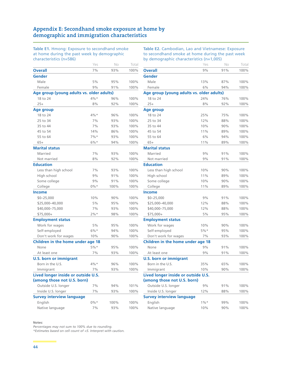# **Appendix E: Secondhand smoke exposure at home by demographic and immigration characteristics**

**Table E1.** Hmong: Exposure to secondhand smoke at home during the past week by demographic characteristics (n=586)

**Table E2.** Cambodian, Lao and Vietnamese: Exposure to secondhand smoke at home during the past week by demographic characteristics (n=1,005)

| 19190001190109                            |        |      |       |
|-------------------------------------------|--------|------|-------|
|                                           | Yes    | No   | Total |
| <b>Overall</b>                            | 7%     | 93%  | 100%  |
| <b>Gender</b>                             |        |      |       |
| Male                                      | 5%     | 95%  | 100%  |
| Female                                    | 9%     | 91%  | 100%  |
| Age group (young adults vs. older adults) |        |      |       |
| 18 to 24                                  | 4%*    | 96%  | 100%  |
| $25+$                                     | 8%     | 92%  | 100%  |
| Age group                                 |        |      |       |
| 18 to 24                                  | 4%*    | 96%  | 100%  |
| 25 to 34                                  | 7%     | 93%  | 100%  |
| 35 to 44                                  | 7%     | 93%  | 100%  |
| 45 to 54                                  | 14%    | 86%  | 100%  |
| 55 to 64                                  | $7%$ * | 93%  | 100%  |
| $65+$                                     | $6\%*$ | 94%  | 100%  |
| <b>Marital status</b>                     |        |      |       |
| Married                                   | 7%     | 93%  | 100%  |
| Not married                               | 8%     | 92%  | 100%  |
| <b>Education</b>                          |        |      |       |
| Less than high school                     | 7%     | 93%  | 100%  |
| High school                               | 9%     | 91%  | 100%  |
| Some college                              | 9%     | 91%  | 100%  |
| College                                   | $0\%*$ | 100% | 100%  |
| <b>Income</b>                             |        |      |       |
| $$0 - 25,000$                             | 10%    | 90%  | 100%  |
| \$25,000-40,000                           | 5%     | 95%  | 100%  |
| \$40,000-75,000                           | 7%     | 93%  | 100%  |
| \$75,000+                                 | $2%$ * | 98%  | 100%  |
| <b>Employment status</b>                  |        |      |       |
| Work for wages                            | 5%     | 95%  | 100%  |
| Self-employed                             | $6\%*$ | 94%  | 100%  |
| Don't work for wages                      | 10%    | 90%  | 100%  |
| Children in the home under age 18         |        |      |       |
| None                                      | $5%$ * | 95%  | 100%  |
| At least one                              | 7%     | 93%  | 100%  |
| <b>U.S. born or immigrant</b>             |        |      |       |
| Born in the U.S.                          | $4\%*$ | 96%  | 100%  |
| Immigrant                                 | 7%     | 93%  | 100%  |
| Lived longer inside or outside U.S.       |        |      |       |
| (among those not U.S. born)               |        |      |       |
| Outside U.S. longer                       | 7%     | 94%  | 101%  |
| Inside U.S. longer                        | 7%     | 93%  | 100%  |
| <b>Survey interview language</b>          |        |      |       |
| English                                   | $0\%*$ | 100% | 100%  |
| Native language                           | 7%     | 93%  | 100%  |

| . |  |  |
|---|--|--|

*Percentages may not sum to 100% due to rounding.*

|                                           | Yes     | Νo  | Total |
|-------------------------------------------|---------|-----|-------|
| <b>Overall</b>                            | 9%      | 91% | 100%  |
| Gender                                    |         |     |       |
| Male                                      | 13%     | 87% | 100%  |
| Female                                    | 6%      | 94% | 100%  |
| Age group (young adults vs. older adults) |         |     |       |
| 18 to 24                                  | 24%     | 76% | 100%  |
| $25+$                                     | 8%      | 92% | 100%  |
| Age group                                 |         |     |       |
| 18 to 24                                  | 25%     | 75% | 100%  |
| 25 to 34                                  | 12%     | 88% | 100%  |
| 35 to 44                                  | 10%     | 90% | 100%  |
| 45 to 54                                  | 11%     | 89% | 100%  |
| 55 to 64                                  | 6%      | 94% | 100%  |
| $65+$                                     | 11%     | 89% | 100%  |
| <b>Marital status</b>                     |         |     |       |
| Married                                   | 9%      | 91% | 100%  |
| Not married                               | 9%      | 91% | 100%  |
| <b>Education</b>                          |         |     |       |
| Less than high school                     | 10%     | 90% | 100%  |
| High school                               | 11%     | 89% | 100%  |
| Some college                              | 10%     | 90% | 100%  |
| College                                   | 11%     | 89% | 100%  |
| <b>Income</b>                             |         |     |       |
| $$0 - 25,000$                             | 9%      | 91% | 100%  |
| \$25,000-40,000                           | 12%     | 88% | 100%  |
| \$40,000-75,000                           | 12%     | 88% | 100%  |
| \$75,000+                                 | 5%      | 95% | 100%  |
| <b>Employment status</b>                  |         |     |       |
| Work for wages                            | 10%     | 90% | 100%  |
| Self-employed                             | $5%$ *  | 95% | 100%  |
| Don't work for wages                      | 7%      | 93% | 100%  |
| Children in the home under age 18         |         |     |       |
| None                                      | 9%      | 91% | 100%  |
| At least one                              | 9%      | 91% | 100%  |
| <b>U.S. born or immigrant</b>             |         |     |       |
| Born in the U.S.                          | 35%     | 65% | 100%  |
| Immigrant                                 | 10%     | 90% | 100%  |
| Lived longer inside or outside U.S.       |         |     |       |
| (among those not U.S. born)               |         |     |       |
| Outside U.S. longer                       | 9%      | 91% | 100%  |
| Inside U.S. longer                        | 12%     | 88% | 100%  |
| <b>Survey interview language</b>          |         |     |       |
| English                                   | $1\%$ * | 99% | 100%  |
| Native language                           | 10%     | 90% | 100%  |
|                                           |         |     |       |
|                                           |         |     |       |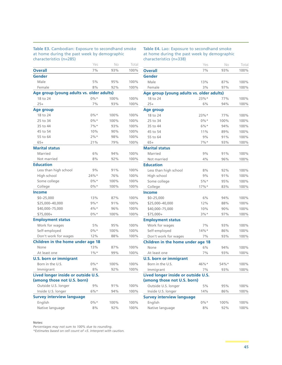#### **Table E3.** Cambodian: Exposure to secondhand smoke at home during the past week by demographic characteristics (n=285)

**Table E4.** Lao: Exposure to secondhand smoke at home during the past week by demographic characteristics (n=338)

| נוסו מכנכו ואנוכא (וו–בסטן                |         |      |       |
|-------------------------------------------|---------|------|-------|
|                                           | Yes     | No   | Total |
| <b>Overall</b>                            | 7%      | 93%  | 100%  |
| <b>Gender</b>                             |         |      |       |
| Male                                      | 5%      | 95%  | 100%  |
| Female                                    | 8%      | 92%  | 100%  |
| Age group (young adults vs. older adults) |         |      |       |
| 18 to 24                                  | $0\%*$  | 100% | 100%  |
| $25+$                                     | 7%      | 93%  | 100%  |
| <b>Age group</b>                          |         |      |       |
| 18 to 24                                  | $0\%*$  | 100% | 100%  |
| 25 to 34                                  | $0\%*$  | 100% | 100%  |
| 35 to 44                                  | 7%      | 93%  | 100%  |
| 45 to 54                                  | 10%     | 90%  | 100%  |
| 55 to 64                                  | $2%$ *  | 98%  | 100%  |
| $65+$                                     | 21%     | 79%  | 100%  |
| <b>Marital status</b>                     |         |      |       |
| Married                                   | 6%      | 94%  | 100%  |
| Not married                               | 8%      | 92%  | 100%  |
| <b>Education</b>                          |         |      |       |
| Less than high school                     | 9%      | 91%  | 100%  |
| High school                               | 24%*    | 76%  | 100%  |
| Some college                              | $0\%*$  | 100% | 100%  |
| College                                   | $0\%*$  | 100% | 100%  |
| <b>Income</b>                             |         |      |       |
| $$0 - 25,000$                             | 13%     | 87%  | 100%  |
| \$25,000-40,000                           | $9\%*$  | 91%  | 100%  |
| \$40,000-75,000                           | $4\%*$  | 96%  | 100%  |
| \$75,000+                                 | $0\%*$  | 100% | 100%  |
| <b>Employment status</b>                  |         |      |       |
| Work for wages                            | 5%      | 95%  | 100%  |
| Self-employed                             | $0\%*$  | 100% | 100%  |
| Don't work for wages                      | 12%     | 88%  | 100%  |
| Children in the home under age 18         |         |      |       |
| None                                      | 13%     | 87%  | 100%  |
| At least one                              | $1\%$ * | 99%  | 100%  |
| <b>U.S. born or immigrant</b>             |         |      |       |
| Born in the U.S.                          | $0\%*$  | 100% | 100%  |
| Immigrant                                 | 8%      | 92%  | 100%  |
| Lived longer inside or outside U.S.       |         |      |       |
| (among those not U.S. born)               |         |      |       |
| Outside U.S. longer                       | 9%      | 91%  | 100%  |
| Inside U.S. longer                        | $6\%*$  | 94%  | 100%  |
| <b>Survey interview language</b>          |         |      |       |
| English                                   | $0\%*$  | 100% | 100%  |
| Native language                           | 8%      | 92%  | 100%  |

#### **Notes:**

*Percentages may not sum to 100% due to rounding.*

|                                           | Yes     | No   | Total |
|-------------------------------------------|---------|------|-------|
| <b>Overall</b>                            | 7%      | 93%  | 100%  |
| Gender                                    |         |      |       |
| Male                                      | 13%     | 87%  | 100%  |
| Female                                    | 3%      | 97%  | 100%  |
| Age group (young adults vs. older adults) |         |      |       |
| 18 to 24                                  | 23%     | 77%  | 100%  |
| $25+$                                     | 6%      | 94%  | 100%  |
| <b>Age group</b>                          |         |      |       |
| 18 to 24                                  | 23%*    | 77%  | 100%  |
| 25 to 34                                  | $0\%*$  | 100% | 100%  |
| 35 to 44                                  | $6\%*$  | 94%  | 100%  |
| 45 to 54                                  | 11%     | 89%  | 100%  |
| 55 to 64                                  | 9%      | 91%  | 100%  |
| $65+$                                     | $7%$ *  | 93%  | 100%  |
| <b>Marital status</b>                     |         |      |       |
| Married                                   | 9%      | 91%  | 100%  |
| Not married                               | 4%      | 96%  | 100%  |
| <b>Education</b>                          |         |      |       |
| Less than high school                     | 8%      | 92%  | 100%  |
| High school                               | 9%      | 91%  | 100%  |
| Some college                              | $5%$ *  | 95%  | 100%  |
| College                                   | 17%     | 83%  | 100%  |
| <b>Income</b>                             |         |      |       |
| $$0 - 25,000$                             | 6%      | 94%  | 100%  |
| \$25,000-40,000                           | 12%     | 88%  | 100%  |
| \$40,000-75,000                           | 10%     | 90%  | 100%  |
| \$75,000+                                 | $3%$ *  | 97%  | 100%  |
| <b>Employment status</b>                  |         |      |       |
| Work for wages                            | 7%      | 93%  | 100%  |
| Self-employed                             | $14%$ * | 86%  | 100%  |
| Don't work for wages                      | 7%      | 93%  | 100%  |
| Children in the home under age 18         |         |      |       |
| None                                      | 6%      | 94%  | 100%  |
| At least one                              | 7%      | 93%  | 100%  |
| <b>U.S. born or immigrant</b>             |         |      |       |
| Born in the U.S.                          | 46%*    | 54%* | 100%  |
| Immigrant                                 | 7%      | 93%  | 100%  |
| Lived longer inside or outside U.S.       |         |      |       |
| (among those not U.S. born)               |         |      |       |
| Outside U.S. longer                       | 5%      | 95%  | 100%  |
| Inside U.S. longer                        | 14%     | 86%  | 100%  |
| <b>Survey interview language</b>          |         |      |       |
| English                                   | $0\%*$  | 100% | 100%  |
| Native language                           | 8%      | 92%  | 100%  |
|                                           |         |      |       |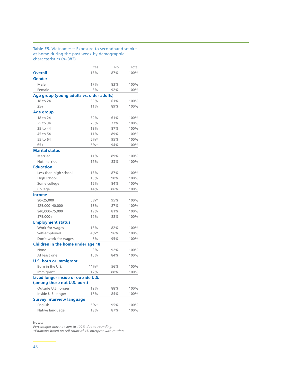#### **Table E5.** Vietnamese: Exposure to secondhand smoke at home during the past week by demographic characteristics (n=382)

| <b>Overall</b><br>13%<br>87%<br><b>Gender</b><br>Male<br>17%<br>83%<br>Female<br>8%<br>92%<br>Age group (young adults vs. older adults)<br>18 to 24<br>39%<br>61%<br>$25+$<br>11%<br>89%<br>Age group<br>18 to 24<br>39%<br>61%<br>25 to 34<br>23%<br>77%<br>35 to 44<br>13%<br>87%<br>45 to 54<br>11%<br>89%<br>55 to 64<br>$5%$ *<br>95%<br>$65+$<br>$6\%*$<br>94%<br><b>Marital status</b><br>Married<br>11%<br>89%<br>Not married<br>17%<br>83%<br><b>Education</b><br>Less than high school<br>13%<br>87%<br>High school<br>10%<br>90%<br>16%<br>84%<br>Some college<br>College<br>14%<br>86%<br><b>Income</b><br>$$0 - 25,000$<br>5%<br>95%<br>\$25,000-40,000<br>87%<br>13%<br>\$40,000-75,000<br>19%<br>81%<br>\$75,000+<br>12%<br>88%<br><b>Employment status</b><br>Work for wages<br>18%<br>82%<br>Self-employed<br>$4\%*$<br>96%<br>Don't work for wages<br>5%<br>95%<br>Children in the home under age 18<br>None<br>8%<br>92%<br>16%<br>At least one<br>84%<br><b>U.S. born or immigrant</b><br>Born in the U.S.<br>44%*<br>56%<br>Immigrant<br>12%<br>88%<br>Lived longer inside or outside U.S.<br>(among those not U.S. born)<br>Outside U.S. longer<br>12%<br>88%<br>Inside U.S. longer<br>16%<br>84%<br><b>Survey interview language</b><br>English<br>5%*<br>95%<br>Native language<br>13%<br>87% | Yes | No | Total |
|-----------------------------------------------------------------------------------------------------------------------------------------------------------------------------------------------------------------------------------------------------------------------------------------------------------------------------------------------------------------------------------------------------------------------------------------------------------------------------------------------------------------------------------------------------------------------------------------------------------------------------------------------------------------------------------------------------------------------------------------------------------------------------------------------------------------------------------------------------------------------------------------------------------------------------------------------------------------------------------------------------------------------------------------------------------------------------------------------------------------------------------------------------------------------------------------------------------------------------------------------------------------------------------------------------------------------|-----|----|-------|
|                                                                                                                                                                                                                                                                                                                                                                                                                                                                                                                                                                                                                                                                                                                                                                                                                                                                                                                                                                                                                                                                                                                                                                                                                                                                                                                       |     |    | 100%  |
|                                                                                                                                                                                                                                                                                                                                                                                                                                                                                                                                                                                                                                                                                                                                                                                                                                                                                                                                                                                                                                                                                                                                                                                                                                                                                                                       |     |    |       |
|                                                                                                                                                                                                                                                                                                                                                                                                                                                                                                                                                                                                                                                                                                                                                                                                                                                                                                                                                                                                                                                                                                                                                                                                                                                                                                                       |     |    | 100%  |
|                                                                                                                                                                                                                                                                                                                                                                                                                                                                                                                                                                                                                                                                                                                                                                                                                                                                                                                                                                                                                                                                                                                                                                                                                                                                                                                       |     |    | 100%  |
|                                                                                                                                                                                                                                                                                                                                                                                                                                                                                                                                                                                                                                                                                                                                                                                                                                                                                                                                                                                                                                                                                                                                                                                                                                                                                                                       |     |    |       |
|                                                                                                                                                                                                                                                                                                                                                                                                                                                                                                                                                                                                                                                                                                                                                                                                                                                                                                                                                                                                                                                                                                                                                                                                                                                                                                                       |     |    | 100%  |
|                                                                                                                                                                                                                                                                                                                                                                                                                                                                                                                                                                                                                                                                                                                                                                                                                                                                                                                                                                                                                                                                                                                                                                                                                                                                                                                       |     |    | 100%  |
|                                                                                                                                                                                                                                                                                                                                                                                                                                                                                                                                                                                                                                                                                                                                                                                                                                                                                                                                                                                                                                                                                                                                                                                                                                                                                                                       |     |    |       |
|                                                                                                                                                                                                                                                                                                                                                                                                                                                                                                                                                                                                                                                                                                                                                                                                                                                                                                                                                                                                                                                                                                                                                                                                                                                                                                                       |     |    | 100%  |
|                                                                                                                                                                                                                                                                                                                                                                                                                                                                                                                                                                                                                                                                                                                                                                                                                                                                                                                                                                                                                                                                                                                                                                                                                                                                                                                       |     |    | 100%  |
|                                                                                                                                                                                                                                                                                                                                                                                                                                                                                                                                                                                                                                                                                                                                                                                                                                                                                                                                                                                                                                                                                                                                                                                                                                                                                                                       |     |    | 100%  |
|                                                                                                                                                                                                                                                                                                                                                                                                                                                                                                                                                                                                                                                                                                                                                                                                                                                                                                                                                                                                                                                                                                                                                                                                                                                                                                                       |     |    | 100%  |
|                                                                                                                                                                                                                                                                                                                                                                                                                                                                                                                                                                                                                                                                                                                                                                                                                                                                                                                                                                                                                                                                                                                                                                                                                                                                                                                       |     |    | 100%  |
|                                                                                                                                                                                                                                                                                                                                                                                                                                                                                                                                                                                                                                                                                                                                                                                                                                                                                                                                                                                                                                                                                                                                                                                                                                                                                                                       |     |    | 100%  |
|                                                                                                                                                                                                                                                                                                                                                                                                                                                                                                                                                                                                                                                                                                                                                                                                                                                                                                                                                                                                                                                                                                                                                                                                                                                                                                                       |     |    |       |
|                                                                                                                                                                                                                                                                                                                                                                                                                                                                                                                                                                                                                                                                                                                                                                                                                                                                                                                                                                                                                                                                                                                                                                                                                                                                                                                       |     |    | 100%  |
|                                                                                                                                                                                                                                                                                                                                                                                                                                                                                                                                                                                                                                                                                                                                                                                                                                                                                                                                                                                                                                                                                                                                                                                                                                                                                                                       |     |    | 100%  |
|                                                                                                                                                                                                                                                                                                                                                                                                                                                                                                                                                                                                                                                                                                                                                                                                                                                                                                                                                                                                                                                                                                                                                                                                                                                                                                                       |     |    |       |
|                                                                                                                                                                                                                                                                                                                                                                                                                                                                                                                                                                                                                                                                                                                                                                                                                                                                                                                                                                                                                                                                                                                                                                                                                                                                                                                       |     |    | 100%  |
|                                                                                                                                                                                                                                                                                                                                                                                                                                                                                                                                                                                                                                                                                                                                                                                                                                                                                                                                                                                                                                                                                                                                                                                                                                                                                                                       |     |    | 100%  |
|                                                                                                                                                                                                                                                                                                                                                                                                                                                                                                                                                                                                                                                                                                                                                                                                                                                                                                                                                                                                                                                                                                                                                                                                                                                                                                                       |     |    | 100%  |
|                                                                                                                                                                                                                                                                                                                                                                                                                                                                                                                                                                                                                                                                                                                                                                                                                                                                                                                                                                                                                                                                                                                                                                                                                                                                                                                       |     |    | 100%  |
|                                                                                                                                                                                                                                                                                                                                                                                                                                                                                                                                                                                                                                                                                                                                                                                                                                                                                                                                                                                                                                                                                                                                                                                                                                                                                                                       |     |    |       |
|                                                                                                                                                                                                                                                                                                                                                                                                                                                                                                                                                                                                                                                                                                                                                                                                                                                                                                                                                                                                                                                                                                                                                                                                                                                                                                                       |     |    | 100%  |
|                                                                                                                                                                                                                                                                                                                                                                                                                                                                                                                                                                                                                                                                                                                                                                                                                                                                                                                                                                                                                                                                                                                                                                                                                                                                                                                       |     |    | 100%  |
|                                                                                                                                                                                                                                                                                                                                                                                                                                                                                                                                                                                                                                                                                                                                                                                                                                                                                                                                                                                                                                                                                                                                                                                                                                                                                                                       |     |    | 100%  |
|                                                                                                                                                                                                                                                                                                                                                                                                                                                                                                                                                                                                                                                                                                                                                                                                                                                                                                                                                                                                                                                                                                                                                                                                                                                                                                                       |     |    | 100%  |
|                                                                                                                                                                                                                                                                                                                                                                                                                                                                                                                                                                                                                                                                                                                                                                                                                                                                                                                                                                                                                                                                                                                                                                                                                                                                                                                       |     |    |       |
|                                                                                                                                                                                                                                                                                                                                                                                                                                                                                                                                                                                                                                                                                                                                                                                                                                                                                                                                                                                                                                                                                                                                                                                                                                                                                                                       |     |    | 100%  |
|                                                                                                                                                                                                                                                                                                                                                                                                                                                                                                                                                                                                                                                                                                                                                                                                                                                                                                                                                                                                                                                                                                                                                                                                                                                                                                                       |     |    | 100%  |
|                                                                                                                                                                                                                                                                                                                                                                                                                                                                                                                                                                                                                                                                                                                                                                                                                                                                                                                                                                                                                                                                                                                                                                                                                                                                                                                       |     |    | 100%  |
|                                                                                                                                                                                                                                                                                                                                                                                                                                                                                                                                                                                                                                                                                                                                                                                                                                                                                                                                                                                                                                                                                                                                                                                                                                                                                                                       |     |    |       |
|                                                                                                                                                                                                                                                                                                                                                                                                                                                                                                                                                                                                                                                                                                                                                                                                                                                                                                                                                                                                                                                                                                                                                                                                                                                                                                                       |     |    | 100%  |
|                                                                                                                                                                                                                                                                                                                                                                                                                                                                                                                                                                                                                                                                                                                                                                                                                                                                                                                                                                                                                                                                                                                                                                                                                                                                                                                       |     |    | 100%  |
|                                                                                                                                                                                                                                                                                                                                                                                                                                                                                                                                                                                                                                                                                                                                                                                                                                                                                                                                                                                                                                                                                                                                                                                                                                                                                                                       |     |    |       |
|                                                                                                                                                                                                                                                                                                                                                                                                                                                                                                                                                                                                                                                                                                                                                                                                                                                                                                                                                                                                                                                                                                                                                                                                                                                                                                                       |     |    | 100%  |
|                                                                                                                                                                                                                                                                                                                                                                                                                                                                                                                                                                                                                                                                                                                                                                                                                                                                                                                                                                                                                                                                                                                                                                                                                                                                                                                       |     |    | 100%  |
|                                                                                                                                                                                                                                                                                                                                                                                                                                                                                                                                                                                                                                                                                                                                                                                                                                                                                                                                                                                                                                                                                                                                                                                                                                                                                                                       |     |    |       |
|                                                                                                                                                                                                                                                                                                                                                                                                                                                                                                                                                                                                                                                                                                                                                                                                                                                                                                                                                                                                                                                                                                                                                                                                                                                                                                                       |     |    |       |
|                                                                                                                                                                                                                                                                                                                                                                                                                                                                                                                                                                                                                                                                                                                                                                                                                                                                                                                                                                                                                                                                                                                                                                                                                                                                                                                       |     |    | 100%  |
|                                                                                                                                                                                                                                                                                                                                                                                                                                                                                                                                                                                                                                                                                                                                                                                                                                                                                                                                                                                                                                                                                                                                                                                                                                                                                                                       |     |    | 100%  |
|                                                                                                                                                                                                                                                                                                                                                                                                                                                                                                                                                                                                                                                                                                                                                                                                                                                                                                                                                                                                                                                                                                                                                                                                                                                                                                                       |     |    |       |
|                                                                                                                                                                                                                                                                                                                                                                                                                                                                                                                                                                                                                                                                                                                                                                                                                                                                                                                                                                                                                                                                                                                                                                                                                                                                                                                       |     |    | 100%  |
|                                                                                                                                                                                                                                                                                                                                                                                                                                                                                                                                                                                                                                                                                                                                                                                                                                                                                                                                                                                                                                                                                                                                                                                                                                                                                                                       |     |    | 100%  |

#### **Notes:**

*Percentages may not sum to 100% due to rounding.*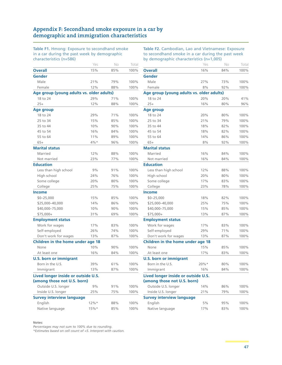# **Appendix F: Secondhand smoke exposure in a car by demographic and immigration characteristics**

**Table F1.** Hmong: Exposure to secondhand smoke in a car during the past week by demographic characteristics (n=586)

**Table F2.** Cambodian, Lao and Vietnamese: Exposure to secondhand smoke in a car during the past week by demographic characteristics (n=1,005)

|                                           | Yes | No  | Total |
|-------------------------------------------|-----|-----|-------|
| <b>Overall</b>                            | 15% | 85% | 100%  |
| <b>Gender</b>                             |     |     |       |
| Male                                      | 21% | 79% | 100%  |
| Female                                    | 12% | 88% | 100%  |
| Age group (young adults vs. older adults) |     |     |       |
| 18 to 24                                  | 29% | 71% | 100%  |
| $25+$                                     | 12% | 88% | 100%  |
| Age group                                 |     |     |       |
| 18 to 24                                  | 29% | 71% | 100%  |
| 25 to 34                                  | 15% | 85% | 100%  |
| 35 to 44                                  | 10% | 90% | 100%  |
| 45 to 54                                  | 16% | 84% | 100%  |
| 55 to 64                                  | 11% | 89% | 100%  |
| $65+$                                     | 4%* | 96% | 100%  |
| <b>Marital status</b>                     |     |     |       |
| Married                                   | 12% | 88% | 100%  |
| Not married                               | 23% | 77% | 100%  |
| <b>Education</b>                          |     |     |       |
| Less than high school                     | 9%  | 91% | 100%  |
| High school                               | 24% | 76% | 100%  |
| Some college                              | 20% | 80% | 100%  |
| College                                   | 25% | 75% | 100%  |
| <b>Income</b>                             |     |     |       |
| $$0 - 25,000$                             | 15% | 85% | 100%  |
| \$25,000-40,000                           | 14% | 86% | 100%  |
| \$40,000-75,000                           | 10% | 90% | 100%  |
| \$75,000+                                 | 31% | 69% | 100%  |
| <b>Employment status</b>                  |     |     |       |
| Work for wages                            | 17% | 83% | 100%  |
| Self-employed                             | 26% | 74% | 100%  |
| Don't work for wages                      | 13% | 87% | 100%  |
| Children in the home under age 18         |     |     |       |
| None                                      | 10% | 90% | 100%  |
| At least one                              | 16% | 84% | 100%  |
| <b>U.S. born or immigrant</b>             |     |     |       |
| Born in the U.S.                          | 39% | 61% | 100%  |
| Immigrant                                 | 13% | 87% | 100%  |
| Lived longer inside or outside U.S.       |     |     |       |
| (among those not U.S. born)               |     |     |       |
| Outside U.S. longer                       | 9%  | 91% | 100%  |
| Inside U.S. longer                        | 25% | 75% | 100%  |
| <b>Survey interview language</b>          |     |     |       |
| English                                   | 12% | 88% | 100%  |
| Native language                           | 15% | 85% | 100%  |

#### **Notes:**

*Percentages may not sum to 100% due to rounding.*

|                                                                    | Yes      | No  | Total |
|--------------------------------------------------------------------|----------|-----|-------|
| <b>Overall</b>                                                     | 16%      | 84% | 100%  |
| Gender                                                             |          |     |       |
| Male                                                               | 27%      | 73% | 100%  |
| Female                                                             | 8%       | 92% | 100%  |
| Age group (young adults vs. older adults)                          |          |     |       |
| 18 to 24                                                           | 20%      | 20% | 41%   |
| $25+$                                                              | 16%      | 80% | 96%   |
| Age group                                                          |          |     |       |
| 18 to 24                                                           | 20%      | 80% | 100%  |
| 25 to 34                                                           | 21%      | 79% | 100%  |
| 35 to 44                                                           | 18%      | 82% | 100%  |
| 45 to 54                                                           | 18%      | 82% | 100%  |
| 55 to 64                                                           | 14%      | 86% | 100%  |
| $65+$                                                              | 8%       | 92% | 100%  |
| <b>Marital status</b>                                              |          |     |       |
| Married                                                            | 16%      | 84% | 100%  |
| Not married                                                        | 16%      | 84% | 100%  |
| <b>Education</b>                                                   |          |     |       |
| Less than high school                                              | 12%      | 88% | 100%  |
| High school                                                        | 20%      | 80% | 100%  |
| Some college                                                       | 17%      | 83% | 100%  |
| College                                                            | 23%      | 78% | 100%  |
| <b>Income</b>                                                      |          |     |       |
| $$0 - 25,000$                                                      | 18%      | 82% | 100%  |
| \$25,000-40,000                                                    | 25%      | 75% | 100%  |
| \$40,000-75,000                                                    | 15%      | 85% | 100%  |
| \$75,000+                                                          | 13%      | 87% | 100%  |
| <b>Employment status</b>                                           |          |     |       |
| Work for wages                                                     | 17%      | 83% | 100%  |
| Self-employed                                                      | 29%      | 71% | 100%  |
| Don't work for wages                                               | 13%      | 87% | 100%  |
| Children in the home under age 18                                  |          |     |       |
| None                                                               | 15%      | 85% | 100%  |
| At least one                                                       | 17%      | 83% | 100%  |
| <b>U.S. born or immigrant</b>                                      |          |     |       |
| Born in the U.S.                                                   | $20\% *$ | 80% | 100%  |
| Immigrant                                                          | 16%      | 84% | 100%  |
| Lived longer inside or outside U.S.<br>(among those not U.S. born) |          |     |       |
| Outside U.S. longer                                                | 14%      | 86% | 100%  |
| Inside U.S. longer                                                 | 21%      | 79% | 100%  |
| <b>Survey interview language</b>                                   |          |     |       |
| English                                                            | 5%       | 95% | 100%  |
| Native language                                                    | 17%      | 83% | 100%  |
|                                                                    |          |     |       |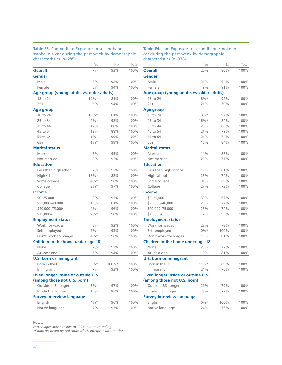#### **Table F3.** Cambodian: Exposure to secondhand smoke in a car during the past week by demographic characteristics (n=285)

**Table F4.** Lao: Exposure to secondhand smoke in a car during the past week by demographic characteristics (n=338)

| CrididCteristics (ri=200)                 |         |           |       |
|-------------------------------------------|---------|-----------|-------|
|                                           | Yes     | No        | Total |
| <b>Overall</b>                            | 7%      | 93%       | 100%  |
| Gender                                    |         |           |       |
| Male                                      | 8%      | 92%       | 100%  |
| Female                                    | 6%      | 94%       | 100%  |
| Age group (young adults vs. older adults) |         |           |       |
| 18 to 24                                  | $19%$ * | 81%       | 100%  |
| $25+$                                     | 6%      | 94%       | 100%  |
| Age group                                 |         |           |       |
| 18 to 24                                  | $19%$ * | 81%       | 100%  |
| 25 to 34                                  | 2%      | 98%       | 100%  |
| 35 to 44                                  | 12%     | 88%       | 100%  |
| 45 to 54                                  | 12%     | 88%       | 100%  |
| 55 to 64                                  | $1\%$ * | 99%       | 100%  |
| $65+$                                     | $1\%*$  | 99%       | 100%  |
| <b>Marital status</b>                     |         |           |       |
| Married                                   | 5%      | 95%       | 100%  |
| Not married                               | 8%      | 92%       | 100%  |
| <b>Education</b>                          |         |           |       |
| Less than high school                     | 7%      | 93%       | 100%  |
| High school                               | 18%*    | 82%       | 100%  |
| Some college                              | $4\%*$  | 96%       | 100%  |
| College                                   | $3\%*$  | 97%       | 100%  |
| <b>Income</b>                             |         |           |       |
| $$0 - 25,000$                             | 8%      | 92%       | 100%  |
| \$25,000-40,000                           | 19%     | 81%       | 100%  |
| \$40,000-75,000                           | $4\%*$  | 96%       | 100%  |
| \$75,000+                                 | $2\%*$  | 98%       | 100%  |
| <b>Employment status</b>                  |         |           |       |
| Work for wages                            | 8%      | 92%       | 100%  |
| Self-employed                             | $7%$ *  | 93%       | 100%  |
| Don't work for wages                      | $4\%*$  | 96%       | 100%  |
| Children in the home under age 18         |         |           |       |
| None                                      | 7%      | 93%       | 100%  |
| At least one                              | 6%      | 94%       | 100%  |
| <b>U.S. born or immigrant</b>             |         |           |       |
| Born in the U.S.                          | $0\%*$  | $100\%$ * | 100%  |
| Immigrant                                 | 7%      | 93%       | 100%  |
| Lived longer inside or outside U.S.       |         |           |       |
| (among those not U.S. born)               |         |           |       |
| Outside U.S. longer                       | $3%$ *  | 97%       | 100%  |
| Inside U.S. longer                        | 15%     | 85%       | 100%  |
| <b>Survey interview language</b>          |         |           |       |
| English                                   | $4\%*$  | 96%       | 100%  |
| Native language                           | 7%      | 93%       | 100%  |

#### **Notes:**

*Percentages may not sum to 100% due to rounding.*

|                                           | Yes      | No   | Total |
|-------------------------------------------|----------|------|-------|
| <b>Overall</b>                            | 20%      | 80%  | 100%  |
| <b>Gender</b>                             |          |      |       |
| Male                                      | 36%      | 64%  | 100%  |
| Female                                    | 9%       | 91%  | 100%  |
| Age group (young adults vs. older adults) |          |      |       |
| 18 to 24                                  | $8\%*$   | 92%  | 100%  |
| $25+$                                     | 21%      | 79%  | 100%  |
| <b>Age group</b>                          |          |      |       |
| 18 to 24                                  | $8\%*$   | 92%  | 100%  |
| 25 to 34                                  | $16\%$ * | 84%  | 100%  |
| 35 to 44                                  | 20%      | 80%  | 100%  |
| 45 to 54                                  | 21%      | 79%  | 100%  |
| 55 to 64                                  | 26%      | 74%  | 100%  |
| $65+$                                     | 16%      | 84%  | 100%  |
| <b>Marital status</b>                     |          |      |       |
| Married                                   | 14%      | 86%  | 100%  |
| Not married                               | 23%      | 77%  | 100%  |
| <b>Education</b>                          |          |      |       |
| Less than high school                     | 19%      | 81%  | 100%  |
| High school                               | 26%      | 74%  | 100%  |
| Some college                              | 31%      | 69%  | 100%  |
| College                                   | 27%      | 73%  | 100%  |
| <b>Income</b>                             |          |      |       |
| $$0 - 25,000$                             | 33%      | 67%  | 100%  |
| \$25,000-40,000                           | 23%      | 77%  | 100%  |
| \$40,000-75,000                           | 26%      | 74%  | 100%  |
| \$75,000+                                 | 7%       | 93%  | 100%  |
| <b>Employment status</b>                  |          |      |       |
| Work for wages                            | 22%      | 78%  | 100%  |
| Self-employed                             | $0\%*$   | 100% | 100%  |
| Don't work for wages                      | 19%      | 81%  | 100%  |
| Children in the home under age 18         |          |      |       |
| None                                      | 23%      | 77%  | 100%  |
| At least one                              | 19%      | 81%  | 100%  |
| <b>U.S. born or immigrant</b>             |          |      |       |
| Born in the U.S.                          | $11\%*$  | 89%  | 100%  |
| Immigrant                                 | 24%      | 76%  | 100%  |
| Lived longer inside or outside U.S.       |          |      |       |
| (among those not U.S. born)               |          |      |       |
| Outside U.S. longer                       | 21%      | 79%  | 100%  |
| Inside U.S. longer                        | 28%      | 72%  | 100%  |
| <b>Survey interview language</b>          |          |      |       |
| English                                   | $0\%*$   | 100% | 100%  |
| Native language                           | 24%      | 76%  | 100%  |
|                                           |          |      |       |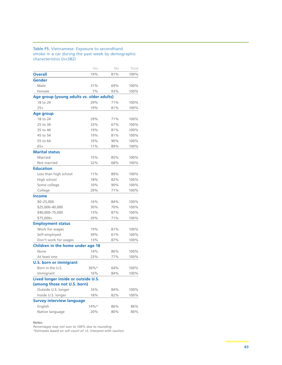#### **Table F5.** Vietnamese: Exposure to secondhand smoke in a car during the past week by demographic characteristics (n=382)

|                                                                    | Yes     | No  | Total |
|--------------------------------------------------------------------|---------|-----|-------|
| <b>Overall</b>                                                     | 19%     | 81% | 100%  |
| Gender                                                             |         |     |       |
| Male                                                               | 31%     | 69% | 100%  |
| Female                                                             | 7%      | 93% | 100%  |
| Age group (young adults vs. older adults)                          |         |     |       |
| 18 to 24                                                           | 29%     | 71% | 100%  |
| $25+$                                                              | 19%     | 81% | 100%  |
| <b>Age group</b>                                                   |         |     |       |
| 18 to 24                                                           | 29%     | 71% | 100%  |
| 25 to 34                                                           | 33%     | 67% | 100%  |
| 35 to 44                                                           | 19%     | 81% | 100%  |
| 45 to 54                                                           | 19%     | 81% | 100%  |
| 55 to 64                                                           | 10%     | 90% | 100%  |
| $65+$                                                              | 11%     | 89% | 100%  |
| <b>Marital status</b>                                              |         |     |       |
| Married                                                            | 15%     | 85% | 100%  |
| Not married                                                        | 32%     | 68% | 100%  |
| <b>Education</b>                                                   |         |     |       |
| Less than high school                                              | 11%     | 89% | 100%  |
| High school                                                        | 18%     | 82% | 100%  |
| Some college                                                       | 10%     | 90% | 100%  |
| College                                                            | 29%     | 71% | 100%  |
| <b>Income</b>                                                      |         |     |       |
| $$0 - 25,000$                                                      | 16%     | 84% | 100%  |
| \$25,000-40,000                                                    | 30%     | 70% | 100%  |
| \$40,000-75,000                                                    | 13%     | 87% | 100%  |
| \$75,000+                                                          | 29%     | 71% | 100%  |
| <b>Employment status</b>                                           |         |     |       |
| Work for wages                                                     | 19%     | 81% | 100%  |
| Self-employed                                                      | 39%     | 61% | 100%  |
| Don't work for wages                                               | 13%     | 87% | 100%  |
| Children in the home under age 18                                  |         |     |       |
| None                                                               | 14%     | 86% | 100%  |
| At least one                                                       | 23%     | 77% | 100%  |
| <b>U.S. born or immigrant</b>                                      |         |     |       |
| Born in the U.S.                                                   | 36%*    | 64% | 100%  |
| Immigrant                                                          | 16%     | 84% | 100%  |
| Lived longer inside or outside U.S.<br>(among those not U.S. born) |         |     |       |
| Outside U.S. longer                                                | 16%     | 84% | 100%  |
| Inside U.S. longer                                                 | 18%     | 82% | 100%  |
| <b>Survey interview language</b>                                   |         |     |       |
| English                                                            | $14%$ * | 86% | 86%   |
| Native language                                                    | 20%     | 80% | 80%   |
|                                                                    |         |     |       |

**Notes:** 

*Percentages may not sum to 100% due to rounding.*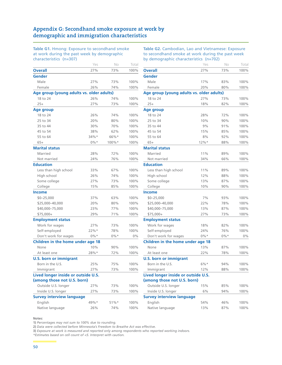# **Appendix G: Secondhand smoke exposure at work by demographic and immigration characteristics**

**Table G1.** Hmong: Exposure to secondhand smoke at work during the past week by demographic characteristics (n=307)

**Table G2.** Cambodian, Lao and Vietnamese: Exposure to secondhand smoke at work during the past week by demographic characteristics (n=702)

|                                           | Yes     | No      | Total |
|-------------------------------------------|---------|---------|-------|
| <b>Overall</b>                            | 27%     | 73%     | 100%  |
| <b>Gender</b>                             |         |         |       |
| Male                                      | 27%     | 73%     | 100%  |
| Female                                    | 26%     | 74%     | 100%  |
| Age group (young adults vs. older adults) |         |         |       |
| 18 to 24                                  | 26%     | 74%     | 100%  |
| $25+$                                     | 27%     | 73%     | 100%  |
| <b>Age group</b>                          |         |         |       |
| 18 to 24                                  | 26%     | 74%     | 100%  |
| 25 to 34                                  | 20%     | 80%     | 100%  |
| 35 to 44                                  | 30%     | 70%     | 100%  |
| 45 to 54                                  | 38%     | 62%     | 100%  |
| 55 to 64                                  | $34%$ * | 66%*    | 100%  |
| $65+$                                     | $0\%*$  | 100%*   | 100%  |
| <b>Marital status</b>                     |         |         |       |
| Married                                   | 28%     | 72%     | 100%  |
| Not married                               | 24%     | 76%     | 100%  |
| <b>Education</b>                          |         |         |       |
| Less than high school                     | 33%     | 67%     | 100%  |
| High school                               | 26%     | 74%     | 100%  |
| Some college                              | 27%     | 73%     | 100%  |
| College                                   | 15%     | 85%     | 100%  |
| <b>Income</b>                             |         |         |       |
| $$0 - 25,000$                             | 37%     | 63%     | 100%  |
| \$25,000-40,000                           | 20%     | 80%     | 100%  |
| \$40,000-75,000                           | 23%     | 77%     | 100%  |
| \$75,000+                                 | 29%     | 71%     | 100%  |
| <b>Employment status</b>                  |         |         |       |
| Work for wages                            | 27%     | 73%     | 100%  |
| Self-employed                             | 22%     | 78%     | 100%  |
| Don't work for wages                      | $0\%*$  | $0\%*$  | $0\%$ |
| Children in the home under age 18         |         |         |       |
| None                                      | 10%     | 90%     | 100%  |
| At least one                              | 28%*    | 72%     | 100%  |
| <b>U.S. born or immigrant</b>             |         |         |       |
| Born in the U.S.                          | 25%     | 75%     | 100%  |
| Immigrant                                 | 27%     | 73%     | 100%  |
| Lived longer inside or outside U.S.       |         |         |       |
| (among those not U.S. born)               |         |         |       |
| Outside U.S. longer                       | 27%     | 73%     | 100%  |
| Inside U.S. longer                        | 27%     | 73%     | 100%  |
| <b>Survey interview language</b>          |         |         |       |
| English                                   | 49%*    | $51\%*$ | 100%  |
| Native language                           | 26%     | 74%     | 100%  |

| by demographic characteristics (n=702)    | Yes    | No     | Total |
|-------------------------------------------|--------|--------|-------|
| <b>Overall</b>                            | 27%    | 73%    | 100%  |
| <b>Gender</b>                             |        |        |       |
| Male                                      | 17%    | 83%    | 100%  |
| Female                                    | 20%    | 80%    | 100%  |
| Age group (young adults vs. older adults) |        |        |       |
| 18 to 24                                  | 27%    | 73%    | 100%  |
| $25+$                                     | 18%    | 82%    | 100%  |
| Age group                                 |        |        |       |
| 18 to 24                                  | 28%    | 72%    | 100%  |
| 25 to 34                                  | 10%    | 90%    | 100%  |
| 35 to 44                                  | 9%     | 91%    | 100%  |
| 45 to 54                                  | 15%    | 85%    | 100%  |
| 55 to 64                                  | 8%     | 92%    | 100%  |
| $65+$                                     | 12%    | 88%    | 100%  |
| <b>Marital status</b>                     |        |        |       |
| Married                                   | 11%    | 89%    | 100%  |
| Not married                               | 34%    | 66%    | 100%  |
| <b>Education</b>                          |        |        |       |
| Less than high school                     | 11%    | 89%    | 100%  |
| High school                               | 12%    | 88%    | 100%  |
| Some college                              | 13%    | 87%    | 100%  |
| College                                   | 10%    | 90%    | 100%  |
| <b>Income</b>                             |        |        |       |
| $$0 - 25,000$                             | 7%     | 93%    | 100%  |
| \$25,000-40,000                           | 22%    | 78%    | 100%  |
| \$40,000-75,000                           | 13%    | 87%    | 100%  |
| \$75,000+                                 | 27%    | 73%    | 100%  |
| <b>Employment status</b>                  |        |        |       |
| Work for wages                            | 18%    | 82%    | 100%  |
| Self-employed                             | 24%    | 76%    | 100%  |
| Don't work for wages                      | $0\%*$ | $0\%*$ | 0%    |
| Children in the home under age 18         |        |        |       |
| None                                      | 13%    | 87%    | 100%  |
| At least one                              | 22%    | 78%    | 100%  |
| <b>U.S. born or immigrant</b>             |        |        |       |
| Born in the U.S.                          | $6\%*$ | 94%    | 100%  |
| Immigrant                                 | 12%    | 88%    | 100%  |
| Lived longer inside or outside U.S.       |        |        |       |
| (among those not U.S. born)               |        |        |       |
| Outside U.S. longer                       | 15%    | 85%    | 100%  |
| Inside U.S. longer                        | 6%     | 94%    | 100%  |
| <b>Survey interview language</b>          |        |        |       |
| English                                   | 54%    | 46%    | 100%  |
| Native language                           | 13%    | 87%    | 100%  |

**Notes:** 

**1)** *Percentages may not sum to 100% due to rounding.*

**2)** *Data were collected before Minnesota's Freedom to Breathe Act was effective.*

**3)** *Exposure at work is measured and reported only among respondents who reported working indoors.*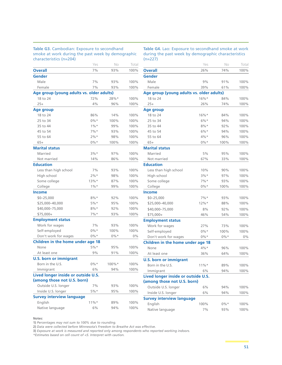#### **Table G3.** Cambodian: Exposure to secondhand smoke at work during the past week by demographic characteristics (n=204)

**Table G4.** Lao: Exposure to secondhand smoke at work during the past week by demographic characteristics  $(n=227)$ 

| characterístics (n=204)                   |         |        |       |
|-------------------------------------------|---------|--------|-------|
|                                           | Yes     | No     | Total |
| <b>Overall</b>                            | 7%      | 93%    | 100%  |
| Gender                                    |         |        |       |
| Male                                      | 7%      | 93%    | 100%  |
| Female                                    | 7%      | 93%    | 100%  |
| Age group (young adults vs. older adults) |         |        |       |
| 18 to 24                                  | 72%     | 28%*   | 100%  |
| $25+$                                     | 4%      | 96%    | 100%  |
| Age group                                 |         |        |       |
| 18 to 24                                  | 86%     | 14%    | 100%  |
| 25 to 34                                  | $0\%*$  | 100%   | 100%  |
| 35 to 44                                  | $1\%$ * | 99%    | 100%  |
| 45 to 54                                  | 7%      | 93%    | 100%  |
| 55 to 64                                  | $2%$ *  | 98%    | 100%  |
| $65+$                                     | $0\%*$  | 100%   | 100%  |
| <b>Marital status</b>                     |         |        |       |
| Married                                   | $3%$ *  | 97%    | 100%  |
| Not married                               | 14%     | 86%    | 100%  |
| <b>Education</b>                          |         |        |       |
| Less than high school                     | 7%      | 93%    | 100%  |
| High school                               | 2%      | 98%    | 100%  |
| Some college                              | 13%     | 87%    | 100%  |
| College                                   | $1\%$ * | 99%    | 100%  |
| <b>Income</b>                             |         |        |       |
| $$0 - 25,000$                             | $8%$ *  | 92%    | 100%  |
| \$25,000-40,000                           | $5%$ *  | 95%    | 100%  |
| \$40,000-75,000                           | $8%$ *  | 92%    | 100%  |
| $$75,000+$                                | $7\%*$  | 93%    | 100%  |
| <b>Employment status</b>                  |         |        |       |
| Work for wages                            | 7%      | 93%    | 100%  |
| Self-employed                             | $0\%*$  | 100%   | 100%  |
| Don't work for wages                      | $0\%*$  | $0\%*$ | 0%    |
| Children in the home under age 18         |         |        |       |
| None                                      | $5%$ *  | 95%    | 100%  |
| At least one                              | 9%      | 91%    | 100%  |
| <b>U.S. born or immigrant</b>             |         |        |       |
| Born in the U.S.                          | $0\% *$ | 100%*  | 100%  |
| Immigrant                                 | 6%      | 94%    | 100%  |
| Lived longer inside or outside U.S.       |         |        |       |
| (among those not U.S. born)               |         |        |       |
| Outside U.S. longer                       | 7%      | 93%    | 100%  |
| Inside U.S. longer                        | $5%$ *  | 95%    | 100%  |
| <b>Survey interview language</b>          |         |        |       |
| English                                   | $11\%*$ | 89%    | 100%  |
| Native language                           | 6%      | 94%    | 100%  |

| \''=447                                   |         |        |       |
|-------------------------------------------|---------|--------|-------|
|                                           | Yes     | No     | Total |
| <b>Overall</b>                            | 26%     | 74%    | 100%  |
| Gender                                    |         |        |       |
| Male                                      | 9%      | 91%    | 100%  |
| Female                                    | 39%     | 61%    | 100%  |
| Age group (young adults vs. older adults) |         |        |       |
| 18 to 24                                  | $16\%*$ | 84%    | 100%  |
| $25+$                                     | 26%     | 74%    | 100%  |
| Age group                                 |         |        |       |
| 18 to 24                                  | $16%$ * | 84%    | 100%  |
| 25 to 34                                  | 6%*     | 94%    | 100%  |
| 35 to 44                                  | $8%$ *  | 92%    | 100%  |
| 45 to 54                                  | $6\%*$  | 94%    | 100%  |
| 55 to 64                                  | 4%*     | 96%    | 100%  |
| $65+$                                     | $0\%*$  | 100%   | 100%  |
| <b>Marital status</b>                     |         |        |       |
| Married                                   | 5%      | 95%    | 100%  |
| Not married                               | 67%     | 33%    | 100%  |
| <b>Education</b>                          |         |        |       |
| Less than high school                     | 10%     | 90%    | 100%  |
| High school                               | $3%$ *  | 97%    | 100%  |
| Some college                              | $7\%*$  | 93%    | 100%  |
| College                                   | $0\%*$  | 100%   | 100%  |
| <b>Income</b>                             |         |        |       |
| $$0 - 25,000$                             | $7\%*$  | 93%    | 100%  |
| \$25,000-40,000                           | $12\%*$ | 88%    | 100%  |
| \$40,000-75,000                           | 8%      | 92%    | 100%  |
| \$75,000+                                 | 46%     | 54%    | 100%  |
| <b>Employment status</b>                  |         |        |       |
| Work for wages                            | 27%     | 73%    | 100%  |
| Self-employed                             | $0\%*$  | 100%   | 100%  |
| Don't work for wages                      | $0\%*$  | $0\%*$ | $0\%$ |
| Children in the home under age 18         |         |        |       |
| None                                      | $4\%*$  | 96%    | 100%  |
| At least one                              | 36%     | 64%    | 100%  |
| <b>U.S. born or immigrant</b>             |         |        |       |
| Born in the U.S.                          | $11\%*$ | 89%    | 100%  |
| Immigrant                                 | 6%      | 94%    | 100%  |
| Lived longer inside or outside U.S.       |         |        |       |
| (among those not U.S. born)               |         |        |       |
| Outside U.S. longer                       | 6%      | 94%    | 100%  |
| Inside U.S. longer                        | 6%      | 94%    | 100%  |
| <b>Survey interview language</b>          |         |        |       |
| English                                   | 100%    | $0\%*$ | 100%  |
| Native language                           | 7%      | 93%    | 100%  |
|                                           |         |        |       |

**Notes:** 

**1)** *Percentages may not sum to 100% due to rounding.*

**2)** *Data were collected before Minnesota's Freedom to Breathe Act was effective.*

**3)** *Exposure at work is measured and reported only among respondents who reported working indoors.*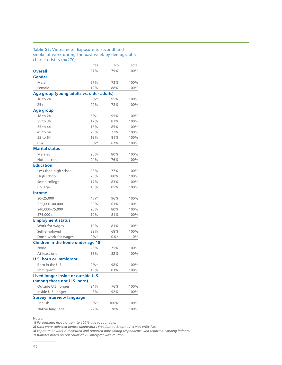#### **Table G5.** Vietnamese: Exposure to secondhand smoke at work during the past week by demographic characteristics (n=270)

|                                           | Yes    | No   | Total |
|-------------------------------------------|--------|------|-------|
| <b>Overall</b>                            | 21%    | 79%  | 100%  |
| <b>Gender</b>                             |        |      |       |
| Male                                      | 27%    | 73%  | 100%  |
| Female                                    | 12%    | 88%  | 100%  |
| Age group (young adults vs. older adults) |        |      |       |
| 18 to 24                                  | $5%$ * | 95%  | 100%  |
| $25+$                                     | 22%    | 78%  | 100%  |
| <b>Age group</b>                          |        |      |       |
| 18 to 24                                  | $5%$ * | 95%  | 100%  |
| 25 to 34                                  | 17%    | 83%  | 100%  |
| 35 to 44                                  | 16%    | 85%  | 100%  |
| 45 to 54                                  | 28%    | 72%  | 100%  |
| 55 to 64                                  | 19%    | 81%  | 100%  |
| $65+$                                     | 33%*   | 67%  | 100%  |
| <b>Marital status</b>                     |        |      |       |
| Married                                   | 20%    | 80%  | 100%  |
| Not married                               | 24%    | 76%  | 100%  |
| <b>Education</b>                          |        |      |       |
| Less than high school                     | 23%    | 77%  | 100%  |
| High school                               | 20%    | 80%  | 100%  |
| Some college                              | 17%    | 83%  | 100%  |
| College                                   | 15%    | 85%  | 100%  |
| <b>Income</b>                             |        |      |       |
| $$0 - 25,000$                             | $4\%*$ | 96%  | 100%  |
| \$25,000-40,000                           | 39%    | 61%  | 100%  |
| \$40,000-75,000                           | 20%    | 80%  | 100%  |
| \$75,000+                                 | 19%    | 81%  | 100%  |
| <b>Employment status</b>                  |        |      |       |
| Work for wages                            | 19%    | 81%  | 100%  |
| Self-employed                             | 32%    | 68%  | 100%  |
| Don't work for wages                      | $0\%*$ | 0%*  | $0\%$ |
| Children in the home under age 18         |        |      |       |
| None                                      | 25%    | 75%  | 100%  |
| At least one                              | 18%    | 82%  | 100%  |
| <b>U.S. born or immigrant</b>             |        |      |       |
| Born in the U.S.                          | 2%*    | 98%  | 100%  |
| Immigrant                                 | 19%    | 81%  | 100%  |
| Lived longer inside or outside U.S.       |        |      |       |
| (among those not U.S. born)               |        |      |       |
| Outside U.S. longer                       | 24%    | 76%  | 100%  |
| Inside U.S. longer                        | 8%     | 92%  | 100%  |
| <b>Survey interview language</b>          |        |      |       |
| English                                   | $0\%*$ | 100% | 100%  |
| Native language                           | 22%    | 78%  | 100%  |

**Notes:** 

**1)** *Percentages may not sum to 100% due to rounding.*

**2)** *Data were collected before Minnesota's Freedom to Breathe Act was effective.*

**3)** *Exposure at work is measured and reported only among respondents who reported working indoors.*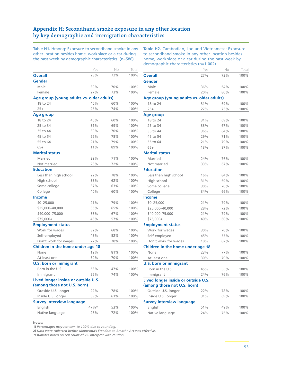# **Appendix H: Secondhand smoke exposure in any other location by key demographic and immigration characteristics**

**Table H1.** Hmong: Exposure to secondhand smoke in any other location besides home, workplace or a car during the past week by demographic characteristics (n=586)

**Table H2.** Cambodian, Lao and Vietnamese: Exposure to secondhand smoke in any other location besides home, workplace or a car during the past week by demographic characteristics (n=1,002)

|                                           | Yes  | No  | Total |
|-------------------------------------------|------|-----|-------|
| <b>Overall</b>                            | 28%  | 72% | 100%  |
| <b>Gender</b>                             |      |     |       |
| Male                                      | 30%  | 70% | 100%  |
| Female                                    | 27%  | 73% | 100%  |
| Age group (young adults vs. older adults) |      |     |       |
| 18 to 24                                  | 40%  | 60% | 100%  |
| $25+$                                     | 26%  | 74% | 100%  |
| Age group                                 |      |     |       |
| 18 to 24                                  | 40%  | 60% | 100%  |
| 25 to 34                                  | 31%  | 69% | 100%  |
| 35 to 44                                  | 30%  | 70% | 100%  |
| 45 to 54                                  | 22%  | 78% | 100%  |
| 55 to 64                                  | 21%  | 79% | 100%  |
| $65+$                                     | 11%  | 89% | 100%  |
| <b>Marital status</b>                     |      |     |       |
| Married                                   | 29%  | 71% | 100%  |
| Not married                               | 28%  | 72% | 100%  |
| <b>Education</b>                          |      |     |       |
| Less than high school                     | 22%  | 78% | 100%  |
| High school                               | 38%  | 62% | 100%  |
| Some college                              | 37%  | 63% | 100%  |
| College                                   | 40%  | 60% | 100%  |
| <b>Income</b>                             |      |     |       |
| $$0 - 25,000$                             | 21%  | 79% | 100%  |
| \$25,000-40,000                           | 35%  | 65% | 100%  |
| \$40,000-75,000                           | 33%  | 67% | 100%  |
| \$75,000+                                 | 43%  | 57% | 100%  |
| <b>Employment status</b>                  |      |     |       |
| Work for wages                            | 32%  | 68% | 100%  |
| Self-employed                             | 48%  | 52% | 100%  |
| Don't work for wages                      | 22%  | 78% | 100%  |
| Children in the home under age 18         |      |     |       |
| None                                      | 19%  | 81% | 100%  |
| At least one                              | 30%  | 70% | 100%  |
| <b>U.S. born or immigrant</b>             |      |     |       |
| Born in the U.S.                          | 53%  | 47% | 100%  |
| Immigrant                                 | 26%  | 74% | 100%  |
| Lived longer inside or outside U.S.       |      |     |       |
| (among those not U.S. born)               |      |     |       |
| Outside U.S. longer                       | 22%  | 78% | 100%  |
| Inside U.S. longer                        | 39%  | 61% | 100%  |
| <b>Survey interview language</b>          |      |     |       |
| English                                   | 47%* | 53% | 100%  |
| Native language                           | 28%  | 72% | 100%  |

|                                                                    | Yes | Νo  | Total |
|--------------------------------------------------------------------|-----|-----|-------|
| <b>Overall</b>                                                     | 27% | 73% | 100%  |
| Gender                                                             |     |     |       |
| Male                                                               | 36% | 64% | 100%  |
| Female                                                             | 20% | 80% | 100%  |
| Age group (young adults vs. older adults)                          |     |     |       |
| 18 to 24                                                           | 31% | 69% | 100%  |
| $25+$                                                              | 27% | 73% | 100%  |
| Age group                                                          |     |     |       |
| 18 to 24                                                           | 31% | 69% | 100%  |
| 25 to 34                                                           | 33% | 67% | 100%  |
| 35 to 44                                                           | 36% | 64% | 100%  |
| 45 to 54                                                           | 29% | 71% | 100%  |
| 55 to 64                                                           | 21% | 79% | 100%  |
| $65+$                                                              | 13% | 87% | 100%  |
| <b>Marital status</b>                                              |     |     |       |
| Married                                                            | 24% | 76% | 100%  |
| Not married                                                        | 33% | 67% | 100%  |
| Education                                                          |     |     |       |
| Less than high school                                              | 16% | 84% | 100%  |
| High school                                                        | 31% | 69% | 100%  |
| Some college                                                       | 30% | 70% | 100%  |
| College                                                            | 34% | 66% | 100%  |
| Income                                                             |     |     |       |
| $$0 - 25,000$                                                      | 21% | 79% | 100%  |
| \$25,000-40,000                                                    | 28% | 72% | 100%  |
| \$40,000-75,000                                                    | 21% | 79% | 100%  |
| \$75,000+                                                          | 40% | 60% | 100%  |
| <b>Employment status</b>                                           |     |     |       |
| Work for wages                                                     | 30% | 70% | 100%  |
| Self-employed                                                      | 45% | 55% | 100%  |
| Don't work for wages                                               | 18% | 82% | 100%  |
| Children in the home under age 18                                  |     |     |       |
| None                                                               | 23% | 77% | 100%  |
| At least one                                                       | 30% | 70% | 100%  |
| <b>U.S. born or immigrant</b>                                      |     |     |       |
| Born in the U.S.                                                   | 45% | 55% | 100%  |
| Immigrant                                                          | 24% | 76% | 100%  |
| Lived longer inside or outside U.S.<br>(among those not U.S. born) |     |     |       |
| Outside U.S. longer                                                | 22% | 78% | 100%  |
| Inside U.S. longer                                                 | 31% | 69% | 100%  |
| <b>Survey interview language</b>                                   |     |     |       |
| English                                                            | 51% | 49% | 100%  |
| Native language                                                    | 24% | 76% | 100%  |
|                                                                    |     |     |       |

**Notes:** 

**1)** *Percentages may not sum to 100% due to rounding.*

**2)** *Data were collected before Minnesota's Freedom to Breathe Act was effective.*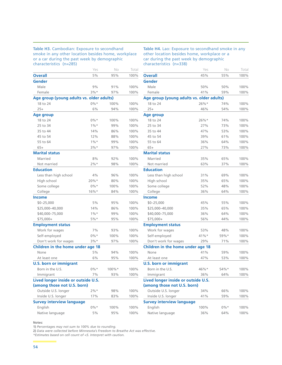#### **Table H3.** Cambodian: Exposure to secondhand smoke in any other location besides home, workplace or a car during the past week by demographic characteristics (n=285)

**Table H4.** Lao: Exposure to secondhand smoke in any other location besides home, workplace or a car during the past week by demographic characteristics (n=338)

| Yes     | No                                                                                                                                          | Total                                     |
|---------|---------------------------------------------------------------------------------------------------------------------------------------------|-------------------------------------------|
| 5%      | 95%                                                                                                                                         | 100%                                      |
|         |                                                                                                                                             |                                           |
| 9%      | 91%                                                                                                                                         | 100%                                      |
| $3%$ *  | 97%                                                                                                                                         | 100%                                      |
|         |                                                                                                                                             |                                           |
| $0\%*$  | 100%                                                                                                                                        | 100%                                      |
| 6%      | 94%                                                                                                                                         | 100%                                      |
|         |                                                                                                                                             |                                           |
| $0\%*$  | 100%                                                                                                                                        | 100%                                      |
| $1\%$ * | 99%                                                                                                                                         | 100%                                      |
| 14%     | 86%                                                                                                                                         | 100%                                      |
| 12%     | 88%                                                                                                                                         | 100%                                      |
| $1\%$ * | 99%                                                                                                                                         | 100%                                      |
| $3\%*$  | 97%                                                                                                                                         | 100%                                      |
|         |                                                                                                                                             |                                           |
| 8%      | 92%                                                                                                                                         | 100%                                      |
| $2%$ *  | 98%                                                                                                                                         | 100%                                      |
|         |                                                                                                                                             |                                           |
| 4%      | 96%                                                                                                                                         | 100%                                      |
| $20%$ * | 80%                                                                                                                                         | 100%                                      |
| $0\%*$  | 100%                                                                                                                                        | 100%                                      |
| $16%$ * | 84%                                                                                                                                         | 100%                                      |
|         |                                                                                                                                             |                                           |
| 5%      | 95%                                                                                                                                         | 100%                                      |
| 14%     | 86%                                                                                                                                         | 100%                                      |
| $1\%$ * | 99%                                                                                                                                         | 100%                                      |
| $5%$ *  | 95%                                                                                                                                         | 100%                                      |
|         |                                                                                                                                             |                                           |
| 7%      | 93%                                                                                                                                         | 100%                                      |
| $0\%*$  | 100%                                                                                                                                        | 100%                                      |
| $3%$ *  | 97%                                                                                                                                         | 100%                                      |
|         |                                                                                                                                             |                                           |
| 5%      | 94%                                                                                                                                         | 100%                                      |
| 6%      | 95%                                                                                                                                         | 100%                                      |
|         |                                                                                                                                             |                                           |
| $0\%*$  | 100%*                                                                                                                                       | 100%                                      |
| 7%      | 93%                                                                                                                                         | 100%                                      |
|         |                                                                                                                                             |                                           |
|         |                                                                                                                                             |                                           |
| $2\%*$  | 98%                                                                                                                                         | 100%                                      |
| 17%     | 83%                                                                                                                                         | 100%                                      |
|         |                                                                                                                                             |                                           |
| $0\%*$  | 100%                                                                                                                                        | 100%                                      |
| 5%      | 95%                                                                                                                                         | 100%                                      |
|         | Children in the home under age 18<br>Lived longer inside or outside U.S.<br>(among those not U.S. born)<br><b>Survey interview language</b> | Age group (young adults vs. older adults) |

|                                           | Yes     | No     | Total |
|-------------------------------------------|---------|--------|-------|
| <b>Overall</b>                            | 45%     | 55%    | 100%  |
| Gender                                    |         |        |       |
| Male                                      | 50%     | 50%    | 100%  |
| Female                                    | 41%     | 59%    | 100%  |
| Age group (young adults vs. older adults) |         |        |       |
| 18 to 24                                  | 26%*    | 74%    | 100%  |
| $25+$                                     | 46%     | 54%    | 100%  |
| Age group                                 |         |        |       |
| 18 to 24                                  | $26\%*$ | 74%    | 100%  |
| 25 to 34                                  | 27%     | 73%    | 100%  |
| 35 to 44                                  | 47%     | 53%    | 100%  |
| 45 to 54                                  | 39%     | 61%    | 100%  |
| 55 to 64                                  | 36%     | 64%    | 100%  |
| $65+$                                     | 27%     | 73%    | 100%  |
| <b>Marital status</b>                     |         |        |       |
| Married                                   | 35%     | 65%    | 100%  |
| Not married                               | 63%     | 37%    | 100%  |
| <b>Education</b>                          |         |        |       |
| Less than high school                     | 31%     | 69%    | 100%  |
| High school                               | 35%     | 65%    | 100%  |
| Some college                              | 52%     | 48%    | 100%  |
| College                                   | 36%     | 64%    | 100%  |
| <b>Income</b>                             |         |        |       |
| $$0 - 25,000$                             | 45%     | 55%    | 100%  |
| \$25,000-40,000                           | 35%     | 65%    | 100%  |
| \$40,000-75,000                           | 36%     | 64%    | 100%  |
| \$75,000+                                 | 56%     | 44%    | 100%  |
| <b>Employment status</b>                  |         |        |       |
| Work for wages                            | 53%     | 48%    | 100%  |
| Self-employed                             | 41%     | 59%*   | 100%  |
| Don't work for wages                      | 29%     | 71%    | 100%  |
| Children in the home under age 18         |         |        |       |
| None                                      | 41%     | 59%    | 100%  |
| At least one                              | 47%     | 53%    | 100%  |
| <b>U.S. born or immigrant</b>             |         |        |       |
| Born in the U.S.                          | 46%*    | 54%*   | 100%  |
| Immigrant                                 | 36%     | 64%    | 100%  |
| Lived longer inside or outside U.S.       |         |        |       |
| (among those not U.S. born)               |         |        |       |
| Outside U.S. longer                       | 34%     | 66%    | 100%  |
| Inside U.S. longer                        | 41%     | 59%    | 100%  |
| <b>Survey interview language</b>          |         |        |       |
| English                                   | 100%    | $0\%*$ | 100%  |
| Native language                           | 36%     | 64%    | 100%  |
|                                           |         |        |       |

**Notes:** 

**1)** *Percentages may not sum to 100% due to rounding.*

**2)** *Data were collected before Minnesota's Freedom to Breathe Act was effective.*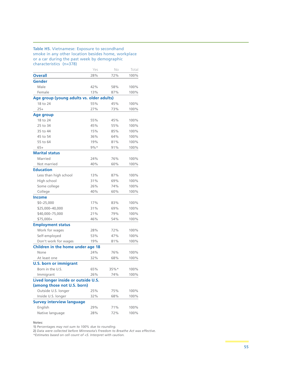#### **Table H5.** Vietnamese: Exposure to secondhand smoke in any other location besides home, workplace or a car during the past week by demographic characteristics (n=378)

|                                           | Yes    | No      | Total |
|-------------------------------------------|--------|---------|-------|
| <b>Overall</b>                            | 28%    | 72%     | 100%  |
| Gender                                    |        |         |       |
| Male                                      | 42%    | 58%     | 100%  |
| Female                                    | 13%    | 87%     | 100%  |
| Age group (young adults vs. older adults) |        |         |       |
| 18 to 24                                  | 55%    | 45%     | 100%  |
| $25+$                                     | 27%    | 73%     | 100%  |
| <b>Age group</b>                          |        |         |       |
| 18 to 24                                  | 55%    | 45%     | 100%  |
| 25 to 34                                  | 45%    | 55%     | 100%  |
| 35 to 44                                  | 15%    | 85%     | 100%  |
| 45 to 54                                  | 36%    | 64%     | 100%  |
| 55 to 64                                  | 19%    | 81%     | 100%  |
| $65+$                                     | $9\%*$ | 91%     | 100%  |
| <b>Marital status</b>                     |        |         |       |
| Married                                   | 24%    | 76%     | 100%  |
| Not married                               | 40%    | 60%     | 100%  |
| <b>Education</b>                          |        |         |       |
| Less than high school                     | 13%    | 87%     | 100%  |
| High school                               | 31%    | 69%     | 100%  |
| Some college                              | 26%    | 74%     | 100%  |
| College                                   | 40%    | 60%     | 100%  |
| <b>Income</b>                             |        |         |       |
| $$0 - 25,000$                             | 17%    | 83%     | 100%  |
| \$25,000-40,000                           | 31%    | 69%     | 100%  |
| \$40,000-75,000                           | 21%    | 79%     | 100%  |
| \$75,000+                                 | 46%    | 54%     | 100%  |
| <b>Employment status</b>                  |        |         |       |
| Work for wages                            | 28%    | 72%     | 100%  |
| Self-employed                             | 53%    | 47%     | 100%  |
| Don't work for wages                      | 19%    | 81%     | 100%  |
| Children in the home under age 18         |        |         |       |
| None                                      | 24%    | 76%     | 100%  |
| At least one                              | 32%    | 68%     | 100%  |
| <b>U.S. born or immigrant</b>             |        |         |       |
| Born in the U.S.                          | 65%    | $35%$ * | 100%  |
| Immigrant                                 | 26%    | 74%     | 100%  |
| Lived longer inside or outside U.S.       |        |         |       |
| (among those not U.S. born)               |        |         |       |
| Outside U.S. longer                       | 25%    | 75%     | 100%  |
| Inside U.S. longer                        | 32%    | 68%     | 100%  |
| <b>Survey interview language</b>          |        |         |       |
| English                                   | 29%    | 71%     | 100%  |
| Native language                           | 28%    | 72%     | 100%  |

**Notes:** 

**1)** *Percentages may not sum to 100% due to rounding.*

**2)** *Data were collected before Minnesota's Freedom to Breathe Act was effective.*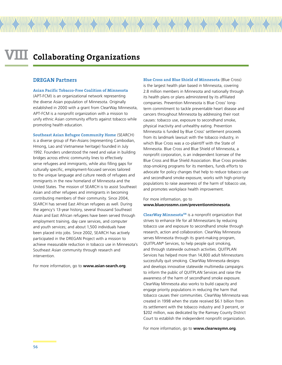#### **DREGAN Partners**

**Asian Pacific Tobacco-Free Coalition of Minnesota** (APT-FCM) is an organizational network representing the diverse Asian population of Minnesota. Originally established in 2000 with a grant from ClearWay Minnesota, APT-FCM is a nonprofit organization with a mission to unify ethnic Asian community efforts against tobacco while promoting health education.

**Southeast Asian Refugee Community Home** (SEARCH) is a diverse group of Pan-Asians (representing Cambodian, Hmong, Lao and Vietnamese heritage) founded in July 1992. Founders understood the need and value in building bridges across ethnic community lines to effectively serve refugees and immigrants, while also filling gaps for culturally specific, employment-focused services tailored to the unique language and culture needs of refugees and immigrants in the new homeland of Minnesota and the United States. The mission of SEARCH is to assist Southeast Asian and other refugees and immigrants in becoming contributing members of their community. Since 2004, SEARCH has served East African refugees as well. During the agency's 13-year history, several thousand Southeast Asian and East African refugees have been served through employment training, day care services, and computer and youth services; and about 1,500 individuals have been placed into jobs. Since 2002, SEARCH has actively participated in the DREGAN Project with a mission to achieve measurable reduction in tobacco use in Minnesota's Southeast Asian community through research and intervention.

For more information, go to **www.asian-search.org**.

**Blue Cross and Blue Shield of Minnesota** (Blue Cross) is the largest health plan based in Minnesota, covering 2.8 million members in Minnesota and nationally through its health plans or plans administered by its affiliated companies. Prevention Minnesota is Blue Cross' longterm commitment to tackle preventable heart disease and cancers throughout Minnesota by addressing their root causes: tobacco use, exposure to secondhand smoke, physical inactivity and unhealthy eating. Prevention Minnesota is funded by Blue Cross' settlement proceeds from its landmark lawsuit with the tobacco industry, in which Blue Cross was a co-plaintiff with the State of Minnesota. Blue Cross and Blue Shield of Minnesota, a nonprofit corporation, is an independent licensee of the Blue Cross and Blue Shield Association. Blue Cross provides stop-smoking programs for its members, funds efforts to advocate for policy changes that help to reduce tobacco use and secondhand smoke exposure, works with high-priority populations to raise awareness of the harm of tobacco use, and promotes workplace health improvement.

#### For more information, go to **www.bluecrossmn.com/preventionminnesota**.

**ClearWay MinnesotaSM** is a nonprofit organization that strives to enhance life for all Minnesotans by reducing tobacco use and exposure to secondhand smoke through research, action and collaboration. ClearWay Minnesota serves Minnesota through its grant-making program, QUITPLAN® Services, to help people quit smoking, and through statewide outreach activities. QUITPLAN Services has helped more than 14,800 adult Minnesotans successfully quit smoking. ClearWay Minnesota designs and develops innovative statewide multimedia campaigns to inform the public of QUITPLAN Services and raise the awareness of the harm of secondhand smoke exposure. ClearWay Minnesota also works to build capacity and engage priority populations in reducing the harm that tobacco causes their communities. ClearWay Minnesota was created in 1998 when the state received \$6.1 billion from its settlement with the tobacco industry and 3 percent, or \$202 million, was dedicated by the Ramsey County District Court to establish the independent nonprofit organization.

For more information, go to **www.clearwaymn.org**.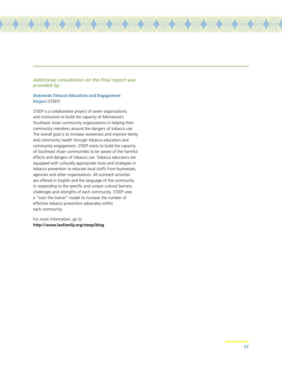# *Additional consultation on the final report was provided by:*

#### **Statewide Tobacco Education and Engagement Project** (STEEP)

STEEP is a collaborative project of seven organizations and institutions to build the capacity of Minnesota's Southeast Asian community organizations in helping their community members around the dangers of tobacco use. The overall goal is to increase awareness and improve family and community health through tobacco education and community engagement. STEEP exists to build the capacity of Southeast Asian communities to be aware of the harmful effects and dangers of tobacco use. Tobacco educators are equipped with culturally appropriate tools and strategies in tobacco prevention to educate local staffs from businesses, agencies and other organizations. All outreach activities are offered in English and the language of the community in responding to the specific and unique cultural barriers, challenges and strengths of each community. STEEP uses a "train the trainer" model to increase the number of effective tobacco prevention advocates within each community.

For more information, go to **http://www.laofamily.org/steep/blog**.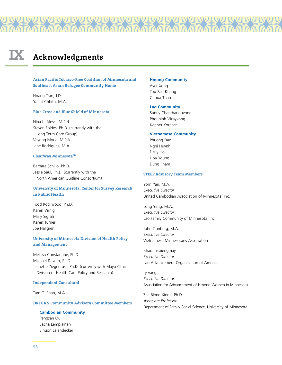# **IX Acknowledgments**

#### **Asian Pacific Tobacco-Free Coalition of Minnesota and Southeast Asian Refugee Community Home**

Hoang Tran, J.D. Yanat Chhith, M.A.

#### **Blue Cross and Blue Shield of Minnesota**

Nina L. Alesci, M.P.H. Steven Foldes, Ph.D. (currently with the Long Term Care Group) Vayong Moua, M.P.A. Jane Rodriguez, M.A.

#### **ClearWay MinnesotaSM**

Barbara Schillo, Ph.D. Jessie Saul, Ph.D. (currently with the North American Quitline Consortium)

#### **University of Minnesota, Center for Survey Research in Public Health**

Todd Rockwood, Ph.D. Karen Virnig Mary Sigrah Karen Turner Joe Hallgren

#### **University of Minnesota Division of Health Policy and Management**

Melissa Constantine, Ph.D. Michael Davern, Ph.D. Jeanette Ziegenfuss, Ph.D. (currently with Mayo Clinic, Division of Health Care Policy and Research)

#### **Independent Consultant**

Tam C. Phan, M.A.

#### **DREGAN Community Advisory Committee Members**

**Cambodian Community** Pengsan Ou Sacha Lempiainen Sinuon Leiendecker

#### **Hmong Community**

Ayer Xong Tou Pao Khang Choua Thao

#### **Lao Community**

Sunny Chanthanouvong Phouninh Vixayvong Kaphet Koracan

#### **Vietnamese Community**

Phuong Dao Nghi Huynh Dzuy Ho Hoa Young Dung Pham

#### **STEEP Advisory Team Members**

Yorn Yan, M.A. Executive Director United Cambodian Association of Minnesota, Inc.

Long Yang, M.A. Executive Director Lao Family Community of Minnesota, Inc.

John Tranberg, M.A. Executive Director Vietnamese Minnesotans Association

Khao Insixiengmay Executive Director Lao Advancement Organization of America

Ly Vang Executive Director Association for Advancement of Hmong Women in Minnesota

Zha Blong Xiong, Ph.D. Associate Professor Department of Family Social Science, University of Minnesota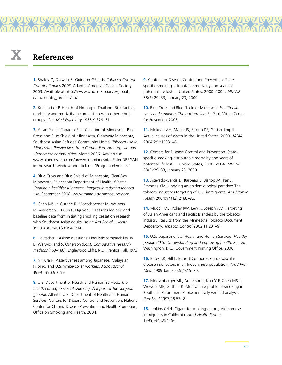# **X References**

**1.** Shafey O, Dolwick S, Guindon GE, eds. Tobacco Control Country Profiles 2003. Atlanta: American Cancer Society. 2003. Available at http://www.who.int/tobacco/global\_ data/country\_profiles/en/.

**2.** Kunstadter P. Health of Hmong in Thailand: Risk factors, morbidity and mortality in comparison with other ethnic groups. Cult Med Psychiatry 1985;9:329–51.

**3.** Asian Pacific Tobacco-Free Coalition of Minnesota, Blue Cross and Blue Shield of Minnesota, ClearWay Minnesota, Southeast Asian Refugee Community Home. Tobacco use in Minnesota: Perspectives from Cambodian, Hmong, Lao and Vietnamese communities. March 2006. Available at www.bluecrossmn.com/preventionminnesota. Enter DREGAN in the search window and click on "Program elements."

**4.** Blue Cross and Blue Shield of Minnesota, ClearWay Minnesota, Minnesota Department of Health, Westat. Creating a healthier Minnesota: Progress in reducing tobacco use. September 2008. www.mnadulttobaccosurvey.org.

**5.** Chen MS Jr, Guthrie R, Moeschberger M, Wewers M, Anderson J, Kuun P, Nguyen H. Lessons learned and baseline data from initiating smoking cessation research with Southeast Asian adults. Asian Am Pac Isl J Health. 1993 Autumn;1(2):194–214.

**6.** Deutscher I. Asking questions: Linguistic comparability. In D. Warwick and S. Osherson (Eds.), Comparative research methods (163–186). Englewood Cliffs, N.J.: Prentice Hall. 1973.

**7.** Niikura R. Assertiveness among Japanese, Malaysian, Filipino, and U.S. white-collar workers. J Soc Psychol 1999;139:690–99.

**8.** U.S. Department of Health and Human Services. The health consequences of smoking: A report of the surgeon general. Atlanta: U.S. Department of Health and Human Services, Centers for Disease Control and Prevention, National Center for Chronic Disease Prevention and Health Promotion, Office on Smoking and Health. 2004.

**9.** Centers for Disease Control and Prevention. Statespecific smoking-attributable mortality and years of potential life lost — United States, 2000–2004. MMWR 58(2):29–33, January 23, 2009.

**10.** Blue Cross and Blue Shield of Minnesota. Health care costs and smoking: The bottom line. St. Paul, Minn.: Center for Prevention. 2005.

**11.** Mokdad AH, Marks JS, Stroup DF, Gerberding JL. Actual causes of death in the United States, 2000. JAMA 2004;291:1238–45.

**12.** Centers for Disease Control and Prevention. Statespecific smoking-attributable mortality and years of potential life lost — United States, 2000–2004. MMWR 58(2):29–33, January 23, 2009.

**13.** Acevedo-Garcia D, Barbeau E, Bishop JA, Pan J, Emmons KM. Undoing an epidemiological paradox: The tobacco industry's targeting of U.S. immigrants. Am J Public Health 2004;94(12):2188–93.

**14.** Muggli ME, Pollay RW, Lew R, Joseph AM. Targeting of Asian Americans and Pacific Islanders by the tobacco industry: Results from the Minnesota Tobacco Document Depository. Tobacco Control 2002;11:201–9.

**15.** U.S. Department of Health and Human Services. Healthy people 2010: Understanding and improving health. 2nd ed. Washington, D.C.: Government Printing Office. 2000.

**16.** Bates SR, Hill L, Barrett-Connor E. Cardiovascular disease risk factors in an Indochinese population. Am J Prev Med. 1989 Jan–Feb;5(1):15–20.

**17.** Moeschberger ML, Anderson J, Kuo Y-F, Chen MS Jr, Wewers ME, Guthrie R. Multivariate profile of smoking in Southeast Asian men: A biochemically verified analysis. Prev Med 1997;26:53–8.

**18.** Jenkins CNH. Cigarette smoking among Vietnamese immigrants in California. Am J Health Promo 1995;9(4):254–56.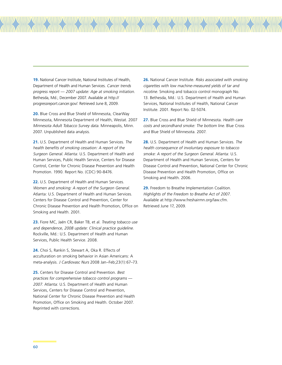**19.** National Cancer Institute, National Institutes of Health, Department of Health and Human Services. Cancer trends progress report — 2007 update: Age at smoking initiation. Bethesda, Md.; December 2007. Available at http:// progressreport.cancer.gov/. Retrieved June 8, 2009.

7711111111

WWW.ARTHOLOGYANALITY//WWW.ARTHOLOGYANALITY//WWW.ARTHOLOGYANALITY//WWW.ARTHOLOGY

**20.** Blue Cross and Blue Shield of Minnesota, ClearWay Minnesota, Minnesota Department of Health, Westat. 2007 Minnesota Adult Tobacco Survey data. Minneapolis, Minn. 2007. Unpublished data analysis.

**21.** U.S. Department of Health and Human Services. The health benefits of smoking cessation: A report of the Surgeon General. Atlanta: U.S. Department of Health and Human Services, Public Health Service, Centers for Disease Control, Center for Chronic Disease Prevention and Health Promotion. 1990. Report No. (CDC) 90-8476.

**22.** U.S. Department of Health and Human Services. Women and smoking: A report of the Surgeon General. Atlanta: U.S. Department of Health and Human Services. Centers for Disease Control and Prevention, Center for Chronic Disease Prevention and Health Promotion, Office on Smoking and Health. 2001.

**23.** Fiore MC, Jaén CR, Baker TB, et al. Treating tobacco use and dependence, 2008 update: Clinical practice guideline. Rockville, Md.: U.S. Department of Health and Human Services, Public Health Service. 2008.

**24.** Choi S, Rankin S, Stewart A, Oka R. Effects of acculturation on smoking behavior in Asian Americans: A meta-analysis. J Cardiovasc Nurs 2008 Jan–Feb;23(1):67–73.

**25.** Centers for Disease Control and Prevention. Best practices for comprehensive tobacco control programs — 2007. Atlanta: U.S. Department of Health and Human Services, Centers for Disease Control and Prevention, National Center for Chronic Disease Prevention and Health Promotion, Office on Smoking and Health. October 2007. Reprinted with corrections.

**26.** National Cancer Institute. Risks associated with smoking cigarettes with low machine-measured yields of tar and nicotine. Smoking and tobacco control monograph No. 13. Bethesda, Md.: U.S. Department of Health and Human Services, National Institutes of Health, National Cancer Institute. 2001. Report No. 02-5074.

777 AND NA

**27.** Blue Cross and Blue Shield of Minnesota. Health care costs and secondhand smoke: The bottom line. Blue Cross and Blue Shield of Minnesota. 2007.

**28.** U.S. Department of Health and Human Services. The health consequence of involuntary exposure to tobacco smoke: A report of the Surgeon General. Atlanta: U.S. Department of Health and Human Services, Centers for Disease Control and Prevention, National Center for Chronic Disease Prevention and Health Promotion, Office on Smoking and Health. 2006.

**29.** Freedom to Breathe Implementation Coalition. Highlights of the Freedom to Breathe Act of 2007. Available at http://www.freshairmn.org/law.cfm. Retrieved June 17, 2009.